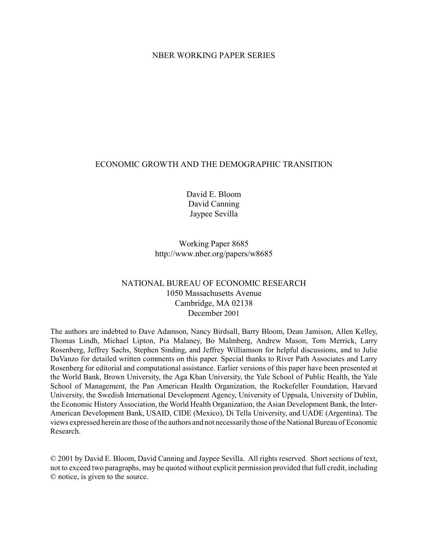### NBER WORKING PAPER SERIES

#### ECONOMIC GROWTH AND THE DEMOGRAPHIC TRANSITION

David E. Bloom David Canning Jaypee Sevilla

Working Paper 8685 http://www.nber.org/papers/w8685

### NATIONAL BUREAU OF ECONOMIC RESEARCH 1050 Massachusetts Avenue Cambridge, MA 02138 December 2001

The authors are indebted to Dave Adamson, Nancy Birdsall, Barry Bloom, Dean Jamison, Allen Kelley, Thomas Lindh, Michael Lipton, Pia Malaney, Bo Malmberg, Andrew Mason, Tom Merrick, Larry Rosenberg, Jeffrey Sachs, Stephen Sinding, and Jeffrey Williamson for helpful discussions, and to Julie DaVanzo for detailed written comments on this paper. Special thanks to River Path Associates and Larry Rosenberg for editorial and computational assistance. Earlier versions of this paper have been presented at the World Bank, Brown University, the Aga Khan University, the Yale School of Public Health, the Yale School of Management, the Pan American Health Organization, the Rockefeller Foundation, Harvard University, the Swedish International Development Agency, University of Uppsala, University of Dublin, the Economic History Association, the World Health Organization, the Asian Development Bank, the Inter-American Development Bank, USAID, CIDE (Mexico), Di Tella University, and UADE (Argentina). The views expressed herein are those of the authors and not necessarily those of the National Bureau of Economic Research.

© 2001 by David E. Bloom, David Canning and Jaypee Sevilla. All rights reserved. Short sections of text, not to exceed two paragraphs, may be quoted without explicit permission provided that full credit, including © notice, is given to the source.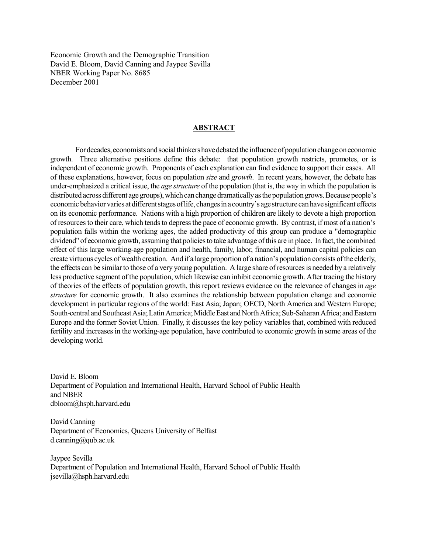Economic Growth and the Demographic Transition David E. Bloom, David Canning and Jaypee Sevilla NBER Working Paper No. 8685 December 2001

#### **ABSTRACT**

For decades, economists and social thinkers have debated the influence of population change on economic growth. Three alternative positions define this debate: that population growth restricts, promotes, or is independent of economic growth. Proponents of each explanation can find evidence to support their cases. All of these explanations, however, focus on population *size* and *growth*. In recent years, however, the debate has under-emphasized a critical issue, the *age structure* of the population (that is, the way in which the population is distributed across different age groups), which can change dramatically as the population grows. Because people's economic behavior varies at different stages of life, changes in a country's age structure can have significant effects on its economic performance. Nations with a high proportion of children are likely to devote a high proportion of resources to their care, which tends to depress the pace of economic growth. By contrast, if most of a nation's population falls within the working ages, the added productivity of this group can produce a "demographic dividend" of economic growth, assuming that policies to take advantage of this are in place. In fact, the combined effect of this large working-age population and health, family, labor, financial, and human capital policies can create virtuous cycles of wealth creation. And if a large proportion of a nation's population consists of the elderly, the effects can be similar to those of a very young population. A large share of resources is needed by a relatively less productive segment of the population, which likewise can inhibit economic growth. After tracing the history of theories of the effects of population growth, this report reviews evidence on the relevance of changes in *age structure* for economic growth. It also examines the relationship between population change and economic development in particular regions of the world: East Asia; Japan; OECD, North America and Western Europe; South-central and Southeast Asia; Latin America; Middle East and North Africa; Sub-Saharan Africa; and Eastern Europe and the former Soviet Union. Finally, it discusses the key policy variables that, combined with reduced fertility and increases in the working-age population, have contributed to economic growth in some areas of the developing world.

David E. Bloom Department of Population and International Health, Harvard School of Public Health and NBER dbloom@hsph.harvard.edu

David Canning Department of Economics, Queens University of Belfast d.canning@qub.ac.uk

Jaypee Sevilla Department of Population and International Health, Harvard School of Public Health jsevilla@hsph.harvard.edu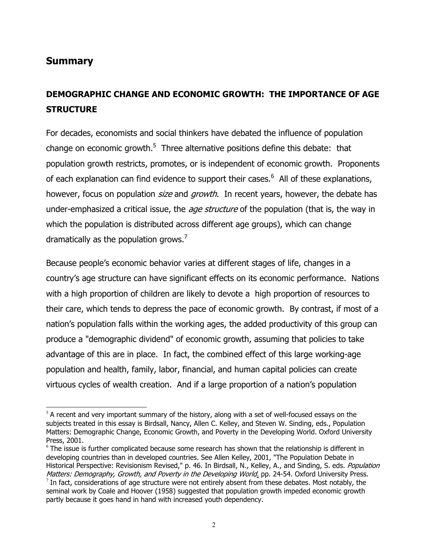## **Summary**

# **DEMOGRAPHIC CHANGE AND ECONOMIC GROWTH: THE IMPORTANCE OF AGE STRUCTURE**

For decades, economists and social thinkers have debated the influence of population change on economic growth.<sup>5</sup> Three alternative positions define this debate: that population growth restricts, promotes, or is independent of economic growth. Proponents of each explanation can find evidence to support their cases.<sup>6</sup> All of these explanations, however, focus on population *size* and *growth*. In recent years, however, the debate has under-emphasized a critical issue, the *age structure* of the population (that is, the way in which the population is distributed across different age groups), which can change dramatically as the population grows.<sup>7</sup>

Because people's economic behavior varies at different stages of life, changes in a countryís age structure can have significant effects on its economic performance. Nations with a high proportion of children are likely to devote a high proportion of resources to their care, which tends to depress the pace of economic growth. By contrast, if most of a nation's population falls within the working ages, the added productivity of this group can produce a "demographic dividend" of economic growth, assuming that policies to take advantage of this are in place. In fact, the combined effect of this large working-age population and health, family, labor, financial, and human capital policies can create virtuous cycles of wealth creation. And if a large proportion of a nation's population

 $\overline{a}$  $<sup>5</sup>$  A recent and very important summary of the history, along with a set of well-focused essays on the</sup> subjects treated in this essay is Birdsall, Nancy, Allen C. Kelley, and Steven W. Sinding, eds., Population Matters: Demographic Change, Economic Growth, and Poverty in the Developing World. Oxford University Press, 2001.

<sup>&</sup>lt;sup>6</sup> The issue is further complicated because some research has shown that the relationship is different in developing countries than in developed countries. See Allen Kelley, 2001, "The Population Debate in Historical Perspective: Revisionism Revised," p. 46. In Birdsall, N., Kelley, A., and Sinding, S. eds. Population<br>Matters: Demography, Growth, and Poverty in the Developing World. pp. 24-54. Oxford University Press.  $^7$  In fact, considerations of age structure were not entirely absent from these debates. Most notably, the seminal work by Coale and Hoover (1958) suggested that population growth impeded economic growth partly because it goes hand in hand with increased youth dependency.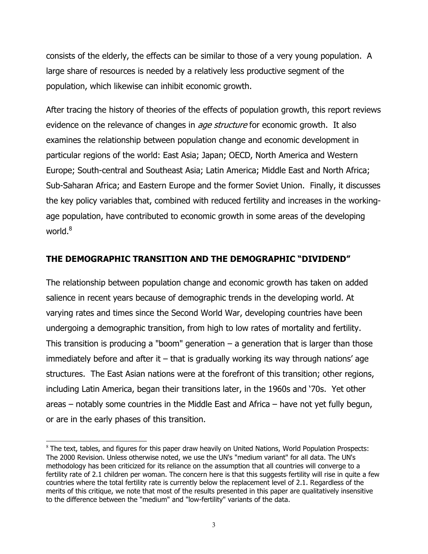consists of the elderly, the effects can be similar to those of a very young population. A large share of resources is needed by a relatively less productive segment of the population, which likewise can inhibit economic growth.

After tracing the history of theories of the effects of population growth, this report reviews evidence on the relevance of changes in *age structure* for economic growth. It also examines the relationship between population change and economic development in particular regions of the world: East Asia; Japan; OECD, North America and Western Europe; South-central and Southeast Asia; Latin America; Middle East and North Africa; Sub-Saharan Africa; and Eastern Europe and the former Soviet Union. Finally, it discusses the key policy variables that, combined with reduced fertility and increases in the workingage population, have contributed to economic growth in some areas of the developing world.<sup>8</sup>

### THE DEMOGRAPHIC TRANSITION AND THE DEMOGRAPHIC "DIVIDEND"

The relationship between population change and economic growth has taken on added salience in recent years because of demographic trends in the developing world. At varying rates and times since the Second World War, developing countries have been undergoing a demographic transition, from high to low rates of mortality and fertility. This transition is producing a "boom" generation  $-$  a generation that is larger than those immediately before and after it  $-$  that is gradually working its way through nations' age structures. The East Asian nations were at the forefront of this transition; other regions, including Latin America, began their transitions later, in the 1960s and '70s. Yet other areas  $-$  notably some countries in the Middle East and Africa  $-$  have not yet fully begun, or are in the early phases of this transition.

<sup>&</sup>lt;sup>8</sup> The text, tables, and figures for this paper draw heavily on United Nations, World Population Prospects: The 2000 Revision. Unless otherwise noted, we use the UN's "medium variant" for all data. The UN's methodology has been criticized for its reliance on the assumption that all countries will converge to a fertility rate of 2.1 children per woman. The concern here is that this suggests fertility will rise in quite a few countries where the total fertility rate is currently below the replacement level of 2.1. Regardless of the merits of this critique, we note that most of the results presented in this paper are qualitatively insensitive to the difference between the "medium" and "low-fertility" variants of the data.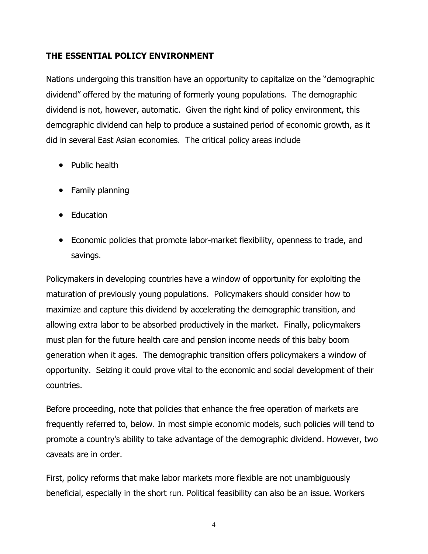### **THE ESSENTIAL POLICY ENVIRONMENT**

Nations undergoing this transition have an opportunity to capitalize on the "demographic dividend" offered by the maturing of formerly young populations. The demographic dividend is not, however, automatic. Given the right kind of policy environment, this demographic dividend can help to produce a sustained period of economic growth, as it did in several East Asian economies. The critical policy areas include

- Public health
- Family planning
- Education
- Economic policies that promote labor-market flexibility, openness to trade, and savings.

Policymakers in developing countries have a window of opportunity for exploiting the maturation of previously young populations. Policymakers should consider how to maximize and capture this dividend by accelerating the demographic transition, and allowing extra labor to be absorbed productively in the market. Finally, policymakers must plan for the future health care and pension income needs of this baby boom generation when it ages. The demographic transition offers policymakers a window of opportunity. Seizing it could prove vital to the economic and social development of their countries.

Before proceeding, note that policies that enhance the free operation of markets are frequently referred to, below. In most simple economic models, such policies will tend to promote a country's ability to take advantage of the demographic dividend. However, two caveats are in order.

First, policy reforms that make labor markets more flexible are not unambiguously beneficial, especially in the short run. Political feasibility can also be an issue. Workers

4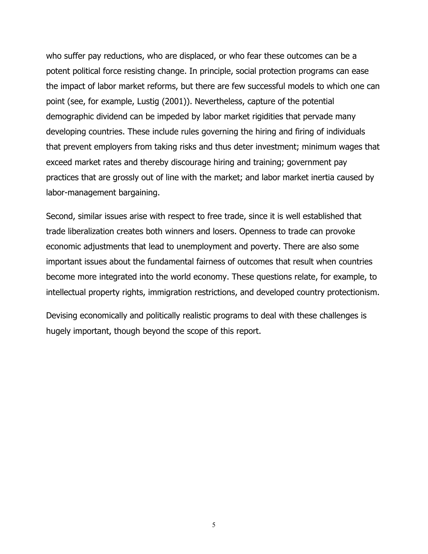who suffer pay reductions, who are displaced, or who fear these outcomes can be a potent political force resisting change. In principle, social protection programs can ease the impact of labor market reforms, but there are few successful models to which one can point (see, for example, Lustig (2001)). Nevertheless, capture of the potential demographic dividend can be impeded by labor market rigidities that pervade many developing countries. These include rules governing the hiring and firing of individuals that prevent employers from taking risks and thus deter investment; minimum wages that exceed market rates and thereby discourage hiring and training; government pay practices that are grossly out of line with the market; and labor market inertia caused by labor-management bargaining.

Second, similar issues arise with respect to free trade, since it is well established that trade liberalization creates both winners and losers. Openness to trade can provoke economic adjustments that lead to unemployment and poverty. There are also some important issues about the fundamental fairness of outcomes that result when countries become more integrated into the world economy. These questions relate, for example, to intellectual property rights, immigration restrictions, and developed country protectionism.

Devising economically and politically realistic programs to deal with these challenges is hugely important, though beyond the scope of this report.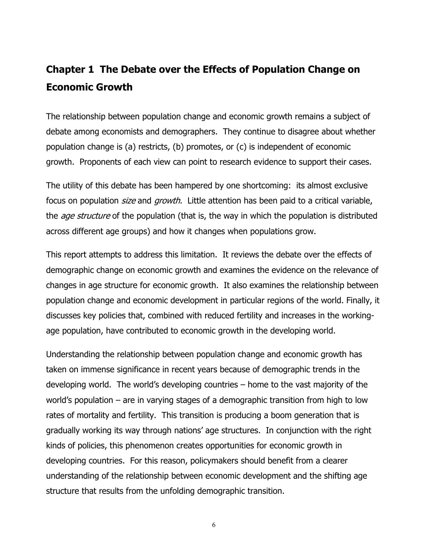# **Chapter 1 The Debate over the Effects of Population Change on Economic Growth**

The relationship between population change and economic growth remains a subject of debate among economists and demographers. They continue to disagree about whether population change is (a) restricts, (b) promotes, or (c) is independent of economic growth. Proponents of each view can point to research evidence to support their cases.

The utility of this debate has been hampered by one shortcoming: its almost exclusive focus on population *size* and *growth*. Little attention has been paid to a critical variable, the *age structure* of the population (that is, the way in which the population is distributed across different age groups) and how it changes when populations grow.

This report attempts to address this limitation. It reviews the debate over the effects of demographic change on economic growth and examines the evidence on the relevance of changes in age structure for economic growth. It also examines the relationship between population change and economic development in particular regions of the world. Finally, it discusses key policies that, combined with reduced fertility and increases in the workingage population, have contributed to economic growth in the developing world.

Understanding the relationship between population change and economic growth has taken on immense significance in recent years because of demographic trends in the developing world. The world's developing countries  $-$  home to the vast majority of the world's population  $-$  are in varying stages of a demographic transition from high to low rates of mortality and fertility. This transition is producing a boom generation that is gradually working its way through nationsí age structures. In conjunction with the right kinds of policies, this phenomenon creates opportunities for economic growth in developing countries. For this reason, policymakers should benefit from a clearer understanding of the relationship between economic development and the shifting age structure that results from the unfolding demographic transition.

6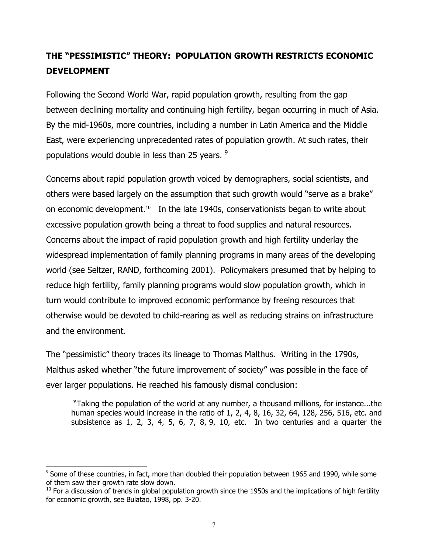# **THE ìPESSIMISTICî THEORY: POPULATION GROWTH RESTRICTS ECONOMIC DEVELOPMENT**

Following the Second World War, rapid population growth, resulting from the gap between declining mortality and continuing high fertility, began occurring in much of Asia. By the mid-1960s, more countries, including a number in Latin America and the Middle East, were experiencing unprecedented rates of population growth. At such rates, their populations would double in less than 25 years.  $9$ 

Concerns about rapid population growth voiced by demographers, social scientists, and others were based largely on the assumption that such growth would "serve as a brake" on economic development.10 In the late 1940s, conservationists began to write about excessive population growth being a threat to food supplies and natural resources. Concerns about the impact of rapid population growth and high fertility underlay the widespread implementation of family planning programs in many areas of the developing world (see Seltzer, RAND, forthcoming 2001). Policymakers presumed that by helping to reduce high fertility, family planning programs would slow population growth, which in turn would contribute to improved economic performance by freeing resources that otherwise would be devoted to child-rearing as well as reducing strains on infrastructure and the environment.

The "pessimistic" theory traces its lineage to Thomas Malthus. Writing in the 1790s, Malthus asked whether "the future improvement of society" was possible in the face of ever larger populations. He reached his famously dismal conclusion:

 ìTaking the population of the world at any number, a thousand millions, for instance...the human species would increase in the ratio of 1, 2, 4, 8, 16, 32, 64, 128, 256, 516, etc. and subsistence as 1, 2, 3, 4, 5, 6, 7, 8, 9, 10, etc. In two centuries and a quarter the

 $\overline{a}$  $9$  Some of these countries, in fact, more than doubled their population between 1965 and 1990, while some of them saw their growth rate slow down.

 $10$  For a discussion of trends in global population growth since the 1950s and the implications of high fertility for economic growth, see Bulatao, 1998, pp. 3-20.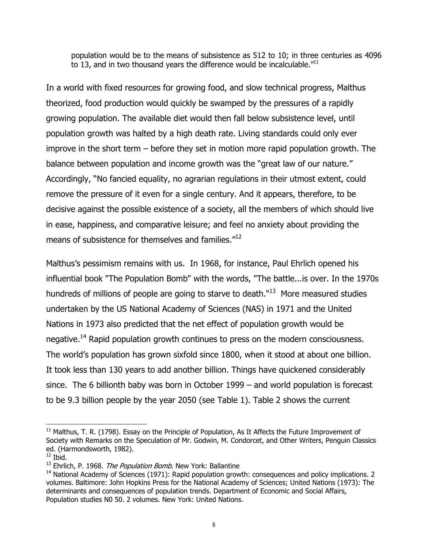population would be to the means of subsistence as 512 to 10; in three centuries as 4096 to 13, and in two thousand years the difference would be incalculable. $111$ 

In a world with fixed resources for growing food, and slow technical progress, Malthus theorized, food production would quickly be swamped by the pressures of a rapidly growing population. The available diet would then fall below subsistence level, until population growth was halted by a high death rate. Living standards could only ever improve in the short term  $-$  before they set in motion more rapid population growth. The balance between population and income growth was the "great law of our nature." Accordingly, "No fancied equality, no agrarian regulations in their utmost extent, could remove the pressure of it even for a single century. And it appears, therefore, to be decisive against the possible existence of a society, all the members of which should live in ease, happiness, and comparative leisure; and feel no anxiety about providing the means of subsistence for themselves and families. $12$ 

Malthus's pessimism remains with us. In 1968, for instance, Paul Ehrlich opened his influential book "The Population Bomb" with the words, "The battle...is over. In the 1970s hundreds of millions of people are going to starve to death."<sup>13</sup> More measured studies undertaken by the US National Academy of Sciences (NAS) in 1971 and the United Nations in 1973 also predicted that the net effect of population growth would be negative.14 Rapid population growth continues to press on the modern consciousness. The world's population has grown sixfold since 1800, when it stood at about one billion. It took less than 130 years to add another billion. Things have quickened considerably since. The 6 billionth baby was born in October 1999  $-$  and world population is forecast to be 9.3 billion people by the year 2050 (see Table 1). Table 2 shows the current

 $11$  Malthus, T. R. (1798). Essay on the Principle of Population, As It Affects the Future Improvement of Society with Remarks on the Speculation of Mr. Godwin, M. Condorcet, and Other Writers, Penguin Classics ed. (Harmondsworth, 1982).

 $12$  Ibid.

 $13$  Ehrlich, P. 1968. The Population Bomb. New York: Ballantine

 $14$  National Academy of Sciences (1971): Rapid population growth: consequences and policy implications. 2 volumes. Baltimore: John Hopkins Press for the National Academy of Sciences; United Nations (1973): The determinants and consequences of population trends. Department of Economic and Social Affairs, Population studies N0 50. 2 volumes. New York: United Nations.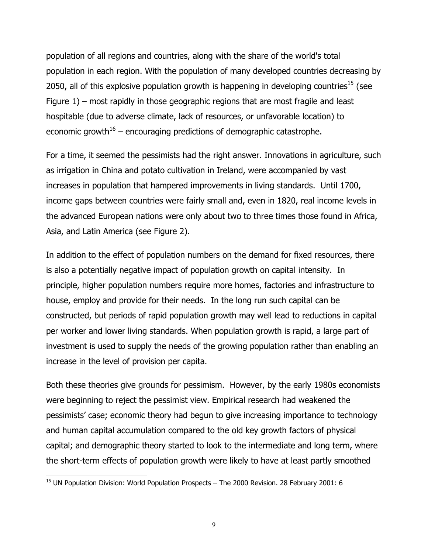population of all regions and countries, along with the share of the world's total population in each region. With the population of many developed countries decreasing by 2050, all of this explosive population growth is happening in developing countries<sup>15</sup> (see Figure  $1$ ) – most rapidly in those geographic regions that are most fragile and least hospitable (due to adverse climate, lack of resources, or unfavorable location) to economic growth<sup>16</sup> – encouraging predictions of demographic catastrophe.

For a time, it seemed the pessimists had the right answer. Innovations in agriculture, such as irrigation in China and potato cultivation in Ireland, were accompanied by vast increases in population that hampered improvements in living standards. Until 1700, income gaps between countries were fairly small and, even in 1820, real income levels in the advanced European nations were only about two to three times those found in Africa, Asia, and Latin America (see Figure 2).

In addition to the effect of population numbers on the demand for fixed resources, there is also a potentially negative impact of population growth on capital intensity. In principle, higher population numbers require more homes, factories and infrastructure to house, employ and provide for their needs. In the long run such capital can be constructed, but periods of rapid population growth may well lead to reductions in capital per worker and lower living standards. When population growth is rapid, a large part of investment is used to supply the needs of the growing population rather than enabling an increase in the level of provision per capita.

Both these theories give grounds for pessimism. However, by the early 1980s economists were beginning to reject the pessimist view. Empirical research had weakened the pessimistsí case; economic theory had begun to give increasing importance to technology and human capital accumulation compared to the old key growth factors of physical capital; and demographic theory started to look to the intermediate and long term, where the short-term effects of population growth were likely to have at least partly smoothed

 $15$  UN Population Division: World Population Prospects – The 2000 Revision. 28 February 2001: 6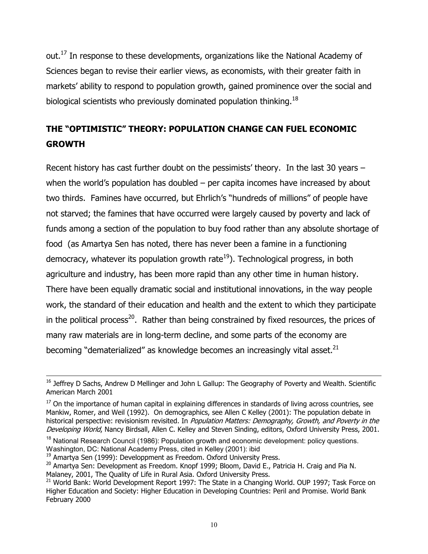out.<sup>17</sup> In response to these developments, organizations like the National Academy of Sciences began to revise their earlier views, as economists, with their greater faith in markets' ability to respond to population growth, gained prominence over the social and biological scientists who previously dominated population thinking.<sup>18</sup>

## THE "OPTIMISTIC" THEORY: POPULATION CHANGE CAN FUEL ECONOMIC **GROWTH**

Recent history has cast further doubt on the pessimists' theory. In the last 30 years  $$ when the world's population has doubled  $-$  per capita incomes have increased by about two thirds. Famines have occurred, but Ehrlich's "hundreds of millions" of people have not starved; the famines that have occurred were largely caused by poverty and lack of funds among a section of the population to buy food rather than any absolute shortage of food (as Amartya Sen has noted, there has never been a famine in a functioning democracy, whatever its population growth rate<sup>19</sup>). Technological progress, in both agriculture and industry, has been more rapid than any other time in human history. There have been equally dramatic social and institutional innovations, in the way people work, the standard of their education and health and the extent to which they participate in the political process<sup>20</sup>. Rather than being constrained by fixed resources, the prices of many raw materials are in long-term decline, and some parts of the economy are becoming "dematerialized" as knowledge becomes an increasingly vital asset. $^{21}$ 

<sup>&</sup>lt;sup>16</sup> Jeffrey D Sachs, Andrew D Mellinger and John L Gallup: The Geography of Poverty and Wealth. Scientific American March 2001

 $17$  On the importance of human capital in explaining differences in standards of living across countries, see Mankiw, Romer, and Weil (1992). On demographics, see Allen C Kelley (2001): The population debate in historical perspective: revisionism revisited. In *Population Matters: Demography, Growth, and Poverty in the* Developing World, Nancy Birdsall, Allen C. Kelley and Steven Sinding, editors, Oxford University Press, 2001.

 $18$  National Research Council (1986): Population growth and economic development: policy questions. Washington, DC: National Academy Press, cited in Kelley (2001): ibid

<sup>19</sup> Amartya Sen (1999): Developpment as Freedom. Oxford University Press.

<sup>&</sup>lt;sup>20</sup> Amartya Sen: Development as Freedom. Knopf 1999; Bloom, David E., Patricia H. Craig and Pia N. Malaney, 2001, The Quality of Life in Rural Asia. Oxford University Press.

<sup>&</sup>lt;sup>21</sup> World Bank: World Development Report 1997: The State in a Changing World. OUP 1997; Task Force on Higher Education and Society: Higher Education in Developing Countries: Peril and Promise. World Bank February 2000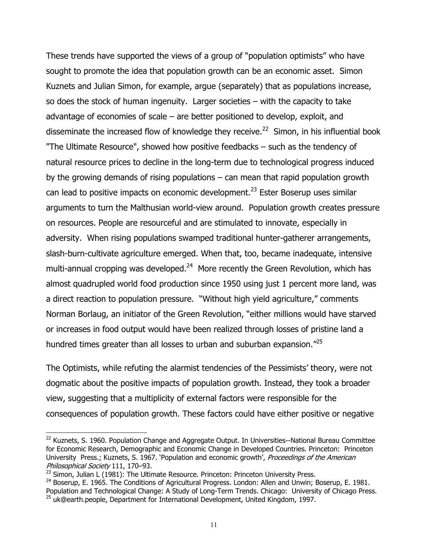These trends have supported the views of a group of "population optimists" who have sought to promote the idea that population growth can be an economic asset. Simon Kuznets and Julian Simon, for example, argue (separately) that as populations increase, so does the stock of human ingenuity. Larger societies  $-$  with the capacity to take advantage of economies of scale  $-$  are better positioned to develop, exploit, and disseminate the increased flow of knowledge they receive.<sup>22</sup> Simon, in his influential book "The Ultimate Resource", showed how positive feedbacks  $-$  such as the tendency of natural resource prices to decline in the long-term due to technological progress induced by the growing demands of rising populations  $-$  can mean that rapid population growth can lead to positive impacts on economic development.<sup>23</sup> Ester Boserup uses similar arguments to turn the Malthusian world-view around. Population growth creates pressure on resources. People are resourceful and are stimulated to innovate, especially in adversity. When rising populations swamped traditional hunter-gatherer arrangements, slash-burn-cultivate agriculture emerged. When that, too, became inadequate, intensive multi-annual cropping was developed. $^{24}$  More recently the Green Revolution, which has almost quadrupled world food production since 1950 using just 1 percent more land, was a direct reaction to population pressure. "Without high yield agriculture," comments Norman Borlaug, an initiator of the Green Revolution, "either millions would have starved or increases in food output would have been realized through losses of pristine land a hundred times greater than all losses to urban and suburban expansion.<sup>"25</sup>

The Optimists, while refuting the alarmist tendencies of the Pessimists' theory, were not dogmatic about the positive impacts of population growth. Instead, they took a broader view, suggesting that a multiplicity of external factors were responsible for the consequences of population growth. These factors could have either positive or negative

 $^{22}$  Kuznets, S. 1960. Population Change and Aggregate Output. In Universities--National Bureau Committee for Economic Research, Demographic and Economic Change in Developed Countries. Princeton: Princeton University Press.; Kuznets, S. 1967. 'Population and economic growth', Proceedings of the American Philosophical Society 111, 170-93.

 $^{23}$  Simon, Julian L (1981): The Ultimate Resource. Princeton: Princeton University Press.

<sup>&</sup>lt;sup>24</sup> Boserup, E. 1965. The Conditions of Agricultural Progress. London: Allen and Unwin; Boserup, E. 1981. Population and Technological Change: A Study of Long-Term Trends. Chicago: University of Chicago Press. <sup>25</sup> uk@earth.people, Department for International Development, United Kingdom, 1997.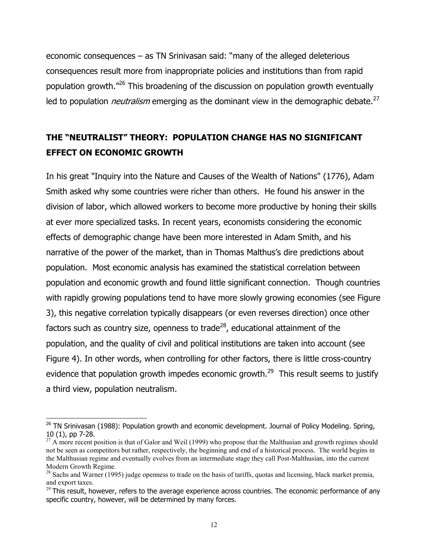economic consequences  $-$  as TN Srinivasan said: "many of the alleged deleterious consequences result more from inappropriate policies and institutions than from rapid population growth.<sup>n26</sup> This broadening of the discussion on population growth eventually led to population *neutralism* emerging as the dominant view in the demographic debate.<sup>27</sup>

## THE "NEUTRALIST" THEORY: POPULATION CHANGE HAS NO SIGNIFICANT **EFFECT ON ECONOMIC GROWTH**

In his great "Inquiry into the Nature and Causes of the Wealth of Nations" (1776), Adam Smith asked why some countries were richer than others. He found his answer in the division of labor, which allowed workers to become more productive by honing their skills at ever more specialized tasks. In recent years, economists considering the economic effects of demographic change have been more interested in Adam Smith, and his narrative of the power of the market, than in Thomas Malthus's dire predictions about population. Most economic analysis has examined the statistical correlation between population and economic growth and found little significant connection. Though countries with rapidly growing populations tend to have more slowly growing economies (see Figure 3), this negative correlation typically disappears (or even reverses direction) once other factors such as country size, openness to trade<sup>28</sup>, educational attainment of the population, and the quality of civil and political institutions are taken into account (see Figure 4). In other words, when controlling for other factors, there is little cross-country evidence that population growth impedes economic growth.<sup>29</sup> This result seems to justify a third view, population neutralism.

<sup>&</sup>lt;sup>26</sup> TN Srinivasan (1988): Population growth and economic development. Journal of Policy Modeling. Spring, 10 (1), pp 7-28.

 $27$  A more recent position is that of Galor and Weil (1999) who propose that the Malthusian and growth regimes should not be seen as competitors but rather, respectively, the beginning and end of a historical process. The world begins in the Malthusian regime and eventually evolves from an intermediate stage they call Post-Malthusian, into the current Modern Growth Regime.

 $^{28}$  Sachs and Warner (1995) judge openness to trade on the basis of tariffs, quotas and licensing, black market premia, and export taxes.

 $29$  This result, however, refers to the average experience across countries. The economic performance of any specific country, however, will be determined by many forces.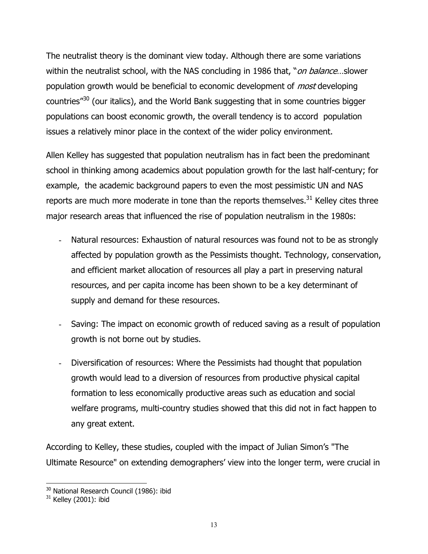The neutralist theory is the dominant view today. Although there are some variations within the neutralist school, with the NAS concluding in 1986 that, "*on balance*...slower population growth would be beneficial to economic development of *most* developing countries<sup>"30</sup> (our italics), and the World Bank suggesting that in some countries bigger populations can boost economic growth, the overall tendency is to accord population issues a relatively minor place in the context of the wider policy environment.

Allen Kelley has suggested that population neutralism has in fact been the predominant school in thinking among academics about population growth for the last half-century; for example, the academic background papers to even the most pessimistic UN and NAS reports are much more moderate in tone than the reports themselves. $31$  Kelley cites three major research areas that influenced the rise of population neutralism in the 1980s:

- Natural resources: Exhaustion of natural resources was found not to be as strongly affected by population growth as the Pessimists thought. Technology, conservation, and efficient market allocation of resources all play a part in preserving natural resources, and per capita income has been shown to be a key determinant of supply and demand for these resources.
- Saving: The impact on economic growth of reduced saving as a result of population growth is not borne out by studies.
- Diversification of resources: Where the Pessimists had thought that population growth would lead to a diversion of resources from productive physical capital formation to less economically productive areas such as education and social welfare programs, multi-country studies showed that this did not in fact happen to any great extent.

According to Kelley, these studies, coupled with the impact of Julian Simon's "The Ultimate Resource" on extending demographers' view into the longer term, were crucial in

l

<sup>&</sup>lt;sup>30</sup> National Research Council (1986): ibid

 $31$  Kelley (2001): ibid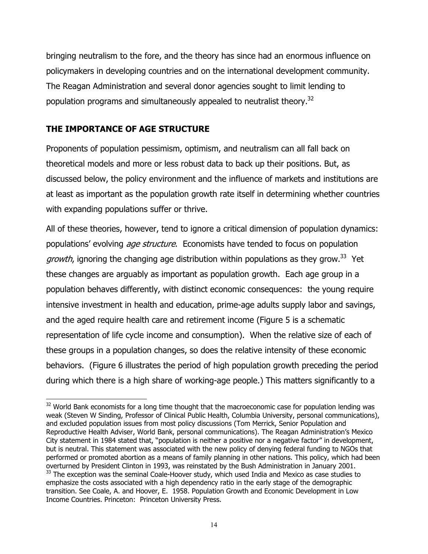bringing neutralism to the fore, and the theory has since had an enormous influence on policymakers in developing countries and on the international development community. The Reagan Administration and several donor agencies sought to limit lending to population programs and simultaneously appealed to neutralist theory.<sup>32</sup>

### **THE IMPORTANCE OF AGE STRUCTURE**

 $\overline{\phantom{a}}$ 

Proponents of population pessimism, optimism, and neutralism can all fall back on theoretical models and more or less robust data to back up their positions. But, as discussed below, the policy environment and the influence of markets and institutions are at least as important as the population growth rate itself in determining whether countries with expanding populations suffer or thrive.

All of these theories, however, tend to ignore a critical dimension of population dynamics: populations' evolving *age structure*. Economists have tended to focus on population growth, ignoring the changing age distribution within populations as they grow.<sup>33</sup> Yet these changes are arguably as important as population growth. Each age group in a population behaves differently, with distinct economic consequences: the young require intensive investment in health and education, prime-age adults supply labor and savings, and the aged require health care and retirement income (Figure 5 is a schematic representation of life cycle income and consumption). When the relative size of each of these groups in a population changes, so does the relative intensity of these economic behaviors. (Figure 6 illustrates the period of high population growth preceding the period during which there is a high share of working-age people.) This matters significantly to a

<sup>&</sup>lt;sup>32</sup> World Bank economists for a long time thought that the macroeconomic case for population lending was weak (Steven W Sinding, Professor of Clinical Public Health, Columbia University, personal communications), and excluded population issues from most policy discussions (Tom Merrick, Senior Population and Reproductive Health Adviser, World Bank, personal communications). The Reagan Administrationís Mexico City statement in 1984 stated that, "population is neither a positive nor a negative factor" in development, but is neutral. This statement was associated with the new policy of denying federal funding to NGOs that performed or promoted abortion as a means of family planning in other nations. This policy, which had been overturned by President Clinton in 1993, was reinstated by the Bush Administration in January 2001. <sup>33</sup> The exception was the seminal Coale-Hoover study, which used India and Mexico as case studies to emphasize the costs associated with a high dependency ratio in the early stage of the demographic transition. See Coale, A. and Hoover, E. 1958. Population Growth and Economic Development in Low Income Countries. Princeton: Princeton University Press.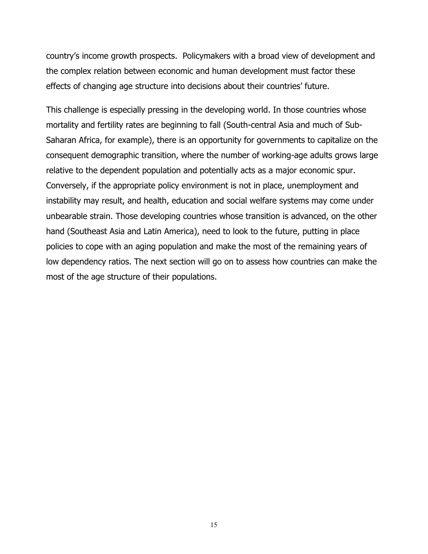countryís income growth prospects. Policymakers with a broad view of development and the complex relation between economic and human development must factor these effects of changing age structure into decisions about their countries' future.

This challenge is especially pressing in the developing world. In those countries whose mortality and fertility rates are beginning to fall (South-central Asia and much of Sub-Saharan Africa, for example), there is an opportunity for governments to capitalize on the consequent demographic transition, where the number of working-age adults grows large relative to the dependent population and potentially acts as a major economic spur. Conversely, if the appropriate policy environment is not in place, unemployment and instability may result, and health, education and social welfare systems may come under unbearable strain. Those developing countries whose transition is advanced, on the other hand (Southeast Asia and Latin America), need to look to the future, putting in place policies to cope with an aging population and make the most of the remaining years of low dependency ratios. The next section will go on to assess how countries can make the most of the age structure of their populations.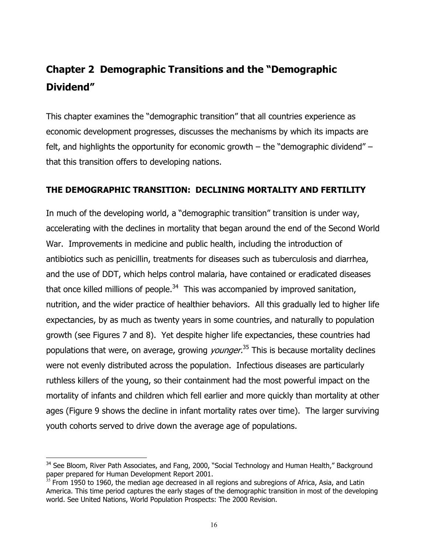# **Chapter 2 Demographic Transitions and the "Demographic Dividend<sup>"</sup>**

This chapter examines the "demographic transition" that all countries experience as economic development progresses, discusses the mechanisms by which its impacts are felt, and highlights the opportunity for economic growth  $-$  the "demographic dividend"  $$ that this transition offers to developing nations.

### **THE DEMOGRAPHIC TRANSITION: DECLINING MORTALITY AND FERTILITY**

In much of the developing world, a "demographic transition" transition is under way, accelerating with the declines in mortality that began around the end of the Second World War. Improvements in medicine and public health, including the introduction of antibiotics such as penicillin, treatments for diseases such as tuberculosis and diarrhea, and the use of DDT, which helps control malaria, have contained or eradicated diseases that once killed millions of people.<sup>34</sup> This was accompanied by improved sanitation, nutrition, and the wider practice of healthier behaviors. All this gradually led to higher life expectancies, by as much as twenty years in some countries, and naturally to population growth (see Figures 7 and 8). Yet despite higher life expectancies, these countries had populations that were, on average, growing *younger*.<sup>35</sup> This is because mortality declines were not evenly distributed across the population. Infectious diseases are particularly ruthless killers of the young, so their containment had the most powerful impact on the mortality of infants and children which fell earlier and more quickly than mortality at other ages (Figure 9 shows the decline in infant mortality rates over time). The larger surviving youth cohorts served to drive down the average age of populations.

 $\overline{\phantom{a}}$ 

 $34$  See Bloom, River Path Associates, and Fang, 2000, "Social Technology and Human Health," Background paper prepared for Human Development Report 2001.

 $35$  From 1950 to 1960, the median age decreased in all regions and subregions of Africa, Asia, and Latin America. This time period captures the early stages of the demographic transition in most of the developing world. See United Nations, World Population Prospects: The 2000 Revision.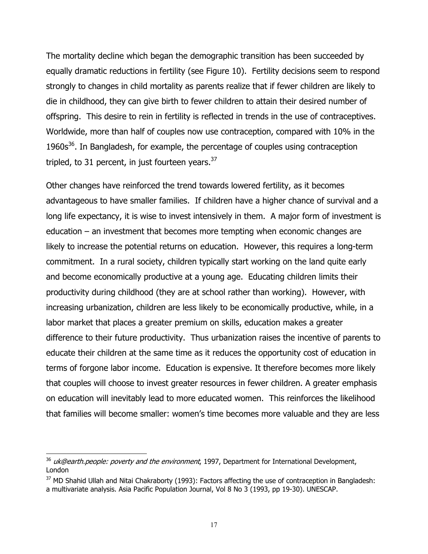The mortality decline which began the demographic transition has been succeeded by equally dramatic reductions in fertility (see Figure 10). Fertility decisions seem to respond strongly to changes in child mortality as parents realize that if fewer children are likely to die in childhood, they can give birth to fewer children to attain their desired number of offspring. This desire to rein in fertility is reflected in trends in the use of contraceptives. Worldwide, more than half of couples now use contraception, compared with 10% in the 1960s<sup>36</sup>. In Bangladesh, for example, the percentage of couples using contraception tripled, to 31 percent, in just fourteen years. $37$ 

Other changes have reinforced the trend towards lowered fertility, as it becomes advantageous to have smaller families. If children have a higher chance of survival and a long life expectancy, it is wise to invest intensively in them. A major form of investment is education  $-$  an investment that becomes more tempting when economic changes are likely to increase the potential returns on education. However, this requires a long-term commitment. In a rural society, children typically start working on the land quite early and become economically productive at a young age. Educating children limits their productivity during childhood (they are at school rather than working). However, with increasing urbanization, children are less likely to be economically productive, while, in a labor market that places a greater premium on skills, education makes a greater difference to their future productivity. Thus urbanization raises the incentive of parents to educate their children at the same time as it reduces the opportunity cost of education in terms of forgone labor income. Education is expensive. It therefore becomes more likely that couples will choose to invest greater resources in fewer children. A greater emphasis on education will inevitably lead to more educated women. This reinforces the likelihood that families will become smaller: women's time becomes more valuable and they are less

 $\overline{\phantom{a}}$ 

<sup>&</sup>lt;sup>36</sup> uk@earth.people: poverty and the environment, 1997, Department for International Development, London

 $37$  MD Shahid Ullah and Nitai Chakraborty (1993): Factors affecting the use of contraception in Bangladesh: a multivariate analysis. Asia Pacific Population Journal, Vol 8 No 3 (1993, pp 19-30). UNESCAP.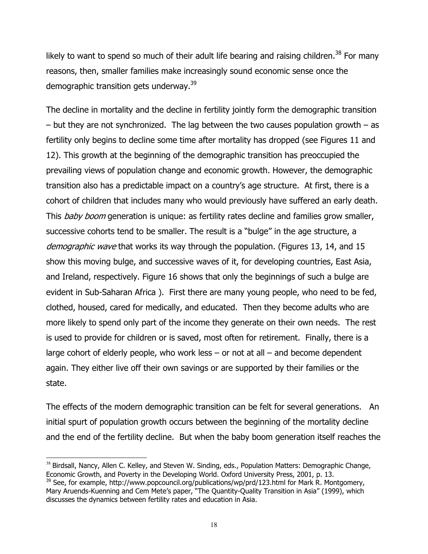likely to want to spend so much of their adult life bearing and raising children.<sup>38</sup> For many reasons, then, smaller families make increasingly sound economic sense once the demographic transition gets underway.<sup>39</sup>

The decline in mortality and the decline in fertility jointly form the demographic transition  $-$  but they are not synchronized. The lag between the two causes population growth  $-$  as fertility only begins to decline some time after mortality has dropped (see Figures 11 and 12). This growth at the beginning of the demographic transition has preoccupied the prevailing views of population change and economic growth. However, the demographic transition also has a predictable impact on a countryís age structure. At first, there is a cohort of children that includes many who would previously have suffered an early death. This *baby boom* generation is unique: as fertility rates decline and families grow smaller, successive cohorts tend to be smaller. The result is a "bulge" in the age structure, a demographic wave that works its way through the population. (Figures 13, 14, and 15 show this moving bulge, and successive waves of it, for developing countries, East Asia, and Ireland, respectively. Figure 16 shows that only the beginnings of such a bulge are evident in Sub-Saharan Africa ). First there are many young people, who need to be fed, clothed, housed, cared for medically, and educated. Then they become adults who are more likely to spend only part of the income they generate on their own needs. The rest is used to provide for children or is saved, most often for retirement. Finally, there is a large cohort of elderly people, who work less  $-$  or not at all  $-$  and become dependent again. They either live off their own savings or are supported by their families or the state.

The effects of the modern demographic transition can be felt for several generations. An initial spurt of population growth occurs between the beginning of the mortality decline and the end of the fertility decline. But when the baby boom generation itself reaches the

 $\overline{\phantom{a}}$  $38$  Birdsall, Nancy, Allen C. Kelley, and Steven W. Sinding, eds., Population Matters: Demographic Change, Economic Growth, and Poverty in the Developing World. Oxford University Press, 2001, p. 13. <sup>39</sup> See, for example, http://www.popcouncil.org/publications/wp/prd/123.html for Mark R. Montgomery,

Mary Aruends-Kuenning and Cem Mete's paper, "The Quantity-Quality Transition in Asia" (1999), which discusses the dynamics between fertility rates and education in Asia.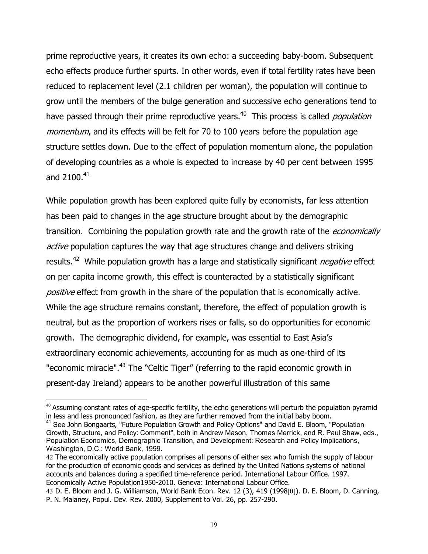prime reproductive years, it creates its own echo: a succeeding baby-boom. Subsequent echo effects produce further spurts. In other words, even if total fertility rates have been reduced to replacement level (2.1 children per woman), the population will continue to grow until the members of the bulge generation and successive echo generations tend to have passed through their prime reproductive years.<sup>40</sup> This process is called *population* momentum, and its effects will be felt for 70 to 100 years before the population age structure settles down. Due to the effect of population momentum alone, the population of developing countries as a whole is expected to increase by 40 per cent between 1995 and  $2100.<sup>41</sup>$ 

While population growth has been explored quite fully by economists, far less attention has been paid to changes in the age structure brought about by the demographic transition. Combining the population growth rate and the growth rate of the *economically* active population captures the way that age structures change and delivers striking results.<sup>42</sup> While population growth has a large and statistically significant *negative* effect on per capita income growth, this effect is counteracted by a statistically significant positive effect from growth in the share of the population that is economically active. While the age structure remains constant, therefore, the effect of population growth is neutral, but as the proportion of workers rises or falls, so do opportunities for economic growth. The demographic dividend, for example, was essential to East Asiaís extraordinary economic achievements, accounting for as much as one-third of its "economic miracle".<sup>43</sup> The "Celtic Tiger" (referring to the rapid economic growth in present-day Ireland) appears to be another powerful illustration of this same

l

 $40$  Assuming constant rates of age-specific fertility, the echo generations will perturb the population pyramid in less and less pronounced fashion, as they are further removed from the initial baby boom.<br><sup>41</sup> See John Bongaarts, "Future Population Growth and Policy Options" and David E. Bloom, "Population

Growth, Structure, and Policy: Comment", both in Andrew Mason, Thomas Merrick, and R. Paul Shaw, eds., Population Economics, Demographic Transition, and Development: Research and Policy Implications, Washington, D.C.: World Bank, 1999.

<sup>42</sup> The economically active population comprises all persons of either sex who furnish the supply of labour for the production of economic goods and services as defined by the United Nations systems of national accounts and balances during a specified time-reference period. International Labour Office. 1997. Economically Active Population1950-2010. Geneva: International Labour Office.

<sup>43</sup> D. E. Bloom and J. G. Williamson, World Bank Econ. Rev. 12 (3), 419 (1998[0]). D. E. Bloom, D. Canning, P. N. Malaney, Popul. Dev. Rev. 2000, Supplement to Vol. 26, pp. 257-290.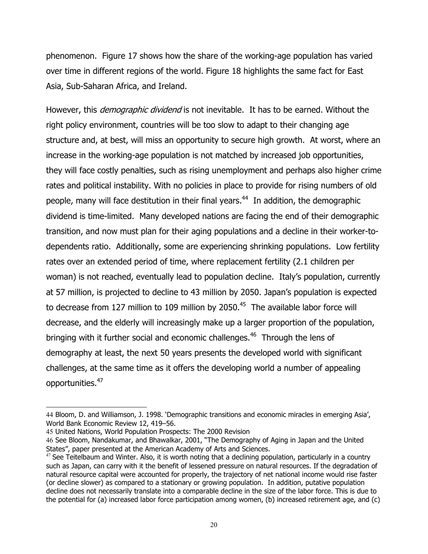phenomenon. Figure 17 shows how the share of the working-age population has varied over time in different regions of the world. Figure 18 highlights the same fact for East Asia, Sub-Saharan Africa, and Ireland.

However, this *demographic dividend* is not inevitable. It has to be earned. Without the right policy environment, countries will be too slow to adapt to their changing age structure and, at best, will miss an opportunity to secure high growth. At worst, where an increase in the working-age population is not matched by increased job opportunities, they will face costly penalties, such as rising unemployment and perhaps also higher crime rates and political instability. With no policies in place to provide for rising numbers of old people, many will face destitution in their final years.<sup>44</sup> In addition, the demographic dividend is time-limited. Many developed nations are facing the end of their demographic transition, and now must plan for their aging populations and a decline in their worker-todependents ratio. Additionally, some are experiencing shrinking populations. Low fertility rates over an extended period of time, where replacement fertility (2.1 children per woman) is not reached, eventually lead to population decline. Italy's population, currently at 57 million, is projected to decline to 43 million by 2050. Japan's population is expected to decrease from 127 million to 109 million by 2050. $45$  The available labor force will decrease, and the elderly will increasingly make up a larger proportion of the population, bringing with it further social and economic challenges.<sup>46</sup> Through the lens of demography at least, the next 50 years presents the developed world with significant challenges, at the same time as it offers the developing world a number of appealing opportunities.47

 $\overline{\phantom{a}}$ 

<sup>44</sup> Bloom, D. and Williamson, J. 1998. 'Demographic transitions and economic miracles in emerging Asia', World Bank Economic Review 12, 419-56.

<sup>45</sup> United Nations, World Population Prospects: The 2000 Revision

<sup>46</sup> See Bloom, Nandakumar, and Bhawalkar, 2001, "The Demography of Aging in Japan and the United States", paper presented at the American Academy of Arts and Sciences.

 $47$  See Teitelbaum and Winter. Also, it is worth noting that a declining population, particularly in a country such as Japan, can carry with it the benefit of lessened pressure on natural resources. If the degradation of natural resource capital were accounted for properly, the trajectory of net national income would rise faster (or decline slower) as compared to a stationary or growing population. In addition, putative population decline does not necessarily translate into a comparable decline in the size of the labor force. This is due to the potential for (a) increased labor force participation among women, (b) increased retirement age, and (c)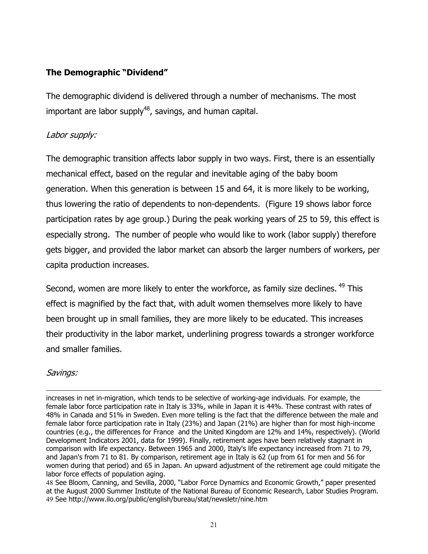### **The Demographic "Dividend"**

The demographic dividend is delivered through a number of mechanisms. The most important are labor supply<sup>48</sup>, savings, and human capital.

### Labor supply:

The demographic transition affects labor supply in two ways. First, there is an essentially mechanical effect, based on the regular and inevitable aging of the baby boom generation. When this generation is between 15 and 64, it is more likely to be working, thus lowering the ratio of dependents to non-dependents. (Figure 19 shows labor force participation rates by age group.) During the peak working years of 25 to 59, this effect is especially strong. The number of people who would like to work (labor supply) therefore gets bigger, and provided the labor market can absorb the larger numbers of workers, per capita production increases.

Second, women are more likely to enter the workforce, as family size declines. <sup>49</sup> This effect is magnified by the fact that, with adult women themselves more likely to have been brought up in small families, they are more likely to be educated. This increases their productivity in the labor market, underlining progress towards a stronger workforce and smaller families.

### Savings:

 $\overline{\phantom{a}}$ increases in net in-migration, which tends to be selective of working-age individuals. For example, the female labor force participation rate in Italy is 33%, while in Japan it is 44%. These contrast with rates of 48% in Canada and 51% in Sweden. Even more telling is the fact that the difference between the male and female labor force participation rate in Italy (23%) and Japan (21%) are higher than for most high-income countries (e.g., the differences for France and the United Kingdom are 12% and 14%, respectively). (World Development Indicators 2001, data for 1999). Finally, retirement ages have been relatively stagnant in comparison with life expectancy. Between 1965 and 2000, Italy's life expectancy increased from 71 to 79, and Japan's from 71 to 81. By comparison, retirement age in Italy is 62 (up from 61 for men and 56 for women during that period) and 65 in Japan. An upward adjustment of the retirement age could mitigate the labor force effects of population aging.

<sup>48</sup> See Bloom, Canning, and Sevilla, 2000, "Labor Force Dynamics and Economic Growth," paper presented at the August 2000 Summer Institute of the National Bureau of Economic Research, Labor Studies Program. 49 See http://www.ilo.org/public/english/bureau/stat/newsletr/nine.htm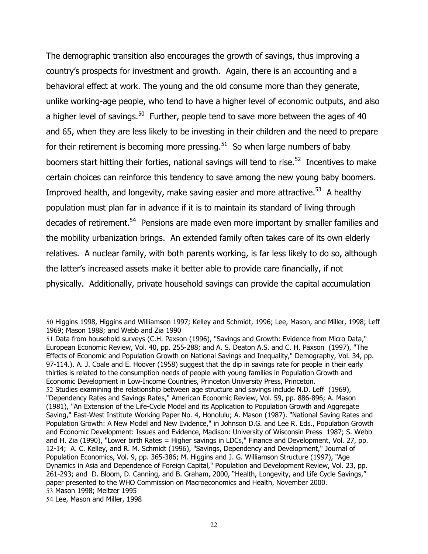The demographic transition also encourages the growth of savings, thus improving a countryís prospects for investment and growth. Again, there is an accounting and a behavioral effect at work. The young and the old consume more than they generate, unlike working-age people, who tend to have a higher level of economic outputs, and also a higher level of savings.<sup>50</sup> Further, people tend to save more between the ages of 40 and 65, when they are less likely to be investing in their children and the need to prepare for their retirement is becoming more pressing.<sup>51</sup> So when large numbers of baby boomers start hitting their forties, national savings will tend to rise.<sup>52</sup> Incentives to make certain choices can reinforce this tendency to save among the new young baby boomers. Improved health, and longevity, make saving easier and more attractive.<sup>53</sup> A healthy population must plan far in advance if it is to maintain its standard of living through decades of retirement.<sup>54</sup> Pensions are made even more important by smaller families and the mobility urbanization brings. An extended family often takes care of its own elderly relatives. A nuclear family, with both parents working, is far less likely to do so, although the latterís increased assets make it better able to provide care financially, if not physically. Additionally, private household savings can provide the capital accumulation

51 Data from household surveys (C.H. Paxson (1996), "Savings and Growth: Evidence from Micro Data," European Economic Review, Vol. 40, pp. 255-288; and A. S. Deaton A.S. and C. H. Paxson (1997), "The Effects of Economic and Population Growth on National Savings and Inequality," Demography, Vol. 34, pp. 97-114.). A. J. Coale and E. Hoover (1958) suggest that the dip in savings rate for people in their early thirties is related to the consumption needs of people with young families in Population Growth and Economic Development in Low-Income Countries, Princeton University Press, Princeton. 52 Studies examining the relationship between age structure and savings include N.D. Leff (1969), "Dependency Rates and Savings Rates," American Economic Review, Vol. 59, pp. 886-896; A. Mason (1981), "An Extension of the Life-Cycle Model and its Application to Population Growth and Aggregate Saving," East-West Institute Working Paper No. 4, Honolulu; A. Mason (1987). "National Saving Rates and Population Growth: A New Model and New Evidence," in Johnson D.G. and Lee R. Eds., Population Growth and Economic Development: Issues and Evidence, Madison: University of Wisconsin Press 1987; S. Webb and H. Zia (1990), "Lower birth Rates = Higher savings in LDCs," Finance and Development, Vol. 27, pp. 12-14; A. C. Kelley, and R. M. Schmidt (1996), "Savings, Dependency and Development," Journal of Population Economics, Vol. 9, pp. 365-386; M. Higgins and J. G. Williamson Structure (1997), "Age Dynamics in Asia and Dependence of Foreign Capital," Population and Development Review, Vol. 23, pp. 261-293; and D. Bloom, D. Canning, and B. Graham, 2000, "Health, Longevity, and Life Cycle Savings," paper presented to the WHO Commission on Macroeconomics and Health, November 2000. 53 Mason 1998; Meltzer 1995

l

<sup>50</sup> Higgins 1998, Higgins and Williamson 1997; Kelley and Schmidt, 1996; Lee, Mason, and Miller, 1998; Leff 1969; Mason 1988; and Webb and Zia 1990

<sup>54</sup> Lee, Mason and Miller, 1998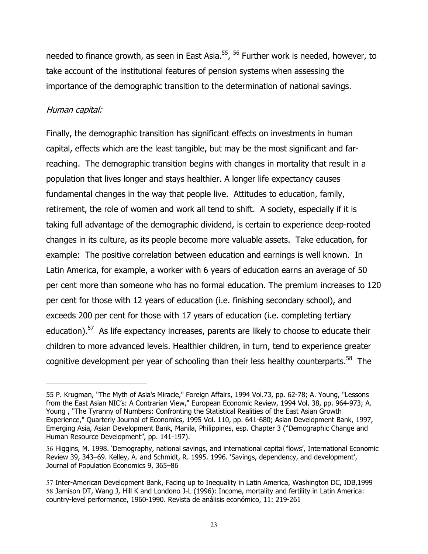needed to finance growth, as seen in East Asia.<sup>55</sup>, <sup>56</sup> Further work is needed, however, to take account of the institutional features of pension systems when assessing the importance of the demographic transition to the determination of national savings.

### Human capital:

 $\overline{a}$ 

Finally, the demographic transition has significant effects on investments in human capital, effects which are the least tangible, but may be the most significant and farreaching. The demographic transition begins with changes in mortality that result in a population that lives longer and stays healthier. A longer life expectancy causes fundamental changes in the way that people live. Attitudes to education, family, retirement, the role of women and work all tend to shift. A society, especially if it is taking full advantage of the demographic dividend, is certain to experience deep-rooted changes in its culture, as its people become more valuable assets. Take education, for example: The positive correlation between education and earnings is well known. In Latin America, for example, a worker with 6 years of education earns an average of 50 per cent more than someone who has no formal education. The premium increases to 120 per cent for those with 12 years of education (i.e. finishing secondary school), and exceeds 200 per cent for those with 17 years of education (i.e. completing tertiary education).<sup>57</sup> As life expectancy increases, parents are likely to choose to educate their children to more advanced levels. Healthier children, in turn, tend to experience greater cognitive development per year of schooling than their less healthy counterparts.<sup>58</sup> The

<sup>55</sup> P. Krugman, "The Myth of Asia's Miracle," Foreign Affairs, 1994 Vol.73, pp. 62-78; A. Young, "Lessons from the East Asian NIC's: A Contrarian View," European Economic Review, 1994 Vol. 38, pp. 964-973; A. Young , "The Tyranny of Numbers: Confronting the Statistical Realities of the East Asian Growth Experience," Quarterly Journal of Economics, 1995 Vol. 110, pp. 641-680; Asian Development Bank, 1997, Emerging Asia, Asian Development Bank, Manila, Philippines, esp. Chapter 3 ("Demographic Change and Human Resource Development", pp. 141-197).

<sup>56</sup> Higgins, M. 1998. 'Demography, national savings, and international capital flows', International Economic Review 39, 343–69. Kelley, A. and Schmidt, R. 1995. 1996. 'Savings, dependency, and development', Journal of Population Economics 9, 365-86

<sup>57</sup> Inter-American Development Bank, Facing up to Inequality in Latin America, Washington DC, IDB,1999 58 Jamison DT, Wang J, Hill K and Londono J-L (1996): Income, mortality and fertility in Latin America: country-level performance, 1960-1990. Revista de análisis económico, 11: 219-261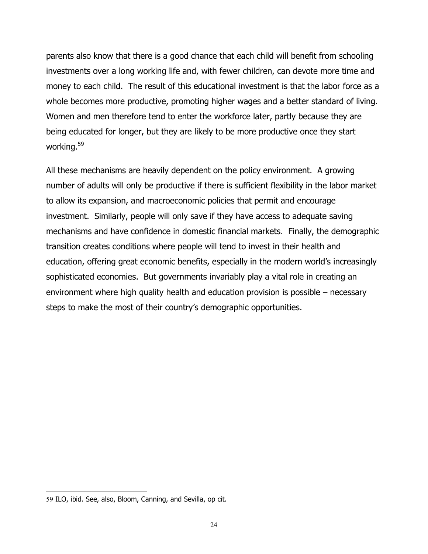parents also know that there is a good chance that each child will benefit from schooling investments over a long working life and, with fewer children, can devote more time and money to each child. The result of this educational investment is that the labor force as a whole becomes more productive, promoting higher wages and a better standard of living. Women and men therefore tend to enter the workforce later, partly because they are being educated for longer, but they are likely to be more productive once they start working.<sup>59</sup>

All these mechanisms are heavily dependent on the policy environment. A growing number of adults will only be productive if there is sufficient flexibility in the labor market to allow its expansion, and macroeconomic policies that permit and encourage investment. Similarly, people will only save if they have access to adequate saving mechanisms and have confidence in domestic financial markets. Finally, the demographic transition creates conditions where people will tend to invest in their health and education, offering great economic benefits, especially in the modern world's increasingly sophisticated economies. But governments invariably play a vital role in creating an environment where high quality health and education provision is possible  $-$  necessary steps to make the most of their country's demographic opportunities.

l

<sup>59</sup> ILO, ibid. See, also, Bloom, Canning, and Sevilla, op cit.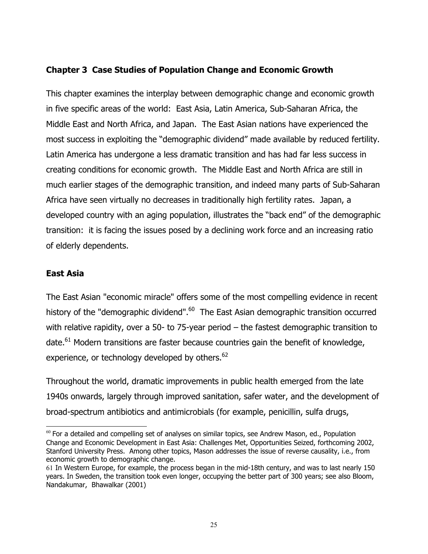### **Chapter 3 Case Studies of Population Change and Economic Growth**

This chapter examines the interplay between demographic change and economic growth in five specific areas of the world: East Asia, Latin America, Sub-Saharan Africa, the Middle East and North Africa, and Japan. The East Asian nations have experienced the most success in exploiting the "demographic dividend" made available by reduced fertility. Latin America has undergone a less dramatic transition and has had far less success in creating conditions for economic growth. The Middle East and North Africa are still in much earlier stages of the demographic transition, and indeed many parts of Sub-Saharan Africa have seen virtually no decreases in traditionally high fertility rates. Japan, a developed country with an aging population, illustrates the "back end" of the demographic transition: it is facing the issues posed by a declining work force and an increasing ratio of elderly dependents.

### **East Asia**

 $\overline{\phantom{a}}$ 

The East Asian "economic miracle" offers some of the most compelling evidence in recent history of the "demographic dividend". $^{60}$  The East Asian demographic transition occurred with relative rapidity, over a 50- to 75-year period  $-$  the fastest demographic transition to date. $61$  Modern transitions are faster because countries gain the benefit of knowledge, experience, or technology developed by others. $62$ 

Throughout the world, dramatic improvements in public health emerged from the late 1940s onwards, largely through improved sanitation, safer water, and the development of broad-spectrum antibiotics and antimicrobials (for example, penicillin, sulfa drugs,

 $60$  For a detailed and compelling set of analyses on similar topics, see Andrew Mason, ed., Population Change and Economic Development in East Asia: Challenges Met, Opportunities Seized, forthcoming 2002, Stanford University Press. Among other topics, Mason addresses the issue of reverse causality, i.e., from economic growth to demographic change.

<sup>61</sup> In Western Europe, for example, the process began in the mid-18th century, and was to last nearly 150 years. In Sweden, the transition took even longer, occupying the better part of 300 years; see also Bloom, Nandakumar, Bhawalkar (2001)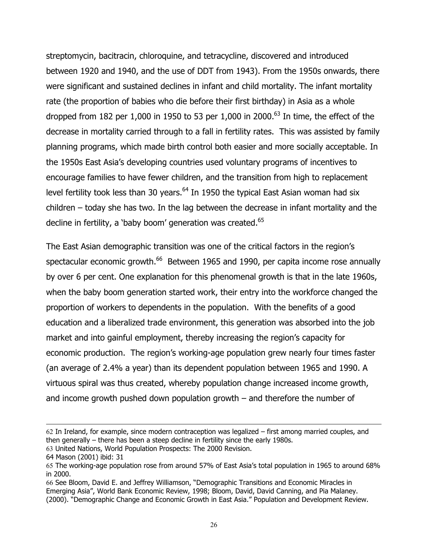streptomycin, bacitracin, chloroquine, and tetracycline, discovered and introduced between 1920 and 1940, and the use of DDT from 1943). From the 1950s onwards, there were significant and sustained declines in infant and child mortality. The infant mortality rate (the proportion of babies who die before their first birthday) in Asia as a whole dropped from 182 per 1,000 in 1950 to 53 per 1,000 in 2000. $^{63}$  In time, the effect of the decrease in mortality carried through to a fall in fertility rates. This was assisted by family planning programs, which made birth control both easier and more socially acceptable. In the 1950s East Asiaís developing countries used voluntary programs of incentives to encourage families to have fewer children, and the transition from high to replacement level fertility took less than 30 years. $64$  In 1950 the typical East Asian woman had six children  $-$  today she has two. In the lag between the decrease in infant mortality and the decline in fertility, a 'baby boom' generation was created. $65$ 

The East Asian demographic transition was one of the critical factors in the region's spectacular economic growth.<sup>66</sup> Between 1965 and 1990, per capita income rose annually by over 6 per cent. One explanation for this phenomenal growth is that in the late 1960s, when the baby boom generation started work, their entry into the workforce changed the proportion of workers to dependents in the population. With the benefits of a good education and a liberalized trade environment, this generation was absorbed into the job market and into gainful employment, thereby increasing the region's capacity for economic production. The region's working-age population grew nearly four times faster (an average of 2.4% a year) than its dependent population between 1965 and 1990. A virtuous spiral was thus created, whereby population change increased income growth, and income growth pushed down population growth  $-$  and therefore the number of

l

<sup>62</sup> In Ireland, for example, since modern contraception was legalized  $-$  first among married couples, and then generally  $-$  there has been a steep decline in fertility since the early 1980s.

<sup>63</sup> United Nations, World Population Prospects: The 2000 Revision.

<sup>64</sup> Mason (2001) ibid: 31

<sup>65</sup> The working-age population rose from around 57% of East Asiaís total population in 1965 to around 68% in 2000.

<sup>66</sup> See Bloom, David E. and Jeffrey Williamson, "Demographic Transitions and Economic Miracles in Emerging Asia", World Bank Economic Review, 1998; Bloom, David, David Canning, and Pia Malaney. (2000). "Demographic Change and Economic Growth in East Asia." Population and Development Review.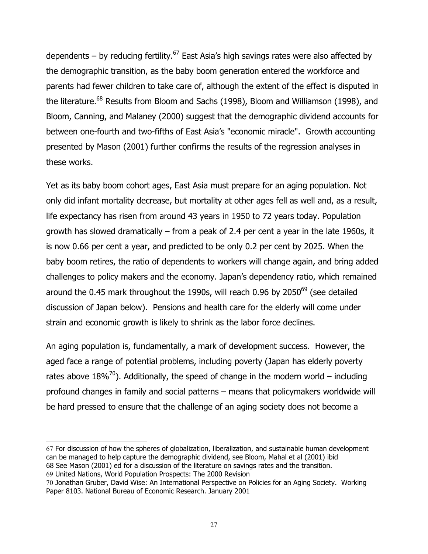dependents – by reducing fertility.<sup>67</sup> East Asia's high savings rates were also affected by the demographic transition, as the baby boom generation entered the workforce and parents had fewer children to take care of, although the extent of the effect is disputed in the literature.<sup>68</sup> Results from Bloom and Sachs (1998), Bloom and Williamson (1998), and Bloom, Canning, and Malaney (2000) suggest that the demographic dividend accounts for between one-fourth and two-fifths of East Asiaís "economic miracle". Growth accounting presented by Mason (2001) further confirms the results of the regression analyses in these works.

Yet as its baby boom cohort ages, East Asia must prepare for an aging population. Not only did infant mortality decrease, but mortality at other ages fell as well and, as a result, life expectancy has risen from around 43 years in 1950 to 72 years today. Population growth has slowed dramatically  $-$  from a peak of 2.4 per cent a year in the late 1960s, it is now 0.66 per cent a year, and predicted to be only 0.2 per cent by 2025. When the baby boom retires, the ratio of dependents to workers will change again, and bring added challenges to policy makers and the economy. Japanís dependency ratio, which remained around the 0.45 mark throughout the 1990s, will reach 0.96 by 2050 $^{69}$  (see detailed discussion of Japan below). Pensions and health care for the elderly will come under strain and economic growth is likely to shrink as the labor force declines.

An aging population is, fundamentally, a mark of development success. However, the aged face a range of potential problems, including poverty (Japan has elderly poverty rates above  $18\%^{70}$ ). Additionally, the speed of change in the modern world – including profound changes in family and social patterns  $-$  means that policymakers worldwide will be hard pressed to ensure that the challenge of an aging society does not become a

 $\overline{\phantom{a}}$ 67 For discussion of how the spheres of globalization, liberalization, and sustainable human development can be managed to help capture the demographic dividend, see Bloom, Mahal et al (2001) ibid 68 See Mason (2001) ed for a discussion of the literature on savings rates and the transition.

69 United Nations, World Population Prospects: The 2000 Revision

70 Jonathan Gruber, David Wise: An International Perspective on Policies for an Aging Society. Working Paper 8103. National Bureau of Economic Research. January 2001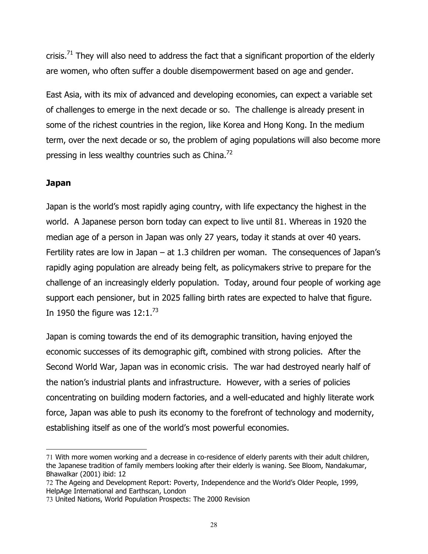crisis.<sup>71</sup> They will also need to address the fact that a significant proportion of the elderly are women, who often suffer a double disempowerment based on age and gender.

East Asia, with its mix of advanced and developing economies, can expect a variable set of challenges to emerge in the next decade or so. The challenge is already present in some of the richest countries in the region, like Korea and Hong Kong. In the medium term, over the next decade or so, the problem of aging populations will also become more pressing in less wealthy countries such as China.<sup>72</sup>

### **Japan**

 $\overline{\phantom{a}}$ 

Japan is the world's most rapidly aging country, with life expectancy the highest in the world. A Japanese person born today can expect to live until 81. Whereas in 1920 the median age of a person in Japan was only 27 years, today it stands at over 40 years. Fertility rates are low in Japan  $-$  at 1.3 children per woman. The consequences of Japan's rapidly aging population are already being felt, as policymakers strive to prepare for the challenge of an increasingly elderly population. Today, around four people of working age support each pensioner, but in 2025 falling birth rates are expected to halve that figure. In 1950 the figure was  $12:1.^{73}$ 

Japan is coming towards the end of its demographic transition, having enjoyed the economic successes of its demographic gift, combined with strong policies. After the Second World War, Japan was in economic crisis. The war had destroyed nearly half of the nation's industrial plants and infrastructure. However, with a series of policies concentrating on building modern factories, and a well-educated and highly literate work force, Japan was able to push its economy to the forefront of technology and modernity, establishing itself as one of the world's most powerful economies.

<sup>71</sup> With more women working and a decrease in co-residence of elderly parents with their adult children, the Japanese tradition of family members looking after their elderly is waning. See Bloom, Nandakumar, Bhawalkar (2001) ibid: 12

<sup>72</sup> The Ageing and Development Report: Poverty, Independence and the World's Older People. 1999. HelpAge International and Earthscan, London

<sup>73</sup> United Nations, World Population Prospects: The 2000 Revision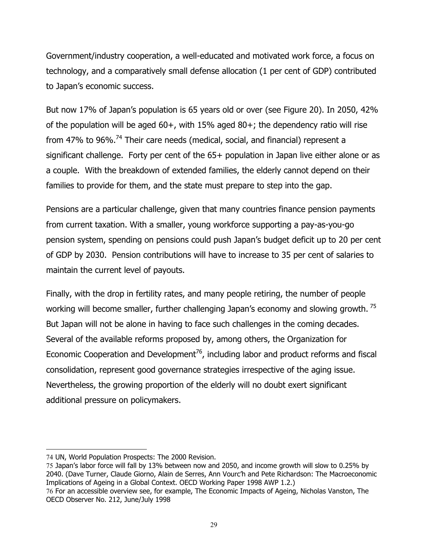Government/industry cooperation, a well-educated and motivated work force, a focus on technology, and a comparatively small defense allocation (1 per cent of GDP) contributed to Japan's economic success.

But now 17% of Japan's population is 65 years old or over (see Figure 20). In 2050, 42% of the population will be aged  $60+$ , with 15% aged  $80+$ ; the dependency ratio will rise from 47% to 96%.<sup>74</sup> Their care needs (medical, social, and financial) represent a significant challenge. Forty per cent of the 65+ population in Japan live either alone or as a couple. With the breakdown of extended families, the elderly cannot depend on their families to provide for them, and the state must prepare to step into the gap.

Pensions are a particular challenge, given that many countries finance pension payments from current taxation. With a smaller, young workforce supporting a pay-as-you-go pension system, spending on pensions could push Japanís budget deficit up to 20 per cent of GDP by 2030. Pension contributions will have to increase to 35 per cent of salaries to maintain the current level of payouts.

Finally, with the drop in fertility rates, and many people retiring, the number of people working will become smaller, further challenging Japan's economy and slowing growth.<sup>75</sup> But Japan will not be alone in having to face such challenges in the coming decades. Several of the available reforms proposed by, among others, the Organization for Economic Cooperation and Development<sup>76</sup>, including labor and product reforms and fiscal consolidation, represent good governance strategies irrespective of the aging issue. Nevertheless, the growing proportion of the elderly will no doubt exert significant additional pressure on policymakers.

 $\overline{\phantom{a}}$ 74 UN, World Population Prospects: The 2000 Revision.

<sup>75</sup> Japanís labor force will fall by 13% between now and 2050, and income growth will slow to 0.25% by 2040. (Dave Turner, Claude Giorno, Alain de Serres, Ann Vourcíh and Pete Richardson: The Macroeconomic Implications of Ageing in a Global Context. OECD Working Paper 1998 AWP 1.2.)

<sup>76</sup> For an accessible overview see, for example, The Economic Impacts of Ageing, Nicholas Vanston, The OECD Observer No. 212, June/July 1998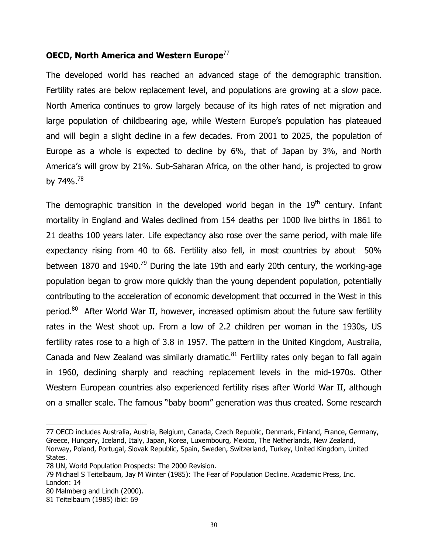## **OECD, North America and Western Europe**<sup>77</sup>

The developed world has reached an advanced stage of the demographic transition. Fertility rates are below replacement level, and populations are growing at a slow pace. North America continues to grow largely because of its high rates of net migration and large population of childbearing age, while Western Europe's population has plateaued and will begin a slight decline in a few decades. From 2001 to 2025, the population of Europe as a whole is expected to decline by 6%, that of Japan by 3%, and North Americaís will grow by 21%. Sub-Saharan Africa, on the other hand, is projected to grow by 74%.<sup>78</sup>

The demographic transition in the developed world began in the  $19<sup>th</sup>$  century. Infant mortality in England and Wales declined from 154 deaths per 1000 live births in 1861 to 21 deaths 100 years later. Life expectancy also rose over the same period, with male life expectancy rising from 40 to 68. Fertility also fell, in most countries by about 50% between 1870 and 1940.<sup>79</sup> During the late 19th and early 20th century, the working-age population began to grow more quickly than the young dependent population, potentially contributing to the acceleration of economic development that occurred in the West in this period.<sup>80</sup> After World War II, however, increased optimism about the future saw fertility rates in the West shoot up. From a low of 2.2 children per woman in the 1930s, US fertility rates rose to a high of 3.8 in 1957. The pattern in the United Kingdom, Australia, Canada and New Zealand was similarly dramatic. $81$  Fertility rates only began to fall again in 1960, declining sharply and reaching replacement levels in the mid-1970s. Other Western European countries also experienced fertility rises after World War II, although on a smaller scale. The famous "baby boom" generation was thus created. Some research

<sup>77</sup> OECD includes Australia, Austria, Belgium, Canada, Czech Republic, Denmark, Finland, France, Germany, Greece, Hungary, Iceland, Italy, Japan, Korea, Luxembourg, Mexico, The Netherlands, New Zealand, Norway, Poland, Portugal, Slovak Republic, Spain, Sweden, Switzerland, Turkey, United Kingdom, United States.

<sup>78</sup> UN, World Population Prospects: The 2000 Revision.

<sup>79</sup> Michael S Teitelbaum, Jay M Winter (1985): The Fear of Population Decline. Academic Press, Inc. London: 14

<sup>80</sup> Malmberg and Lindh (2000).

<sup>81</sup> Teitelbaum (1985) ibid: 69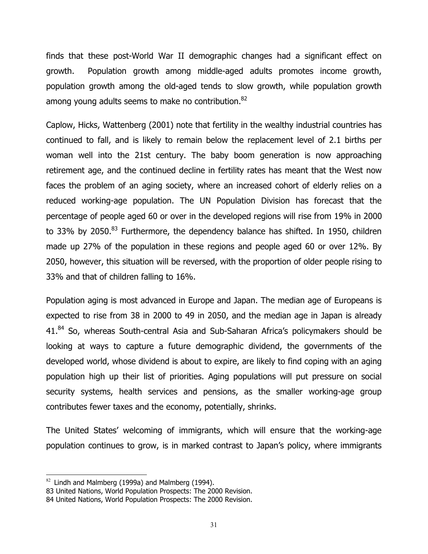finds that these post-World War II demographic changes had a significant effect on growth. Population growth among middle-aged adults promotes income growth, population growth among the old-aged tends to slow growth, while population growth among young adults seems to make no contribution.<sup>82</sup>

Caplow, Hicks, Wattenberg (2001) note that fertility in the wealthy industrial countries has continued to fall, and is likely to remain below the replacement level of 2.1 births per woman well into the 21st century. The baby boom generation is now approaching retirement age, and the continued decline in fertility rates has meant that the West now faces the problem of an aging society, where an increased cohort of elderly relies on a reduced working-age population. The UN Population Division has forecast that the percentage of people aged 60 or over in the developed regions will rise from 19% in 2000 to 33% by 2050.<sup>83</sup> Furthermore, the dependency balance has shifted. In 1950, children made up 27% of the population in these regions and people aged 60 or over 12%. By 2050, however, this situation will be reversed, with the proportion of older people rising to 33% and that of children falling to 16%.

Population aging is most advanced in Europe and Japan. The median age of Europeans is expected to rise from 38 in 2000 to 49 in 2050, and the median age in Japan is already 41.84 So, whereas South-central Asia and Sub-Saharan Africa's policymakers should be looking at ways to capture a future demographic dividend, the governments of the developed world, whose dividend is about to expire, are likely to find coping with an aging population high up their list of priorities. Aging populations will put pressure on social security systems, health services and pensions, as the smaller working-age group contributes fewer taxes and the economy, potentially, shrinks.

The United States' welcoming of immigrants, which will ensure that the working-age population continues to grow, is in marked contrast to Japanís policy, where immigrants

 $82$  Lindh and Malmberg (1999a) and Malmberg (1994).

<sup>83</sup> United Nations, World Population Prospects: The 2000 Revision.

<sup>84</sup> United Nations, World Population Prospects: The 2000 Revision.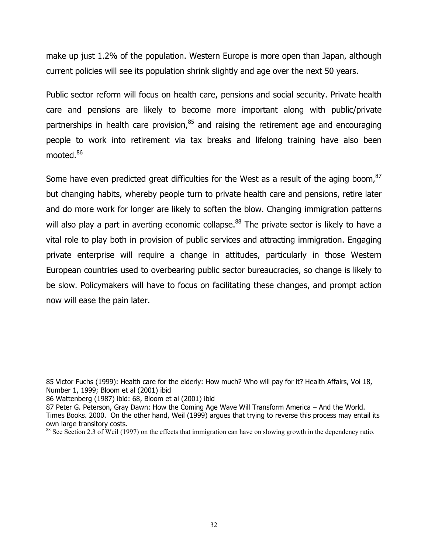make up just 1.2% of the population. Western Europe is more open than Japan, although current policies will see its population shrink slightly and age over the next 50 years.

Public sector reform will focus on health care, pensions and social security. Private health care and pensions are likely to become more important along with public/private partnerships in health care provision, $85$  and raising the retirement age and encouraging people to work into retirement via tax breaks and lifelong training have also been mooted.<sup>86</sup>

Some have even predicted great difficulties for the West as a result of the aging boom, 87 but changing habits, whereby people turn to private health care and pensions, retire later and do more work for longer are likely to soften the blow. Changing immigration patterns will also play a part in averting economic collapse.<sup>88</sup> The private sector is likely to have a vital role to play both in provision of public services and attracting immigration. Engaging private enterprise will require a change in attitudes, particularly in those Western European countries used to overbearing public sector bureaucracies, so change is likely to be slow. Policymakers will have to focus on facilitating these changes, and prompt action now will ease the pain later.

 $\overline{\phantom{a}}$ 

<sup>85</sup> Victor Fuchs (1999): Health care for the elderly: How much? Who will pay for it? Health Affairs, Vol 18, Number 1, 1999; Bloom et al (2001) ibid

<sup>86</sup> Wattenberg (1987) ibid: 68, Bloom et al (2001) ibid

<sup>87</sup> Peter G. Peterson, Gray Dawn: How the Coming Age Wave Will Transform America – And the World. Times Books. 2000. On the other hand, Weil (1999) argues that trying to reverse this process may entail its own large transitory costs.

<sup>&</sup>lt;sup>88</sup> See Section 2.3 of Weil (1997) on the effects that immigration can have on slowing growth in the dependency ratio.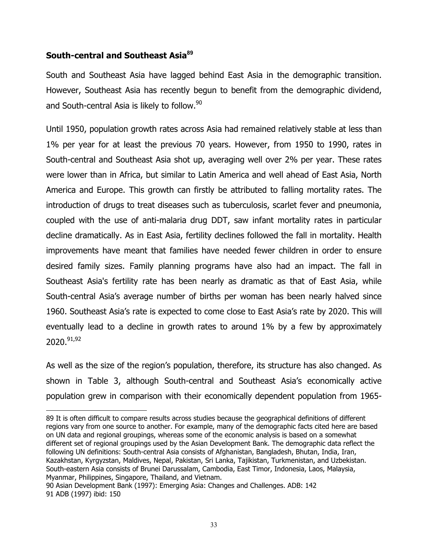## **South-central and Southeast Asia<sup>89</sup>**

l

South and Southeast Asia have lagged behind East Asia in the demographic transition. However, Southeast Asia has recently begun to benefit from the demographic dividend, and South-central Asia is likely to follow.<sup>90</sup>

Until 1950, population growth rates across Asia had remained relatively stable at less than 1% per year for at least the previous 70 years. However, from 1950 to 1990, rates in South-central and Southeast Asia shot up, averaging well over 2% per year. These rates were lower than in Africa, but similar to Latin America and well ahead of East Asia, North America and Europe. This growth can firstly be attributed to falling mortality rates. The introduction of drugs to treat diseases such as tuberculosis, scarlet fever and pneumonia, coupled with the use of anti-malaria drug DDT, saw infant mortality rates in particular decline dramatically. As in East Asia, fertility declines followed the fall in mortality. Health improvements have meant that families have needed fewer children in order to ensure desired family sizes. Family planning programs have also had an impact. The fall in Southeast Asia's fertility rate has been nearly as dramatic as that of East Asia, while South-central Asiaís average number of births per woman has been nearly halved since 1960. Southeast Asia's rate is expected to come close to East Asia's rate by 2020. This will eventually lead to a decline in growth rates to around 1% by a few by approximately 2020.91,92

As well as the size of the region's population, therefore, its structure has also changed. As shown in Table 3, although South-central and Southeast Asia's economically active population grew in comparison with their economically dependent population from 1965-

<sup>89</sup> It is often difficult to compare results across studies because the geographical definitions of different regions vary from one source to another. For example, many of the demographic facts cited here are based on UN data and regional groupings, whereas some of the economic analysis is based on a somewhat different set of regional groupings used by the Asian Development Bank. The demographic data reflect the following UN definitions: South-central Asia consists of Afghanistan, Bangladesh, Bhutan, India, Iran, Kazakhstan, Kyrgyzstan, Maldives, Nepal, Pakistan, Sri Lanka, Tajikistan, Turkmenistan, and Uzbekistan. South-eastern Asia consists of Brunei Darussalam, Cambodia, East Timor, Indonesia, Laos, Malaysia, Myanmar, Philippines, Singapore, Thailand, and Vietnam.

<sup>90</sup> Asian Development Bank (1997): Emerging Asia: Changes and Challenges. ADB: 142 91 ADB (1997) ibid: 150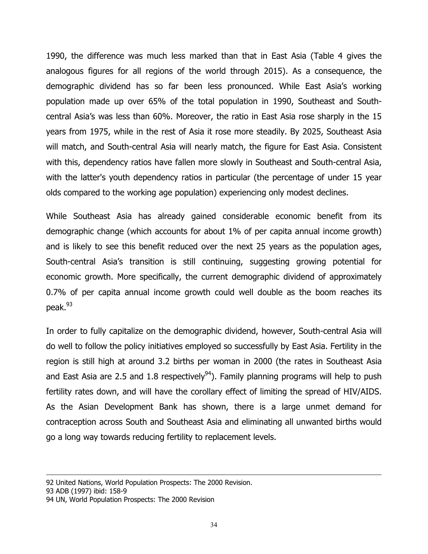1990, the difference was much less marked than that in East Asia (Table 4 gives the analogous figures for all regions of the world through 2015). As a consequence, the demographic dividend has so far been less pronounced. While East Asiaís working population made up over 65% of the total population in 1990, Southeast and Southcentral Asiaís was less than 60%. Moreover, the ratio in East Asia rose sharply in the 15 years from 1975, while in the rest of Asia it rose more steadily. By 2025, Southeast Asia will match, and South-central Asia will nearly match, the figure for East Asia. Consistent with this, dependency ratios have fallen more slowly in Southeast and South-central Asia, with the latter's youth dependency ratios in particular (the percentage of under 15 year olds compared to the working age population) experiencing only modest declines.

While Southeast Asia has already gained considerable economic benefit from its demographic change (which accounts for about 1% of per capita annual income growth) and is likely to see this benefit reduced over the next 25 years as the population ages, South-central Asiaís transition is still continuing, suggesting growing potential for economic growth. More specifically, the current demographic dividend of approximately 0.7% of per capita annual income growth could well double as the boom reaches its peak.<sup>93</sup>

In order to fully capitalize on the demographic dividend, however, South-central Asia will do well to follow the policy initiatives employed so successfully by East Asia. Fertility in the region is still high at around 3.2 births per woman in 2000 (the rates in Southeast Asia and East Asia are 2.5 and 1.8 respectively<sup>94</sup>). Family planning programs will help to push fertility rates down, and will have the corollary effect of limiting the spread of HIV/AIDS. As the Asian Development Bank has shown, there is a large unmet demand for contraception across South and Southeast Asia and eliminating all unwanted births would go a long way towards reducing fertility to replacement levels.

<sup>92</sup> United Nations, World Population Prospects: The 2000 Revision.

<sup>93</sup> ADB (1997) ibid: 158-9

<sup>94</sup> UN, World Population Prospects: The 2000 Revision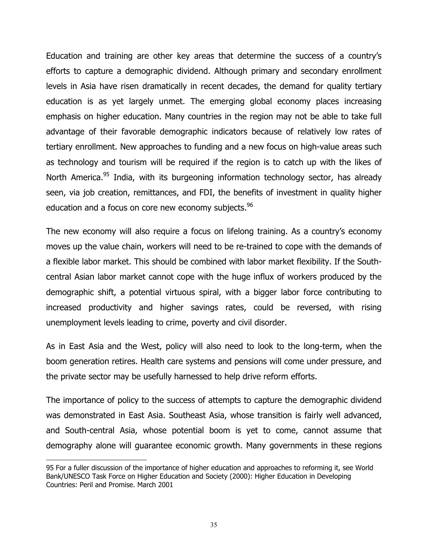Education and training are other key areas that determine the success of a countryís efforts to capture a demographic dividend. Although primary and secondary enrollment levels in Asia have risen dramatically in recent decades, the demand for quality tertiary education is as yet largely unmet. The emerging global economy places increasing emphasis on higher education. Many countries in the region may not be able to take full advantage of their favorable demographic indicators because of relatively low rates of tertiary enrollment. New approaches to funding and a new focus on high-value areas such as technology and tourism will be required if the region is to catch up with the likes of North America.<sup>95</sup> India, with its burgeoning information technology sector, has already seen, via job creation, remittances, and FDI, the benefits of investment in quality higher education and a focus on core new economy subjects.<sup>96</sup>

The new economy will also require a focus on lifelong training. As a countryís economy moves up the value chain, workers will need to be re-trained to cope with the demands of a flexible labor market. This should be combined with labor market flexibility. If the Southcentral Asian labor market cannot cope with the huge influx of workers produced by the demographic shift, a potential virtuous spiral, with a bigger labor force contributing to increased productivity and higher savings rates, could be reversed, with rising unemployment levels leading to crime, poverty and civil disorder.

As in East Asia and the West, policy will also need to look to the long-term, when the boom generation retires. Health care systems and pensions will come under pressure, and the private sector may be usefully harnessed to help drive reform efforts.

The importance of policy to the success of attempts to capture the demographic dividend was demonstrated in East Asia. Southeast Asia, whose transition is fairly well advanced, and South-central Asia, whose potential boom is yet to come, cannot assume that demography alone will guarantee economic growth. Many governments in these regions

 $\overline{\phantom{a}}$ 

<sup>95</sup> For a fuller discussion of the importance of higher education and approaches to reforming it, see World Bank/UNESCO Task Force on Higher Education and Society (2000): Higher Education in Developing Countries: Peril and Promise. March 2001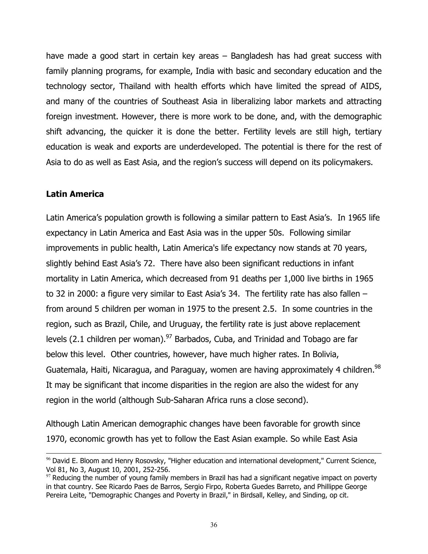have made a good start in certain key areas – Bangladesh has had great success with family planning programs, for example, India with basic and secondary education and the technology sector, Thailand with health efforts which have limited the spread of AIDS, and many of the countries of Southeast Asia in liberalizing labor markets and attracting foreign investment. However, there is more work to be done, and, with the demographic shift advancing, the quicker it is done the better. Fertility levels are still high, tertiary education is weak and exports are underdeveloped. The potential is there for the rest of Asia to do as well as East Asia, and the region's success will depend on its policymakers.

#### **Latin America**

Latin America's population growth is following a similar pattern to East Asia's. In 1965 life expectancy in Latin America and East Asia was in the upper 50s. Following similar improvements in public health, Latin America's life expectancy now stands at 70 years, slightly behind East Asia's 72. There have also been significant reductions in infant mortality in Latin America, which decreased from 91 deaths per 1,000 live births in 1965 to 32 in 2000: a figure very similar to East Asia's 34. The fertility rate has also fallen  $$ from around 5 children per woman in 1975 to the present 2.5. In some countries in the region, such as Brazil, Chile, and Uruguay, the fertility rate is just above replacement levels (2.1 children per woman). $^{97}$  Barbados, Cuba, and Trinidad and Tobago are far below this level. Other countries, however, have much higher rates. In Bolivia, Guatemala, Haiti, Nicaragua, and Paraguay, women are having approximately 4 children.<sup>98</sup> It may be significant that income disparities in the region are also the widest for any region in the world (although Sub-Saharan Africa runs a close second).

Although Latin American demographic changes have been favorable for growth since 1970, economic growth has yet to follow the East Asian example. So while East Asia

 $96$  David E. Bloom and Henry Rosovsky, "Higher education and international development," Current Science, Vol 81, No 3, August 10, 2001, 252-256.

 $97$  Reducing the number of young family members in Brazil has had a significant negative impact on poverty in that country. See Ricardo Paes de Barros, Sergio Firpo, Roberta Guedes Barreto, and Phillippe George Pereira Leite, "Demographic Changes and Poverty in Brazil," in Birdsall, Kelley, and Sinding, op cit.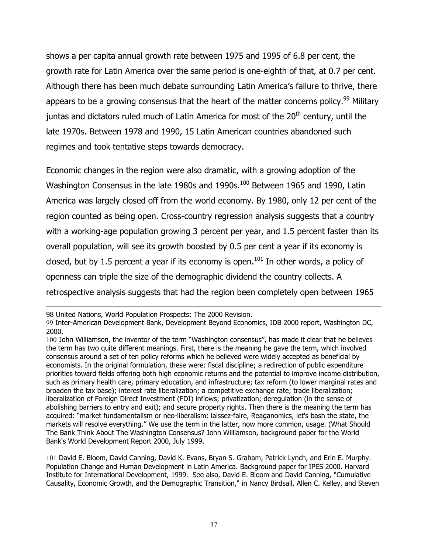shows a per capita annual growth rate between 1975 and 1995 of 6.8 per cent, the growth rate for Latin America over the same period is one-eighth of that, at 0.7 per cent. Although there has been much debate surrounding Latin America's failure to thrive, there appears to be a growing consensus that the heart of the matter concerns policy.<sup>99</sup> Military juntas and dictators ruled much of Latin America for most of the  $20<sup>th</sup>$  century, until the late 1970s. Between 1978 and 1990, 15 Latin American countries abandoned such regimes and took tentative steps towards democracy.

Economic changes in the region were also dramatic, with a growing adoption of the Washington Consensus in the late 1980s and 1990s.<sup>100</sup> Between 1965 and 1990, Latin America was largely closed off from the world economy. By 1980, only 12 per cent of the region counted as being open. Cross-country regression analysis suggests that a country with a working-age population growing 3 percent per year, and 1.5 percent faster than its overall population, will see its growth boosted by 0.5 per cent a year if its economy is closed, but by 1.5 percent a year if its economy is open. $^{101}$  In other words, a policy of openness can triple the size of the demographic dividend the country collects. A retrospective analysis suggests that had the region been completely open between 1965

<sup>98</sup> United Nations, World Population Prospects: The 2000 Revision.

<sup>99</sup> Inter-American Development Bank, Development Beyond Economics, IDB 2000 report, Washington DC, 2000.

<sup>100</sup> John Williamson, the inventor of the term "Washington consensus", has made it clear that he believes the term has two quite different meanings. First, there is the meaning he gave the term, which involved consensus around a set of ten policy reforms which he believed were widely accepted as beneficial by economists. In the original formulation, these were: fiscal discipline; a redirection of public expenditure priorities toward fields offering both high economic returns and the potential to improve income distribution, such as primary health care, primary education, and infrastructure; tax reform (to lower marginal rates and broaden the tax base); interest rate liberalization; a competitive exchange rate; trade liberalization; liberalization of Foreign Direct Investment (FDI) inflows; privatization; deregulation (in the sense of abolishing barriers to entry and exit); and secure property rights. Then there is the meaning the term has acquired: "market fundamentalism or neo-liberalism: laissez-faire, Reaganomics, let's bash the state, the markets will resolve everything." We use the term in the latter, now more common, usage. (What Should The Bank Think About The Washington Consensus? John Williamson, background paper for the World Bank's World Development Report 2000, July 1999.

<sup>101</sup> David E. Bloom, David Canning, David K. Evans, Bryan S. Graham, Patrick Lynch, and Erin E. Murphy. Population Change and Human Development in Latin America. Background paper for IPES 2000. Harvard Institute for International Development, 1999. See also, David E. Bloom and David Canning, "Cumulative Causality, Economic Growth, and the Demographic Transition," in Nancy Birdsall, Allen C. Kelley, and Steven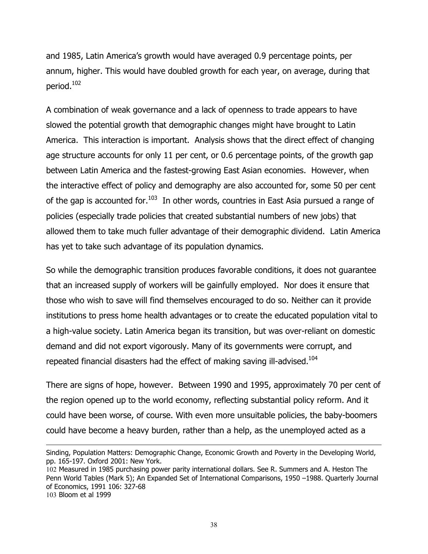and 1985, Latin Americaís growth would have averaged 0.9 percentage points, per annum, higher. This would have doubled growth for each year, on average, during that period.<sup>102</sup>

A combination of weak governance and a lack of openness to trade appears to have slowed the potential growth that demographic changes might have brought to Latin America. This interaction is important. Analysis shows that the direct effect of changing age structure accounts for only 11 per cent, or 0.6 percentage points, of the growth gap between Latin America and the fastest-growing East Asian economies. However, when the interactive effect of policy and demography are also accounted for, some 50 per cent of the gap is accounted for.<sup>103</sup> In other words, countries in East Asia pursued a range of policies (especially trade policies that created substantial numbers of new jobs) that allowed them to take much fuller advantage of their demographic dividend. Latin America has yet to take such advantage of its population dynamics.

So while the demographic transition produces favorable conditions, it does not guarantee that an increased supply of workers will be gainfully employed. Nor does it ensure that those who wish to save will find themselves encouraged to do so. Neither can it provide institutions to press home health advantages or to create the educated population vital to a high-value society. Latin America began its transition, but was over-reliant on domestic demand and did not export vigorously. Many of its governments were corrupt, and repeated financial disasters had the effect of making saving ill-advised.<sup>104</sup>

There are signs of hope, however. Between 1990 and 1995, approximately 70 per cent of the region opened up to the world economy, reflecting substantial policy reform. And it could have been worse, of course. With even more unsuitable policies, the baby-boomers could have become a heavy burden, rather than a help, as the unemployed acted as a

Sinding, Population Matters: Demographic Change, Economic Growth and Poverty in the Developing World, pp. 165-197. Oxford 2001: New York.

<sup>102</sup> Measured in 1985 purchasing power parity international dollars. See R. Summers and A. Heston The Penn World Tables (Mark 5); An Expanded Set of International Comparisons, 1950 -1988. Quarterly Journal of Economics, 1991 106: 327-68

<sup>103</sup> Bloom et al 1999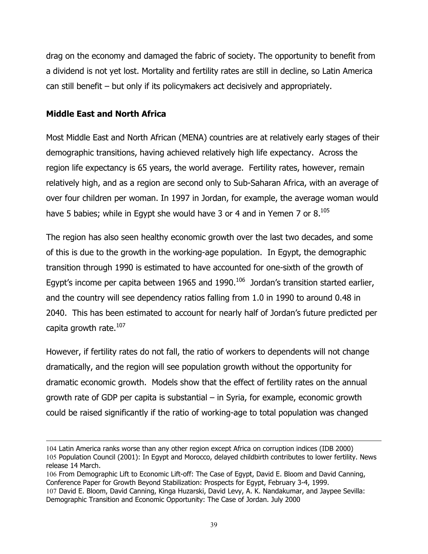drag on the economy and damaged the fabric of society. The opportunity to benefit from a dividend is not yet lost. Mortality and fertility rates are still in decline, so Latin America can still benefit  $-$  but only if its policymakers act decisively and appropriately.

### **Middle East and North Africa**

 $\overline{a}$ 

Most Middle East and North African (MENA) countries are at relatively early stages of their demographic transitions, having achieved relatively high life expectancy. Across the region life expectancy is 65 years, the world average. Fertility rates, however, remain relatively high, and as a region are second only to Sub-Saharan Africa, with an average of over four children per woman. In 1997 in Jordan, for example, the average woman would have 5 babies; while in Egypt she would have 3 or 4 and in Yemen 7 or  $8^{105}$ 

The region has also seen healthy economic growth over the last two decades, and some of this is due to the growth in the working-age population. In Egypt, the demographic transition through 1990 is estimated to have accounted for one-sixth of the growth of Egypt's income per capita between 1965 and 1990. $106$  Jordan's transition started earlier, and the country will see dependency ratios falling from 1.0 in 1990 to around 0.48 in 2040. This has been estimated to account for nearly half of Jordanís future predicted per capita growth rate. $107$ 

However, if fertility rates do not fall, the ratio of workers to dependents will not change dramatically, and the region will see population growth without the opportunity for dramatic economic growth. Models show that the effect of fertility rates on the annual growth rate of GDP per capita is substantial  $-$  in Syria, for example, economic growth could be raised significantly if the ratio of working-age to total population was changed

<sup>104</sup> Latin America ranks worse than any other region except Africa on corruption indices (IDB 2000) 105 Population Council (2001): In Egypt and Morocco, delayed childbirth contributes to lower fertility. News release 14 March.

<sup>106</sup> From Demographic Lift to Economic Lift-off: The Case of Egypt, David E. Bloom and David Canning, Conference Paper for Growth Beyond Stabilization: Prospects for Egypt, February 3-4, 1999. 107 David E. Bloom, David Canning, Kinga Huzarski, David Levy, A. K. Nandakumar, and Jaypee Sevilla: Demographic Transition and Economic Opportunity: The Case of Jordan. July 2000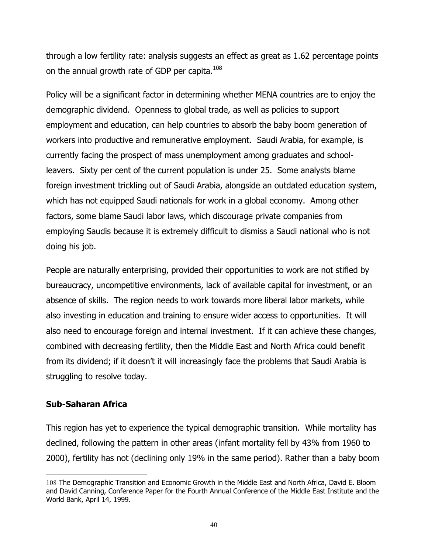through a low fertility rate: analysis suggests an effect as great as 1.62 percentage points on the annual growth rate of GDP per capita.<sup>108</sup>

Policy will be a significant factor in determining whether MENA countries are to enjoy the demographic dividend. Openness to global trade, as well as policies to support employment and education, can help countries to absorb the baby boom generation of workers into productive and remunerative employment. Saudi Arabia, for example, is currently facing the prospect of mass unemployment among graduates and schoolleavers. Sixty per cent of the current population is under 25. Some analysts blame foreign investment trickling out of Saudi Arabia, alongside an outdated education system, which has not equipped Saudi nationals for work in a global economy. Among other factors, some blame Saudi labor laws, which discourage private companies from employing Saudis because it is extremely difficult to dismiss a Saudi national who is not doing his job.

People are naturally enterprising, provided their opportunities to work are not stifled by bureaucracy, uncompetitive environments, lack of available capital for investment, or an absence of skills. The region needs to work towards more liberal labor markets, while also investing in education and training to ensure wider access to opportunities. It will also need to encourage foreign and internal investment. If it can achieve these changes, combined with decreasing fertility, then the Middle East and North Africa could benefit from its dividend; if it doesn't it will increasingly face the problems that Saudi Arabia is struggling to resolve today.

# **Sub-Saharan Africa**

This region has yet to experience the typical demographic transition. While mortality has declined, following the pattern in other areas (infant mortality fell by 43% from 1960 to 2000), fertility has not (declining only 19% in the same period). Rather than a baby boom

 $\overline{a}$ 108 The Demographic Transition and Economic Growth in the Middle East and North Africa, David E. Bloom and David Canning, Conference Paper for the Fourth Annual Conference of the Middle East Institute and the World Bank, April 14, 1999.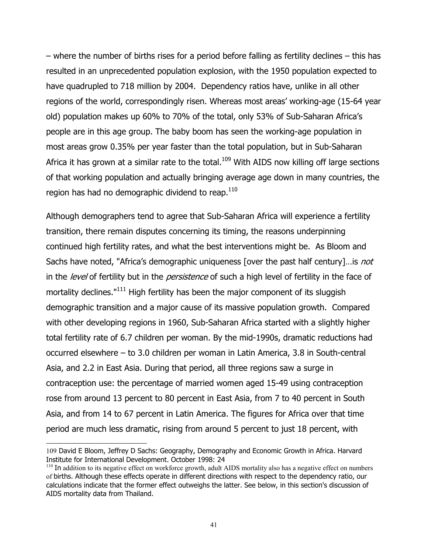$-$  where the number of births rises for a period before falling as fertility declines  $-$  this has resulted in an unprecedented population explosion, with the 1950 population expected to have quadrupled to 718 million by 2004. Dependency ratios have, unlike in all other regions of the world, correspondingly risen. Whereas most areas' working-age (15-64 year old) population makes up 60% to 70% of the total, only 53% of Sub-Saharan Africaís people are in this age group. The baby boom has seen the working-age population in most areas grow 0.35% per year faster than the total population, but in Sub-Saharan Africa it has grown at a similar rate to the total.<sup>109</sup> With AIDS now killing off large sections of that working population and actually bringing average age down in many countries, the region has had no demographic dividend to reap.<sup>110</sup>

Although demographers tend to agree that Sub-Saharan Africa will experience a fertility transition, there remain disputes concerning its timing, the reasons underpinning continued high fertility rates, and what the best interventions might be. As Bloom and Sachs have noted, "Africa's demographic uniqueness [over the past half century]... is not in the level of fertility but in the persistence of such a high level of fertility in the face of mortality declines."<sup>111</sup> High fertility has been the major component of its sluggish demographic transition and a major cause of its massive population growth. Compared with other developing regions in 1960, Sub-Saharan Africa started with a slightly higher total fertility rate of 6.7 children per woman. By the mid-1990s, dramatic reductions had occurred elsewhere  $-$  to 3.0 children per woman in Latin America, 3.8 in South-central Asia, and 2.2 in East Asia. During that period, all three regions saw a surge in contraception use: the percentage of married women aged 15-49 using contraception rose from around 13 percent to 80 percent in East Asia, from 7 to 40 percent in South Asia, and from 14 to 67 percent in Latin America. The figures for Africa over that time period are much less dramatic, rising from around 5 percent to just 18 percent, with

<sup>109</sup> David E Bloom, Jeffrey D Sachs: Geography, Demography and Economic Growth in Africa. Harvard Institute for International Development. October 1998: 24

<sup>&</sup>lt;sup>110</sup> In addition to its negative effect on workforce growth, adult AIDS mortality also has a negative effect on numbers of births. Although these effects operate in different directions with respect to the dependency ratio, our calculations indicate that the former effect outweighs the latter. See below, in this section's discussion of AIDS mortality data from Thailand.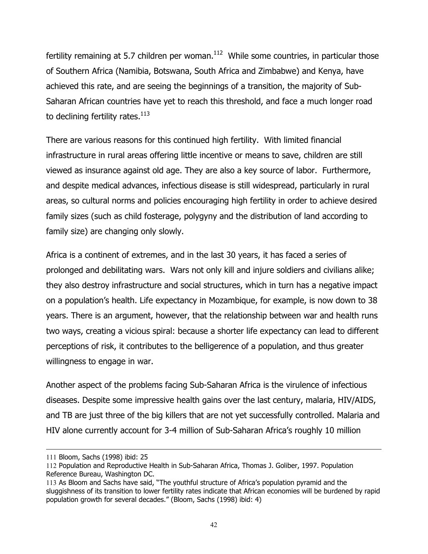fertility remaining at 5.7 children per woman.<sup>112</sup> While some countries, in particular those of Southern Africa (Namibia, Botswana, South Africa and Zimbabwe) and Kenya, have achieved this rate, and are seeing the beginnings of a transition, the majority of Sub-Saharan African countries have yet to reach this threshold, and face a much longer road to declining fertility rates. $^{113}$ 

There are various reasons for this continued high fertility. With limited financial infrastructure in rural areas offering little incentive or means to save, children are still viewed as insurance against old age. They are also a key source of labor. Furthermore, and despite medical advances, infectious disease is still widespread, particularly in rural areas, so cultural norms and policies encouraging high fertility in order to achieve desired family sizes (such as child fosterage, polygyny and the distribution of land according to family size) are changing only slowly.

Africa is a continent of extremes, and in the last 30 years, it has faced a series of prolonged and debilitating wars. Wars not only kill and injure soldiers and civilians alike; they also destroy infrastructure and social structures, which in turn has a negative impact on a population's health. Life expectancy in Mozambique, for example, is now down to 38 years. There is an argument, however, that the relationship between war and health runs two ways, creating a vicious spiral: because a shorter life expectancy can lead to different perceptions of risk, it contributes to the belligerence of a population, and thus greater willingness to engage in war.

Another aspect of the problems facing Sub-Saharan Africa is the virulence of infectious diseases. Despite some impressive health gains over the last century, malaria, HIV/AIDS, and TB are just three of the big killers that are not yet successfully controlled. Malaria and HIV alone currently account for 3-4 million of Sub-Saharan Africaís roughly 10 million

<sup>111</sup> Bloom, Sachs (1998) ibid: 25

<sup>112</sup> Population and Reproductive Health in Sub-Saharan Africa, Thomas J. Goliber, 1997. Population Reference Bureau, Washington DC.

<sup>113</sup> As Bloom and Sachs have said, "The youthful structure of Africa's population pyramid and the sluggishness of its transition to lower fertility rates indicate that African economies will be burdened by rapid population growth for several decades." (Bloom, Sachs (1998) ibid: 4)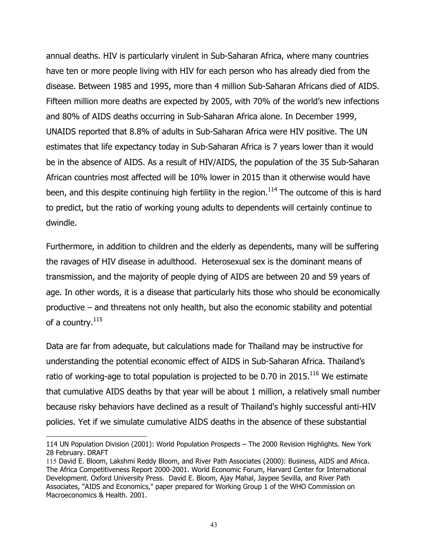annual deaths. HIV is particularly virulent in Sub-Saharan Africa, where many countries have ten or more people living with HIV for each person who has already died from the disease. Between 1985 and 1995, more than 4 million Sub-Saharan Africans died of AIDS. Fifteen million more deaths are expected by 2005, with 70% of the world's new infections and 80% of AIDS deaths occurring in Sub-Saharan Africa alone. In December 1999, UNAIDS reported that 8.8% of adults in Sub-Saharan Africa were HIV positive. The UN estimates that life expectancy today in Sub-Saharan Africa is 7 years lower than it would be in the absence of AIDS. As a result of HIV/AIDS, the population of the 35 Sub-Saharan African countries most affected will be 10% lower in 2015 than it otherwise would have been, and this despite continuing high fertility in the region.<sup>114</sup> The outcome of this is hard to predict, but the ratio of working young adults to dependents will certainly continue to dwindle.

Furthermore, in addition to children and the elderly as dependents, many will be suffering the ravages of HIV disease in adulthood. Heterosexual sex is the dominant means of transmission, and the majority of people dying of AIDS are between 20 and 59 years of age. In other words, it is a disease that particularly hits those who should be economically productive  $-$  and threatens not only health, but also the economic stability and potential of a country.<sup>115</sup>

Data are far from adequate, but calculations made for Thailand may be instructive for understanding the potential economic effect of AIDS in Sub-Saharan Africa. Thailandís ratio of working-age to total population is projected to be 0.70 in 2015.<sup>116</sup> We estimate that cumulative AIDS deaths by that year will be about 1 million, a relatively small number because risky behaviors have declined as a result of Thailand's highly successful anti-HIV policies. Yet if we simulate cumulative AIDS deaths in the absence of these substantial

<sup>114</sup> UN Population Division (2001): World Population Prospects – The 2000 Revision Highlights. New York 28 February. DRAFT

<sup>115</sup> David E. Bloom, Lakshmi Reddy Bloom, and River Path Associates (2000): Business, AIDS and Africa. The Africa Competitiveness Report 2000-2001. World Economic Forum, Harvard Center for International Development. Oxford University Press. David E. Bloom, Ajay Mahal, Jaypee Sevilla, and River Path Associates, "AIDS and Economics," paper prepared for Working Group 1 of the WHO Commission on Macroeconomics & Health. 2001.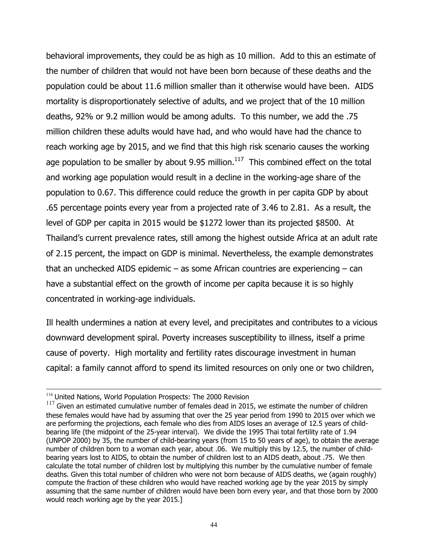behavioral improvements, they could be as high as 10 million. Add to this an estimate of the number of children that would not have been born because of these deaths and the population could be about 11.6 million smaller than it otherwise would have been. AIDS mortality is disproportionately selective of adults, and we project that of the 10 million deaths, 92% or 9.2 million would be among adults. To this number, we add the .75 million children these adults would have had, and who would have had the chance to reach working age by 2015, and we find that this high risk scenario causes the working age population to be smaller by about 9.95 million.<sup>117</sup> This combined effect on the total and working age population would result in a decline in the working-age share of the population to 0.67. This difference could reduce the growth in per capita GDP by about .65 percentage points every year from a projected rate of 3.46 to 2.81. As a result, the level of GDP per capita in 2015 would be \$1272 lower than its projected \$8500. At Thailand's current prevalence rates, still among the highest outside Africa at an adult rate of 2.15 percent, the impact on GDP is minimal. Nevertheless, the example demonstrates that an unchecked AIDS epidemic  $-$  as some African countries are experiencing  $-$  can have a substantial effect on the growth of income per capita because it is so highly concentrated in working-age individuals.

Ill health undermines a nation at every level, and precipitates and contributes to a vicious downward development spiral. Poverty increases susceptibility to illness, itself a prime cause of poverty. High mortality and fertility rates discourage investment in human capital: a family cannot afford to spend its limited resources on only one or two children,

<sup>&</sup>lt;sup>116</sup> United Nations, World Population Prospects: The 2000 Revision

 $117$  Given an estimated cumulative number of females dead in 2015, we estimate the number of children these females would have had by assuming that over the 25 year period from 1990 to 2015 over which we are performing the projections, each female who dies from AIDS loses an average of 12.5 years of childbearing life (the midpoint of the 25-year interval). We divide the 1995 Thai total fertility rate of 1.94 (UNPOP 2000) by 35, the number of child-bearing years (from 15 to 50 years of age), to obtain the average number of children born to a woman each year, about .06. We multiply this by 12.5, the number of childbearing years lost to AIDS, to obtain the number of children lost to an AIDS death, about .75. We then calculate the total number of children lost by multiplying this number by the cumulative number of female deaths. Given this total number of children who were not born because of AIDS deaths, we (again roughly) compute the fraction of these children who would have reached working age by the year 2015 by simply assuming that the same number of children would have been born every year, and that those born by 2000 would reach working age by the year 2015.]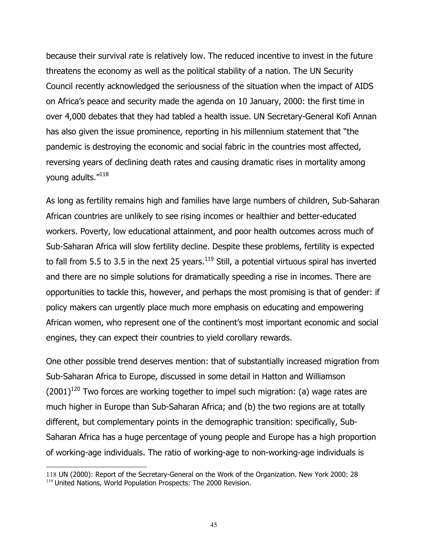because their survival rate is relatively low. The reduced incentive to invest in the future threatens the economy as well as the political stability of a nation. The UN Security Council recently acknowledged the seriousness of the situation when the impact of AIDS on Africaís peace and security made the agenda on 10 January, 2000: the first time in over 4,000 debates that they had tabled a health issue. UN Secretary-General Kofi Annan has also given the issue prominence, reporting in his millennium statement that "the pandemic is destroying the economic and social fabric in the countries most affected, reversing years of declining death rates and causing dramatic rises in mortality among young adults."118

As long as fertility remains high and families have large numbers of children, Sub-Saharan African countries are unlikely to see rising incomes or healthier and better-educated workers. Poverty, low educational attainment, and poor health outcomes across much of Sub-Saharan Africa will slow fertility decline. Despite these problems, fertility is expected to fall from 5.5 to 3.5 in the next 25 years. $119$  Still, a potential virtuous spiral has inverted and there are no simple solutions for dramatically speeding a rise in incomes. There are opportunities to tackle this, however, and perhaps the most promising is that of gender: if policy makers can urgently place much more emphasis on educating and empowering African women, who represent one of the continent's most important economic and social engines, they can expect their countries to yield corollary rewards.

One other possible trend deserves mention: that of substantially increased migration from Sub-Saharan Africa to Europe, discussed in some detail in Hatton and Williamson  $(2001)^{120}$  Two forces are working together to impel such migration: (a) wage rates are much higher in Europe than Sub-Saharan Africa; and (b) the two regions are at totally different, but complementary points in the demographic transition: specifically, Sub-Saharan Africa has a huge percentage of young people and Europe has a high proportion of working-age individuals. The ratio of working-age to non-working-age individuals is

<sup>118</sup> UN (2000): Report of the Secretary-General on the Work of the Organization. New York 2000: 28 <sup>119</sup> United Nations, World Population Prospects: The 2000 Revision.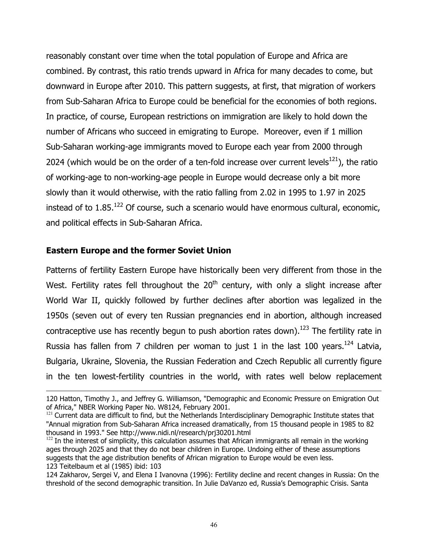reasonably constant over time when the total population of Europe and Africa are combined. By contrast, this ratio trends upward in Africa for many decades to come, but downward in Europe after 2010. This pattern suggests, at first, that migration of workers from Sub-Saharan Africa to Europe could be beneficial for the economies of both regions. In practice, of course, European restrictions on immigration are likely to hold down the number of Africans who succeed in emigrating to Europe. Moreover, even if 1 million Sub-Saharan working-age immigrants moved to Europe each year from 2000 through 2024 (which would be on the order of a ten-fold increase over current levels $^{121}$ ), the ratio of working-age to non-working-age people in Europe would decrease only a bit more slowly than it would otherwise, with the ratio falling from 2.02 in 1995 to 1.97 in 2025 instead of to  $1.85$ .<sup>122</sup> Of course, such a scenario would have enormous cultural, economic, and political effects in Sub-Saharan Africa.

#### **Eastern Europe and the former Soviet Union**

 $\overline{a}$ 

Patterns of fertility Eastern Europe have historically been very different from those in the West. Fertility rates fell throughout the  $20<sup>th</sup>$  century, with only a slight increase after World War II, quickly followed by further declines after abortion was legalized in the 1950s (seven out of every ten Russian pregnancies end in abortion, although increased contraceptive use has recently begun to push abortion rates down). $^{123}$  The fertility rate in Russia has fallen from 7 children per woman to just 1 in the last 100 years.<sup>124</sup> Latvia, Bulgaria, Ukraine, Slovenia, the Russian Federation and Czech Republic all currently figure in the ten lowest-fertility countries in the world, with rates well below replacement

<sup>120</sup> Hatton, Timothy J., and Jeffrey G. Williamson, "Demographic and Economic Pressure on Emigration Out of Africa," NBER Working Paper No. W8124, February 2001.

 $121$  Current data are difficult to find, but the Netherlands Interdisciplinary Demographic Institute states that "Annual migration from Sub-Saharan Africa increased dramatically, from 15 thousand people in 1985 to 82 thousand in 1993." See http://www.nidi.nl/research/prj30201.html

 $122$  In the interest of simplicity, this calculation assumes that African immigrants all remain in the working ages through 2025 and that they do not bear children in Europe. Undoing either of these assumptions suggests that the age distribution benefits of African migration to Europe would be even less. 123 Teitelbaum et al (1985) ibid: 103

<sup>124</sup> Zakharov, Sergei V, and Elena I Ivanovna (1996): Fertility decline and recent changes in Russia: On the threshold of the second demographic transition. In Julie DaVanzo ed, Russiaís Demographic Crisis. Santa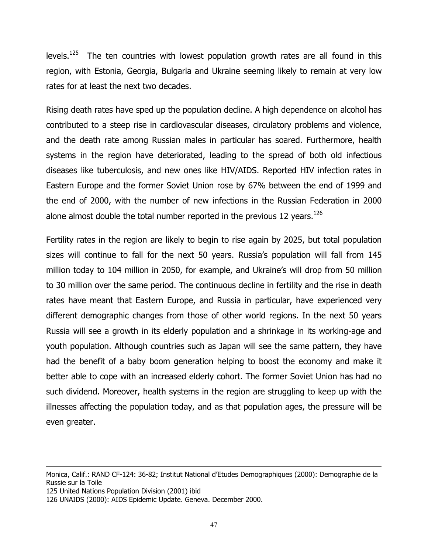levels.<sup>125</sup> The ten countries with lowest population growth rates are all found in this region, with Estonia, Georgia, Bulgaria and Ukraine seeming likely to remain at very low rates for at least the next two decades.

Rising death rates have sped up the population decline. A high dependence on alcohol has contributed to a steep rise in cardiovascular diseases, circulatory problems and violence, and the death rate among Russian males in particular has soared. Furthermore, health systems in the region have deteriorated, leading to the spread of both old infectious diseases like tuberculosis, and new ones like HIV/AIDS. Reported HIV infection rates in Eastern Europe and the former Soviet Union rose by 67% between the end of 1999 and the end of 2000, with the number of new infections in the Russian Federation in 2000 alone almost double the total number reported in the previous 12 years. $126$ 

Fertility rates in the region are likely to begin to rise again by 2025, but total population sizes will continue to fall for the next 50 years. Russia's population will fall from 145 million today to 104 million in 2050, for example, and Ukraine's will drop from 50 million to 30 million over the same period. The continuous decline in fertility and the rise in death rates have meant that Eastern Europe, and Russia in particular, have experienced very different demographic changes from those of other world regions. In the next 50 years Russia will see a growth in its elderly population and a shrinkage in its working-age and youth population. Although countries such as Japan will see the same pattern, they have had the benefit of a baby boom generation helping to boost the economy and make it better able to cope with an increased elderly cohort. The former Soviet Union has had no such dividend. Moreover, health systems in the region are struggling to keep up with the illnesses affecting the population today, and as that population ages, the pressure will be even greater.

Monica, Calif.: RAND CF-124: 36-82; Institut National díEtudes Demographiques (2000): Demographie de la Russie sur la Toile

<sup>125</sup> United Nations Population Division (2001) ibid

<sup>126</sup> UNAIDS (2000): AIDS Epidemic Update. Geneva. December 2000.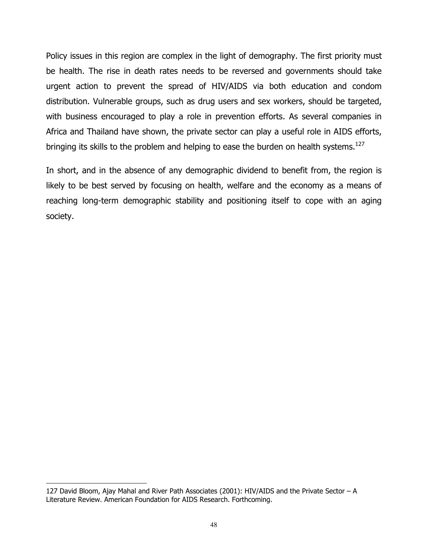Policy issues in this region are complex in the light of demography. The first priority must be health. The rise in death rates needs to be reversed and governments should take urgent action to prevent the spread of HIV/AIDS via both education and condom distribution. Vulnerable groups, such as drug users and sex workers, should be targeted, with business encouraged to play a role in prevention efforts. As several companies in Africa and Thailand have shown, the private sector can play a useful role in AIDS efforts, bringing its skills to the problem and helping to ease the burden on health systems.<sup>127</sup>

In short, and in the absence of any demographic dividend to benefit from, the region is likely to be best served by focusing on health, welfare and the economy as a means of reaching long-term demographic stability and positioning itself to cope with an aging society.

l

<sup>127</sup> David Bloom, Ajay Mahal and River Path Associates (2001): HIV/AIDS and the Private Sector  $-$  A Literature Review. American Foundation for AIDS Research. Forthcoming.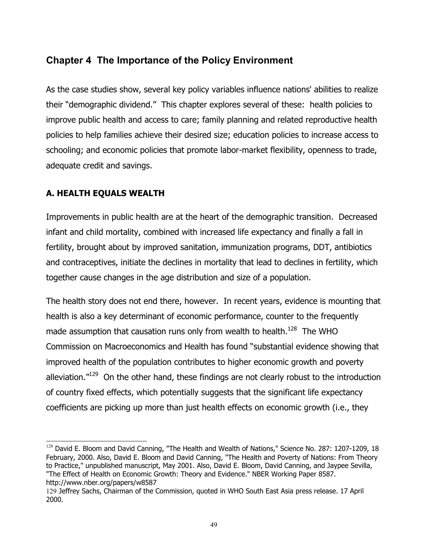# **Chapter 4 The Importance of the Policy Environment**

As the case studies show, several key policy variables influence nations' abilities to realize their "demographic dividend." This chapter explores several of these: health policies to improve public health and access to care; family planning and related reproductive health policies to help families achieve their desired size; education policies to increase access to schooling; and economic policies that promote labor-market flexibility, openness to trade, adequate credit and savings.

# **A. HEALTH EQUALS WEALTH**

 $\overline{a}$ 

Improvements in public health are at the heart of the demographic transition. Decreased infant and child mortality, combined with increased life expectancy and finally a fall in fertility, brought about by improved sanitation, immunization programs, DDT, antibiotics and contraceptives, initiate the declines in mortality that lead to declines in fertility, which together cause changes in the age distribution and size of a population.

The health story does not end there, however. In recent years, evidence is mounting that health is also a key determinant of economic performance, counter to the frequently made assumption that causation runs only from wealth to health.<sup>128</sup> The WHO Commission on Macroeconomics and Health has found "substantial evidence showing that improved health of the population contributes to higher economic growth and poverty alleviation. $1129}$  On the other hand, these findings are not clearly robust to the introduction of country fixed effects, which potentially suggests that the significant life expectancy coefficients are picking up more than just health effects on economic growth (i.e., they

<sup>&</sup>lt;sup>128</sup> David E. Bloom and David Canning, "The Health and Wealth of Nations," Science No. 287: 1207-1209, 18 February, 2000. Also, David E. Bloom and David Canning, "The Health and Poverty of Nations: From Theory to Practice," unpublished manuscript, May 2001. Also, David E. Bloom, David Canning, and Jaypee Sevilla, "The Effect of Health on Economic Growth: Theory and Evidence." NBER Working Paper 8587. http://www.nber.org/papers/w8587

<sup>129</sup> Jeffrey Sachs, Chairman of the Commission, quoted in WHO South East Asia press release. 17 April 2000.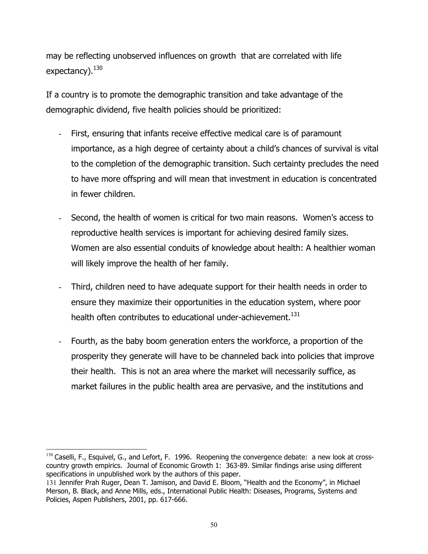may be reflecting unobserved influences on growth that are correlated with life expectancy).<sup>130</sup>

If a country is to promote the demographic transition and take advantage of the demographic dividend, five health policies should be prioritized:

- First, ensuring that infants receive effective medical care is of paramount importance, as a high degree of certainty about a child's chances of survival is vital to the completion of the demographic transition. Such certainty precludes the need to have more offspring and will mean that investment in education is concentrated in fewer children.
- Second, the health of women is critical for two main reasons. Women's access to reproductive health services is important for achieving desired family sizes. Women are also essential conduits of knowledge about health: A healthier woman will likely improve the health of her family.
- Third, children need to have adequate support for their health needs in order to ensure they maximize their opportunities in the education system, where poor health often contributes to educational under-achievement.<sup>131</sup>
- Fourth, as the baby boom generation enters the workforce, a proportion of the prosperity they generate will have to be channeled back into policies that improve their health. This is not an area where the market will necessarily suffice, as market failures in the public health area are pervasive, and the institutions and

 $\overline{a}$  $130$  Caselli, F., Esquivel, G., and Lefort, F. 1996. Reopening the convergence debate: a new look at crosscountry growth empirics. Journal of Economic Growth 1: 363-89. Similar findings arise using different specifications in unpublished work by the authors of this paper.

<sup>131</sup> Jennifer Prah Ruger, Dean T. Jamison, and David E. Bloom, "Health and the Economy", in Michael Merson, B. Black, and Anne Mills, eds., International Public Health: Diseases, Programs, Systems and Policies, Aspen Publishers, 2001, pp. 617-666.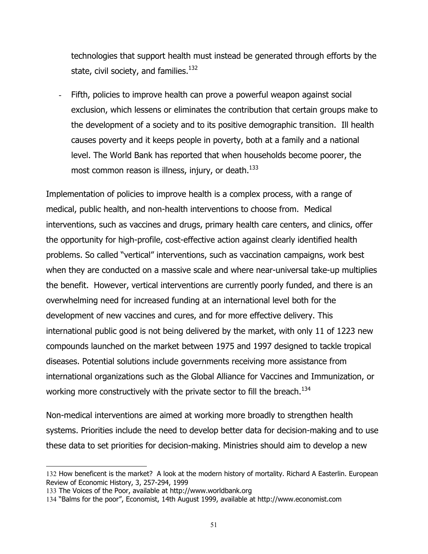technologies that support health must instead be generated through efforts by the state, civil society, and families. $132$ 

Fifth, policies to improve health can prove a powerful weapon against social exclusion, which lessens or eliminates the contribution that certain groups make to the development of a society and to its positive demographic transition. Ill health causes poverty and it keeps people in poverty, both at a family and a national level. The World Bank has reported that when households become poorer, the most common reason is illness, injury, or death. $^{133}$ 

Implementation of policies to improve health is a complex process, with a range of medical, public health, and non-health interventions to choose from. Medical interventions, such as vaccines and drugs, primary health care centers, and clinics, offer the opportunity for high-profile, cost-effective action against clearly identified health problems. So called "vertical" interventions, such as vaccination campaigns, work best when they are conducted on a massive scale and where near-universal take-up multiplies the benefit. However, vertical interventions are currently poorly funded, and there is an overwhelming need for increased funding at an international level both for the development of new vaccines and cures, and for more effective delivery. This international public good is not being delivered by the market, with only 11 of 1223 new compounds launched on the market between 1975 and 1997 designed to tackle tropical diseases. Potential solutions include governments receiving more assistance from international organizations such as the Global Alliance for Vaccines and Immunization, or working more constructively with the private sector to fill the breach.<sup>134</sup>

Non-medical interventions are aimed at working more broadly to strengthen health systems. Priorities include the need to develop better data for decision-making and to use these data to set priorities for decision-making. Ministries should aim to develop a new

<sup>132</sup> How beneficent is the market? A look at the modern history of mortality. Richard A Easterlin. European Review of Economic History, 3, 257-294, 1999

<sup>133</sup> The Voices of the Poor, available at http://www.worldbank.org

<sup>134 &</sup>quot;Balms for the poor", Economist, 14th August 1999, available at http://www.economist.com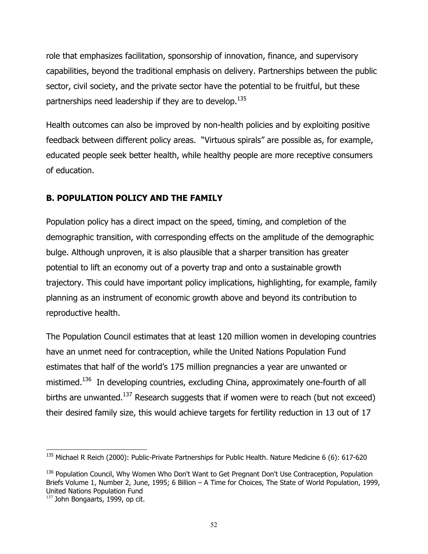role that emphasizes facilitation, sponsorship of innovation, finance, and supervisory capabilities, beyond the traditional emphasis on delivery. Partnerships between the public sector, civil society, and the private sector have the potential to be fruitful, but these partnerships need leadership if they are to develop.<sup>135</sup>

Health outcomes can also be improved by non-health policies and by exploiting positive feedback between different policy areas. "Virtuous spirals" are possible as, for example, educated people seek better health, while healthy people are more receptive consumers of education.

# **B. POPULATION POLICY AND THE FAMILY**

Population policy has a direct impact on the speed, timing, and completion of the demographic transition, with corresponding effects on the amplitude of the demographic bulge. Although unproven, it is also plausible that a sharper transition has greater potential to lift an economy out of a poverty trap and onto a sustainable growth trajectory. This could have important policy implications, highlighting, for example, family planning as an instrument of economic growth above and beyond its contribution to reproductive health.

The Population Council estimates that at least 120 million women in developing countries have an unmet need for contraception, while the United Nations Population Fund estimates that half of the world's 175 million pregnancies a year are unwanted or mistimed.<sup>136</sup> In developing countries, excluding China, approximately one-fourth of all births are unwanted.<sup>137</sup> Research suggests that if women were to reach (but not exceed) their desired family size, this would achieve targets for fertility reduction in 13 out of 17

<sup>&</sup>lt;sup>135</sup> Michael R Reich (2000): Public-Private Partnerships for Public Health. Nature Medicine 6 (6): 617-620

<sup>&</sup>lt;sup>136</sup> Population Council, Why Women Who Don't Want to Get Pregnant Don't Use Contraception, Population Briefs Volume 1, Number 2, June, 1995; 6 Billion – A Time for Choices, The State of World Population, 1999, United Nations Population Fund

 $137$  John Bongaarts, 1999, op cit.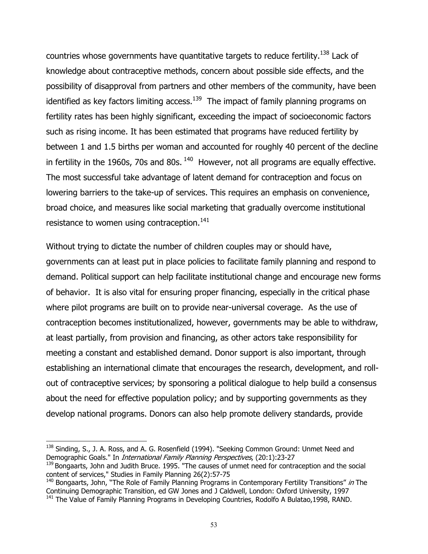countries whose governments have quantitative targets to reduce fertility.<sup>138</sup> Lack of knowledge about contraceptive methods, concern about possible side effects, and the possibility of disapproval from partners and other members of the community, have been identified as key factors limiting access.<sup>139</sup> The impact of family planning programs on fertility rates has been highly significant, exceeding the impact of socioeconomic factors such as rising income. It has been estimated that programs have reduced fertility by between 1 and 1.5 births per woman and accounted for roughly 40 percent of the decline in fertility in the 1960s, 70s and 80s.  $^{140}$  However, not all programs are equally effective. The most successful take advantage of latent demand for contraception and focus on lowering barriers to the take-up of services. This requires an emphasis on convenience, broad choice, and measures like social marketing that gradually overcome institutional resistance to women using contraception.<sup>141</sup>

Without trying to dictate the number of children couples may or should have, governments can at least put in place policies to facilitate family planning and respond to demand. Political support can help facilitate institutional change and encourage new forms of behavior. It is also vital for ensuring proper financing, especially in the critical phase where pilot programs are built on to provide near-universal coverage. As the use of contraception becomes institutionalized, however, governments may be able to withdraw, at least partially, from provision and financing, as other actors take responsibility for meeting a constant and established demand. Donor support is also important, through establishing an international climate that encourages the research, development, and rollout of contraceptive services; by sponsoring a political dialogue to help build a consensus about the need for effective population policy; and by supporting governments as they develop national programs. Donors can also help promote delivery standards, provide

<sup>&</sup>lt;sup>138</sup> Sinding, S., J. A. Ross, and A. G. Rosenfield (1994). "Seeking Common Ground: Unmet Need and Demographic Goals." In *International Family Planning Perspectives*, (20:1):23-27

<sup>&</sup>lt;sup>139</sup> Bongaarts, John and Judith Bruce. 1995. "The causes of unmet need for contraception and the social content of services," Studies in Family Planning 26(2):57-75

 $140$  Bongaarts, John, "The Role of Family Planning Programs in Contemporary Fertility Transitions" in The Continuing Demographic Transition, ed GW Jones and J Caldwell, London: Oxford University, 1997

<sup>&</sup>lt;sup>141</sup> The Value of Family Planning Programs in Developing Countries, Rodolfo A Bulatao, 1998, RAND.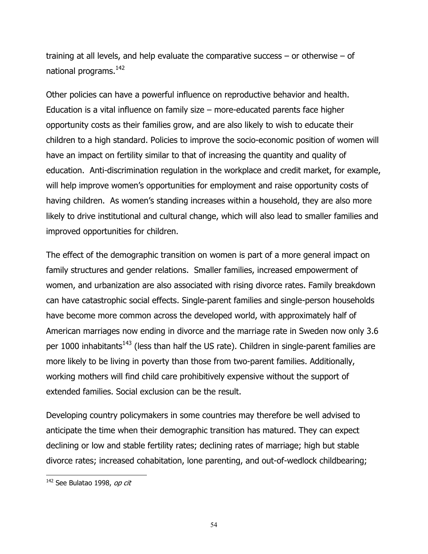training at all levels, and help evaluate the comparative success  $-$  or otherwise  $-$  of national programs.142

Other policies can have a powerful influence on reproductive behavior and health. Education is a vital influence on family size  $-$  more-educated parents face higher opportunity costs as their families grow, and are also likely to wish to educate their children to a high standard. Policies to improve the socio-economic position of women will have an impact on fertility similar to that of increasing the quantity and quality of education. Anti-discrimination regulation in the workplace and credit market, for example, will help improve women's opportunities for employment and raise opportunity costs of having children. As women's standing increases within a household, they are also more likely to drive institutional and cultural change, which will also lead to smaller families and improved opportunities for children.

The effect of the demographic transition on women is part of a more general impact on family structures and gender relations. Smaller families, increased empowerment of women, and urbanization are also associated with rising divorce rates. Family breakdown can have catastrophic social effects. Single-parent families and single-person households have become more common across the developed world, with approximately half of American marriages now ending in divorce and the marriage rate in Sweden now only 3.6 per 1000 inhabitants<sup>143</sup> (less than half the US rate). Children in single-parent families are more likely to be living in poverty than those from two-parent families. Additionally, working mothers will find child care prohibitively expensive without the support of extended families. Social exclusion can be the result.

Developing country policymakers in some countries may therefore be well advised to anticipate the time when their demographic transition has matured. They can expect declining or low and stable fertility rates; declining rates of marriage; high but stable divorce rates; increased cohabitation, lone parenting, and out-of-wedlock childbearing;

 $142$  See Bulatao 1998, op cit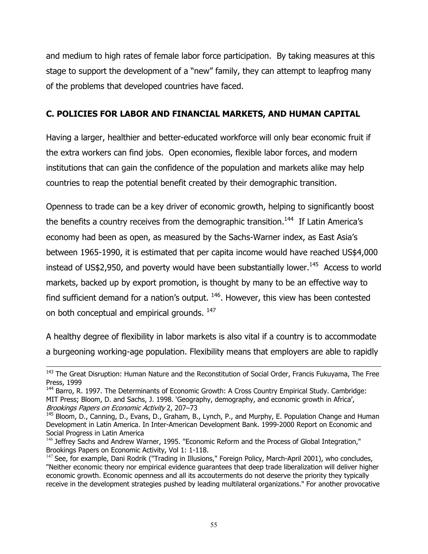and medium to high rates of female labor force participation. By taking measures at this stage to support the development of a "new" family, they can attempt to leapfrog many of the problems that developed countries have faced.

### **C. POLICIES FOR LABOR AND FINANCIAL MARKETS, AND HUMAN CAPITAL**

Having a larger, healthier and better-educated workforce will only bear economic fruit if the extra workers can find jobs. Open economies, flexible labor forces, and modern institutions that can gain the confidence of the population and markets alike may help countries to reap the potential benefit created by their demographic transition.

Openness to trade can be a key driver of economic growth, helping to significantly boost the benefits a country receives from the demographic transition.<sup>144</sup> If Latin America's economy had been as open, as measured by the Sachs-Warner index, as East Asiaís between 1965-1990, it is estimated that per capita income would have reached US\$4,000 instead of US\$2,950, and poverty would have been substantially lower.<sup>145</sup> Access to world markets, backed up by export promotion, is thought by many to be an effective way to find sufficient demand for a nation's output.  $146$ . However, this view has been contested on both conceptual and empirical grounds. 147

A healthy degree of flexibility in labor markets is also vital if a country is to accommodate a burgeoning working-age population. Flexibility means that employers are able to rapidly

l

<sup>&</sup>lt;sup>143</sup> The Great Disruption: Human Nature and the Reconstitution of Social Order, Francis Fukuyama, The Free Press, 1999

<sup>&</sup>lt;sup>144</sup> Barro, R. 1997. The Determinants of Economic Growth: A Cross Country Empirical Study. Cambridge: MIT Press; Bloom, D. and Sachs, J. 1998. Geography, demography, and economic growth in Africa', Brookings Papers on Economic Activity 2, 207-73

<sup>&</sup>lt;sup>145</sup> Bloom, D., Canning, D., Evans, D., Graham, B., Lynch, P., and Murphy, E. Population Change and Human Development in Latin America. In Inter-American Development Bank. 1999-2000 Report on Economic and Social Progress in Latin America

<sup>&</sup>lt;sup>146</sup> Jeffrey Sachs and Andrew Warner, 1995. "Economic Reform and the Process of Global Integration," Brookings Papers on Economic Activity, Vol 1: 1-118.

<sup>&</sup>lt;sup>147</sup> See, for example, Dani Rodrik ("Trading in Illusions," Foreign Policy, March-April 2001), who concludes, "Neither economic theory nor empirical evidence guarantees that deep trade liberalization will deliver higher economic growth. Economic openness and all its accouterments do not deserve the priority they typically receive in the development strategies pushed by leading multilateral organizations." For another provocative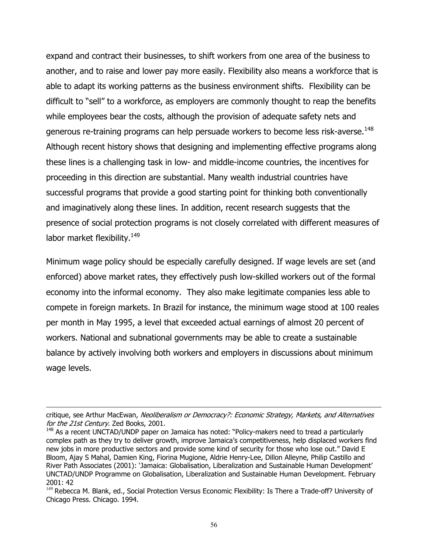expand and contract their businesses, to shift workers from one area of the business to another, and to raise and lower pay more easily. Flexibility also means a workforce that is able to adapt its working patterns as the business environment shifts. Flexibility can be difficult to "sell" to a workforce, as employers are commonly thought to reap the benefits while employees bear the costs, although the provision of adequate safety nets and generous re-training programs can help persuade workers to become less risk-averse.<sup>148</sup> Although recent history shows that designing and implementing effective programs along these lines is a challenging task in low- and middle-income countries, the incentives for proceeding in this direction are substantial. Many wealth industrial countries have successful programs that provide a good starting point for thinking both conventionally and imaginatively along these lines. In addition, recent research suggests that the presence of social protection programs is not closely correlated with different measures of labor market flexibility.<sup>149</sup>

Minimum wage policy should be especially carefully designed. If wage levels are set (and enforced) above market rates, they effectively push low-skilled workers out of the formal economy into the informal economy. They also make legitimate companies less able to compete in foreign markets. In Brazil for instance, the minimum wage stood at 100 reales per month in May 1995, a level that exceeded actual earnings of almost 20 percent of workers. National and subnational governments may be able to create a sustainable balance by actively involving both workers and employers in discussions about minimum wage levels.

critique, see Arthur MacEwan, Neoliberalism or Democracy?: Economic Strategy, Markets, and Alternatives for the 21st Century. Zed Books, 2001.

 $148$  As a recent UNCTAD/UNDP paper on Jamaica has noted: "Policy-makers need to tread a particularly complex path as they try to deliver growth, improve Jamaicaís competitiveness, help displaced workers find new jobs in more productive sectors and provide some kind of security for those who lose out." David E Bloom, Ajay S Mahal, Damien King, Fiorina Mugione, Aldrie Henry-Lee, Dillon Alleyne, Philip Castillo and River Path Associates (2001): 'Jamaica: Globalisation, Liberalization and Sustainable Human Development' UNCTAD/UNDP Programme on Globalisation, Liberalization and Sustainable Human Development. February 2001: 42

<sup>&</sup>lt;sup>149</sup> Rebecca M. Blank, ed., Social Protection Versus Economic Flexibility: Is There a Trade-off? University of Chicago Press. Chicago. 1994.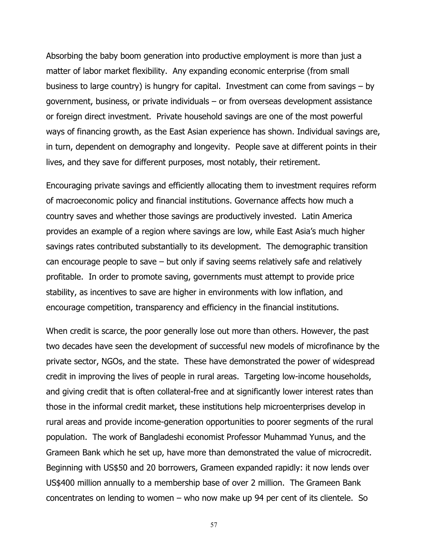Absorbing the baby boom generation into productive employment is more than just a matter of labor market flexibility. Any expanding economic enterprise (from small business to large country) is hungry for capital. Investment can come from savings  $-$  by government, business, or private individuals  $-$  or from overseas development assistance or foreign direct investment. Private household savings are one of the most powerful ways of financing growth, as the East Asian experience has shown. Individual savings are, in turn, dependent on demography and longevity. People save at different points in their lives, and they save for different purposes, most notably, their retirement.

Encouraging private savings and efficiently allocating them to investment requires reform of macroeconomic policy and financial institutions. Governance affects how much a country saves and whether those savings are productively invested. Latin America provides an example of a region where savings are low, while East Asiaís much higher savings rates contributed substantially to its development. The demographic transition can encourage people to save  $-$  but only if saving seems relatively safe and relatively profitable. In order to promote saving, governments must attempt to provide price stability, as incentives to save are higher in environments with low inflation, and encourage competition, transparency and efficiency in the financial institutions.

When credit is scarce, the poor generally lose out more than others. However, the past two decades have seen the development of successful new models of microfinance by the private sector, NGOs, and the state. These have demonstrated the power of widespread credit in improving the lives of people in rural areas. Targeting low-income households, and giving credit that is often collateral-free and at significantly lower interest rates than those in the informal credit market, these institutions help microenterprises develop in rural areas and provide income-generation opportunities to poorer segments of the rural population. The work of Bangladeshi economist Professor Muhammad Yunus, and the Grameen Bank which he set up, have more than demonstrated the value of microcredit. Beginning with US\$50 and 20 borrowers, Grameen expanded rapidly: it now lends over US\$400 million annually to a membership base of over 2 million. The Grameen Bank concentrates on lending to women  $-$  who now make up 94 per cent of its clientele. So

57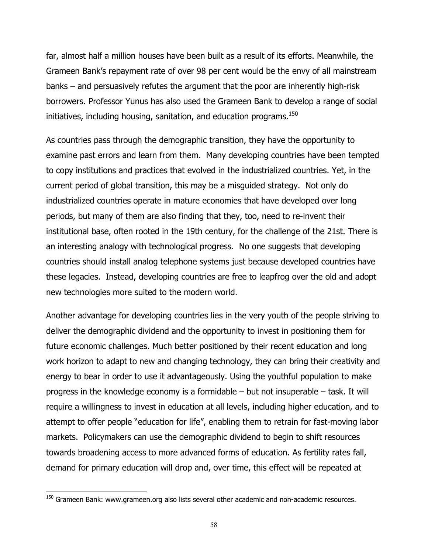far, almost half a million houses have been built as a result of its efforts. Meanwhile, the Grameen Bankís repayment rate of over 98 per cent would be the envy of all mainstream banks  $-$  and persuasively refutes the argument that the poor are inherently high-risk borrowers. Professor Yunus has also used the Grameen Bank to develop a range of social initiatives, including housing, sanitation, and education programs.<sup>150</sup>

As countries pass through the demographic transition, they have the opportunity to examine past errors and learn from them. Many developing countries have been tempted to copy institutions and practices that evolved in the industrialized countries. Yet, in the current period of global transition, this may be a misguided strategy. Not only do industrialized countries operate in mature economies that have developed over long periods, but many of them are also finding that they, too, need to re-invent their institutional base, often rooted in the 19th century, for the challenge of the 21st. There is an interesting analogy with technological progress. No one suggests that developing countries should install analog telephone systems just because developed countries have these legacies. Instead, developing countries are free to leapfrog over the old and adopt new technologies more suited to the modern world.

Another advantage for developing countries lies in the very youth of the people striving to deliver the demographic dividend and the opportunity to invest in positioning them for future economic challenges. Much better positioned by their recent education and long work horizon to adapt to new and changing technology, they can bring their creativity and energy to bear in order to use it advantageously. Using the youthful population to make progress in the knowledge economy is a formidable  $-$  but not insuperable  $-$  task. It will require a willingness to invest in education at all levels, including higher education, and to attempt to offer people "education for life", enabling them to retrain for fast-moving labor markets. Policymakers can use the demographic dividend to begin to shift resources towards broadening access to more advanced forms of education. As fertility rates fall, demand for primary education will drop and, over time, this effect will be repeated at

 $150$  Grameen Bank: www.grameen.org also lists several other academic and non-academic resources.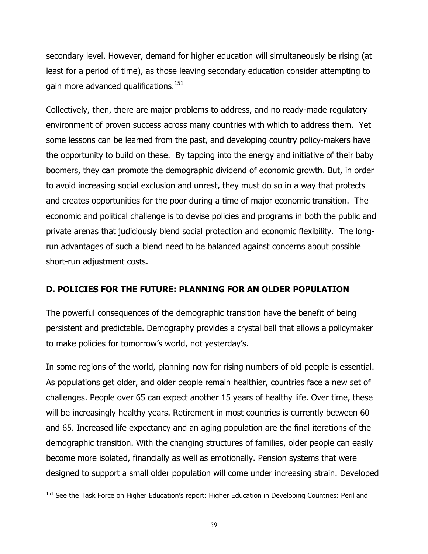secondary level. However, demand for higher education will simultaneously be rising (at least for a period of time), as those leaving secondary education consider attempting to gain more advanced qualifications.<sup>151</sup>

Collectively, then, there are major problems to address, and no ready-made regulatory environment of proven success across many countries with which to address them. Yet some lessons can be learned from the past, and developing country policy-makers have the opportunity to build on these. By tapping into the energy and initiative of their baby boomers, they can promote the demographic dividend of economic growth. But, in order to avoid increasing social exclusion and unrest, they must do so in a way that protects and creates opportunities for the poor during a time of major economic transition. The economic and political challenge is to devise policies and programs in both the public and private arenas that judiciously blend social protection and economic flexibility. The longrun advantages of such a blend need to be balanced against concerns about possible short-run adjustment costs.

# **D. POLICIES FOR THE FUTURE: PLANNING FOR AN OLDER POPULATION**

The powerful consequences of the demographic transition have the benefit of being persistent and predictable. Demography provides a crystal ball that allows a policymaker to make policies for tomorrow's world, not yesterday's.

In some regions of the world, planning now for rising numbers of old people is essential. As populations get older, and older people remain healthier, countries face a new set of challenges. People over 65 can expect another 15 years of healthy life. Over time, these will be increasingly healthy years. Retirement in most countries is currently between 60 and 65. Increased life expectancy and an aging population are the final iterations of the demographic transition. With the changing structures of families, older people can easily become more isolated, financially as well as emotionally. Pension systems that were designed to support a small older population will come under increasing strain. Developed

<sup>&</sup>lt;sup>151</sup> See the Task Force on Higher Education's report: Higher Education in Developing Countries: Peril and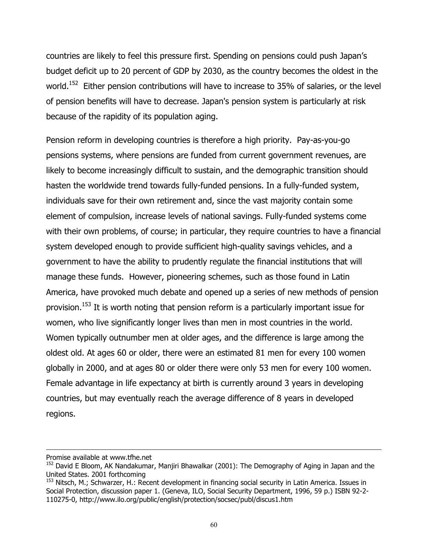countries are likely to feel this pressure first. Spending on pensions could push Japanís budget deficit up to 20 percent of GDP by 2030, as the country becomes the oldest in the world.<sup>152</sup> Either pension contributions will have to increase to 35% of salaries, or the level of pension benefits will have to decrease. Japan's pension system is particularly at risk because of the rapidity of its population aging.

Pension reform in developing countries is therefore a high priority. Pay-as-you-go pensions systems, where pensions are funded from current government revenues, are likely to become increasingly difficult to sustain, and the demographic transition should hasten the worldwide trend towards fully-funded pensions. In a fully-funded system, individuals save for their own retirement and, since the vast majority contain some element of compulsion, increase levels of national savings. Fully-funded systems come with their own problems, of course; in particular, they require countries to have a financial system developed enough to provide sufficient high-quality savings vehicles, and a government to have the ability to prudently regulate the financial institutions that will manage these funds. However, pioneering schemes, such as those found in Latin America, have provoked much debate and opened up a series of new methods of pension provision.<sup>153</sup> It is worth noting that pension reform is a particularly important issue for women, who live significantly longer lives than men in most countries in the world. Women typically outnumber men at older ages, and the difference is large among the oldest old. At ages 60 or older, there were an estimated 81 men for every 100 women globally in 2000, and at ages 80 or older there were only 53 men for every 100 women. Female advantage in life expectancy at birth is currently around 3 years in developing countries, but may eventually reach the average difference of 8 years in developed regions.

Promise available at www.tfhe.net

<sup>&</sup>lt;sup>152</sup> David E Bloom, AK Nandakumar, Manjiri Bhawalkar (2001): The Demography of Aging in Japan and the United States. 2001 forthcoming

<sup>&</sup>lt;sup>153</sup> Nitsch, M.; Schwarzer, H.: Recent development in financing social security in Latin America. Issues in Social Protection, discussion paper 1. (Geneva, ILO, Social Security Department, 1996, 59 p.) ISBN 92-2- 110275-0, http://www.ilo.org/public/english/protection/socsec/publ/discus1.htm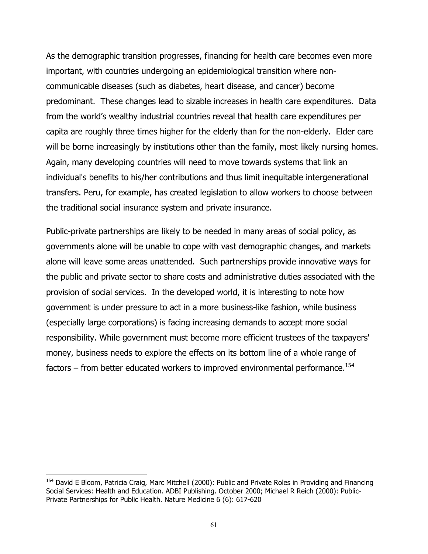As the demographic transition progresses, financing for health care becomes even more important, with countries undergoing an epidemiological transition where noncommunicable diseases (such as diabetes, heart disease, and cancer) become predominant. These changes lead to sizable increases in health care expenditures. Data from the world's wealthy industrial countries reveal that health care expenditures per capita are roughly three times higher for the elderly than for the non-elderly. Elder care will be borne increasingly by institutions other than the family, most likely nursing homes. Again, many developing countries will need to move towards systems that link an individual's benefits to his/her contributions and thus limit inequitable intergenerational transfers. Peru, for example, has created legislation to allow workers to choose between the traditional social insurance system and private insurance.

Public-private partnerships are likely to be needed in many areas of social policy, as governments alone will be unable to cope with vast demographic changes, and markets alone will leave some areas unattended. Such partnerships provide innovative ways for the public and private sector to share costs and administrative duties associated with the provision of social services. In the developed world, it is interesting to note how government is under pressure to act in a more business-like fashion, while business (especially large corporations) is facing increasing demands to accept more social responsibility. While government must become more efficient trustees of the taxpayers' money, business needs to explore the effects on its bottom line of a whole range of factors  $-$  from better educated workers to improved environmental performance.<sup>154</sup>

<sup>&</sup>lt;sup>154</sup> David E Bloom, Patricia Craig, Marc Mitchell (2000): Public and Private Roles in Providing and Financing Social Services: Health and Education. ADBI Publishing. October 2000; Michael R Reich (2000): Public-Private Partnerships for Public Health. Nature Medicine 6 (6): 617-620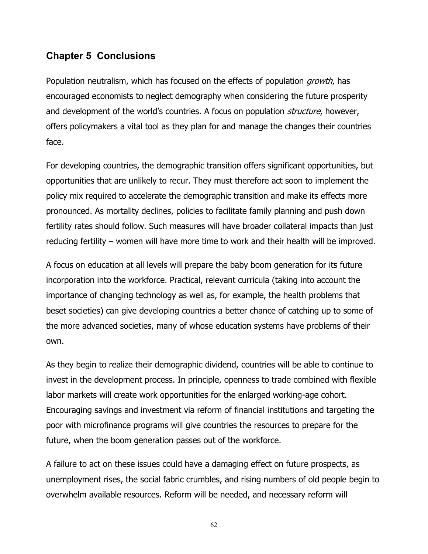# **Chapter 5 Conclusions**

Population neutralism, which has focused on the effects of population *growth*, has encouraged economists to neglect demography when considering the future prosperity and development of the world's countries. A focus on population *structure*, however, offers policymakers a vital tool as they plan for and manage the changes their countries face.

For developing countries, the demographic transition offers significant opportunities, but opportunities that are unlikely to recur. They must therefore act soon to implement the policy mix required to accelerate the demographic transition and make its effects more pronounced. As mortality declines, policies to facilitate family planning and push down fertility rates should follow. Such measures will have broader collateral impacts than just reducing fertility – women will have more time to work and their health will be improved.

A focus on education at all levels will prepare the baby boom generation for its future incorporation into the workforce. Practical, relevant curricula (taking into account the importance of changing technology as well as, for example, the health problems that beset societies) can give developing countries a better chance of catching up to some of the more advanced societies, many of whose education systems have problems of their own.

As they begin to realize their demographic dividend, countries will be able to continue to invest in the development process. In principle, openness to trade combined with flexible labor markets will create work opportunities for the enlarged working-age cohort. Encouraging savings and investment via reform of financial institutions and targeting the poor with microfinance programs will give countries the resources to prepare for the future, when the boom generation passes out of the workforce.

A failure to act on these issues could have a damaging effect on future prospects, as unemployment rises, the social fabric crumbles, and rising numbers of old people begin to overwhelm available resources. Reform will be needed, and necessary reform will

62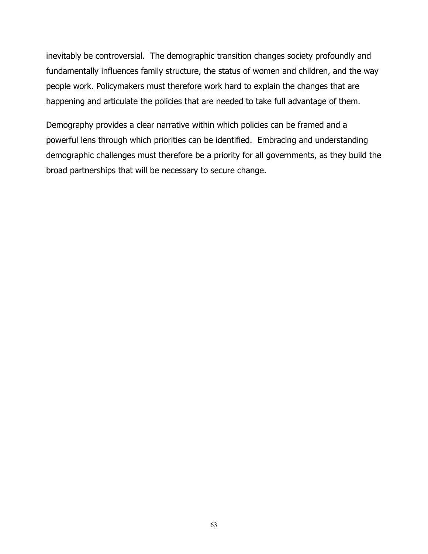inevitably be controversial. The demographic transition changes society profoundly and fundamentally influences family structure, the status of women and children, and the way people work. Policymakers must therefore work hard to explain the changes that are happening and articulate the policies that are needed to take full advantage of them.

Demography provides a clear narrative within which policies can be framed and a powerful lens through which priorities can be identified. Embracing and understanding demographic challenges must therefore be a priority for all governments, as they build the broad partnerships that will be necessary to secure change.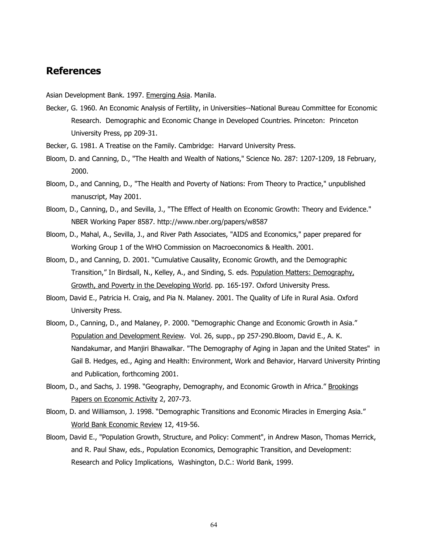# **References**

Asian Development Bank. 1997. Emerging Asia. Manila.

- Becker, G. 1960. An Economic Analysis of Fertility, in Universities--National Bureau Committee for Economic Research. Demographic and Economic Change in Developed Countries. Princeton: Princeton University Press, pp 209-31.
- Becker, G. 1981. A Treatise on the Family. Cambridge: Harvard University Press.
- Bloom, D. and Canning, D., "The Health and Wealth of Nations," Science No. 287: 1207-1209, 18 February, 2000.
- Bloom, D., and Canning, D., "The Health and Poverty of Nations: From Theory to Practice," unpublished manuscript, May 2001.
- Bloom, D., Canning, D., and Sevilla, J., "The Effect of Health on Economic Growth: Theory and Evidence." NBER Working Paper 8587. http://www.nber.org/papers/w8587
- Bloom, D., Mahal, A., Sevilla, J., and River Path Associates, "AIDS and Economics," paper prepared for Working Group 1 of the WHO Commission on Macroeconomics & Health. 2001.
- Bloom, D., and Canning, D. 2001. "Cumulative Causality, Economic Growth, and the Demographic Transition," In Birdsall, N., Kelley, A., and Sinding, S. eds. Population Matters: Demography, Growth, and Poverty in the Developing World. pp. 165-197. Oxford University Press.
- Bloom, David E., Patricia H. Craig, and Pia N. Malaney. 2001. The Quality of Life in Rural Asia. Oxford University Press.
- Bloom, D., Canning, D., and Malaney, P. 2000. "Demographic Change and Economic Growth in Asia." Population and Development Review. Vol. 26, supp., pp 257-290.Bloom, David E., A. K. Nandakumar, and Manjiri Bhawalkar. "The Demography of Aging in Japan and the United States" in Gail B. Hedges, ed., Aging and Health: Environment, Work and Behavior, Harvard University Printing and Publication, forthcoming 2001.
- Bloom, D., and Sachs, J. 1998. "Geography, Demography, and Economic Growth in Africa." Brookings Papers on Economic Activity 2, 207-73.
- Bloom, D. and Williamson, J. 1998. "Demographic Transitions and Economic Miracles in Emerging Asia." World Bank Economic Review 12, 419-56.
- Bloom, David E., "Population Growth, Structure, and Policy: Comment", in Andrew Mason, Thomas Merrick, and R. Paul Shaw, eds., Population Economics, Demographic Transition, and Development: Research and Policy Implications, Washington, D.C.: World Bank, 1999.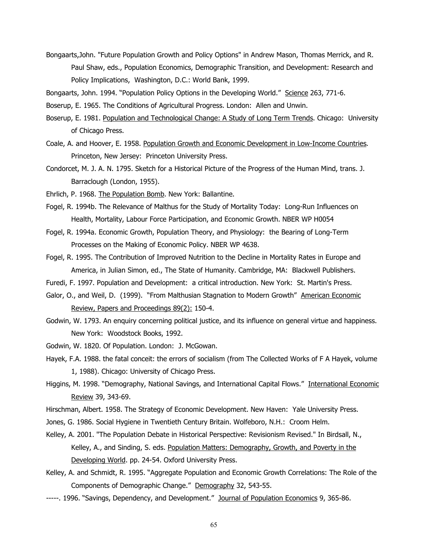Bongaarts,John. "Future Population Growth and Policy Options" in Andrew Mason, Thomas Merrick, and R. Paul Shaw, eds., Population Economics, Demographic Transition, and Development: Research and Policy Implications, Washington, D.C.: World Bank, 1999.

Bongaarts, John. 1994. "Population Policy Options in the Developing World." Science 263, 771-6.

- Boserup, E. 1965. The Conditions of Agricultural Progress. London: Allen and Unwin.
- Boserup, E. 1981. Population and Technological Change: A Study of Long Term Trends. Chicago: University of Chicago Press.
- Coale, A. and Hoover, E. 1958. Population Growth and Economic Development in Low-Income Countries. Princeton, New Jersey: Princeton University Press.
- Condorcet, M. J. A. N. 1795. Sketch for a Historical Picture of the Progress of the Human Mind, trans. J. Barraclough (London, 1955).
- Ehrlich, P. 1968. The Population Bomb. New York: Ballantine.
- Fogel, R. 1994b. The Relevance of Malthus for the Study of Mortality Today: Long-Run Influences on Health, Mortality, Labour Force Participation, and Economic Growth. NBER WP H0054
- Fogel, R. 1994a. Economic Growth, Population Theory, and Physiology: the Bearing of Long-Term Processes on the Making of Economic Policy. NBER WP 4638.
- Fogel, R. 1995. The Contribution of Improved Nutrition to the Decline in Mortality Rates in Europe and America, in Julian Simon, ed., The State of Humanity. Cambridge, MA: Blackwell Publishers.
- Furedi, F. 1997. Population and Development: a critical introduction. New York: St. Martin's Press.
- Galor, O., and Weil, D. (1999). "From Malthusian Stagnation to Modern Growth" American Economic Review, Papers and Proceedings 89(2): 150-4.
- Godwin, W. 1793. An enquiry concerning political justice, and its influence on general virtue and happiness. New York: Woodstock Books, 1992.
- Godwin, W. 1820. Of Population. London: J. McGowan.
- Hayek, F.A. 1988. the fatal conceit: the errors of socialism (from The Collected Works of F A Hayek, volume 1, 1988). Chicago: University of Chicago Press.
- Higgins, M. 1998. "Demography, National Savings, and International Capital Flows." International Economic Review 39, 343-69.
- Hirschman, Albert. 1958. The Strategy of Economic Development. New Haven: Yale University Press.
- Jones, G. 1986. Social Hygiene in Twentieth Century Britain. Wolfeboro, N.H.: Croom Helm.
- Kelley, A. 2001. "The Population Debate in Historical Perspective: Revisionism Revised." In Birdsall, N., Kelley, A., and Sinding, S. eds. Population Matters: Demography, Growth, and Poverty in the Developing World. pp. 24-54. Oxford University Press.
- Kelley, A. and Schmidt, R. 1995. "Aggregate Population and Economic Growth Correlations: The Role of the Components of Demographic Change.<sup>"</sup> Demography 32, 543-55.
- -----. 1996. "Savings, Dependency, and Development." Journal of Population Economics 9, 365-86.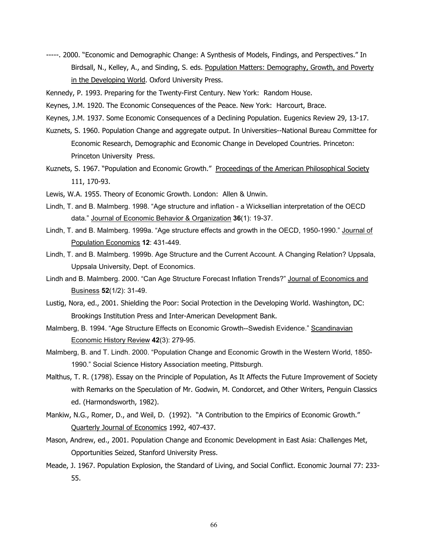-----. 2000. "Economic and Demographic Change: A Synthesis of Models, Findings, and Perspectives." In Birdsall, N., Kelley, A., and Sinding, S. eds. Population Matters: Demography, Growth, and Poverty in the Developing World. Oxford University Press.

Kennedy, P. 1993. Preparing for the Twenty-First Century. New York: Random House.

Keynes, J.M. 1920. The Economic Consequences of the Peace. New York: Harcourt, Brace.

- Keynes, J.M. 1937. Some Economic Consequences of a Declining Population. Eugenics Review 29, 13-17.
- Kuznets, S. 1960. Population Change and aggregate output. In Universities--National Bureau Committee for Economic Research, Demographic and Economic Change in Developed Countries. Princeton: Princeton University Press.
- Kuznets, S. 1967. "Population and Economic Growth." Proceedings of the American Philosophical Society 111, 170-93.
- Lewis, W.A. 1955. Theory of Economic Growth. London: Allen & Unwin.
- Lindh, T. and B. Malmberg. 1998. "Age structure and inflation a Wicksellian interpretation of the OECD data.î Journal of Economic Behavior & Organization **36**(1): 19-37.
- Lindh, T. and B. Malmberg. 1999a. "Age structure effects and growth in the OECD, 1950-1990." Journal of Population Economics **12**: 431-449.
- Lindh, T. and B. Malmberg. 1999b. Age Structure and the Current Account. A Changing Relation? Uppsala, Uppsala University, Dept. of Economics.
- Lindh and B. Malmberg. 2000. "Can Age Structure Forecast Inflation Trends?" Journal of Economics and Business **52**(1/2): 31-49.
- Lustig, Nora, ed., 2001. Shielding the Poor: Social Protection in the Developing World. Washington, DC: Brookings Institution Press and Inter-American Development Bank.
- Malmberg, B. 1994. "Age Structure Effects on Economic Growth--Swedish Evidence." Scandinavian Economic History Review **42**(3): 279-95.
- Malmberg, B. and T. Lindh. 2000. "Population Change and Economic Growth in the Western World, 1850-1990." Social Science History Association meeting, Pittsburgh.
- Malthus, T. R. (1798). Essay on the Principle of Population, As It Affects the Future Improvement of Society with Remarks on the Speculation of Mr. Godwin, M. Condorcet, and Other Writers, Penguin Classics ed. (Harmondsworth, 1982).
- Mankiw, N.G., Romer, D., and Weil, D. (1992). "A Contribution to the Empirics of Economic Growth." Quarterly Journal of Economics 1992, 407-437.
- Mason, Andrew, ed., 2001. Population Change and Economic Development in East Asia: Challenges Met, Opportunities Seized, Stanford University Press.
- Meade, J. 1967. Population Explosion, the Standard of Living, and Social Conflict. Economic Journal 77: 233- 55.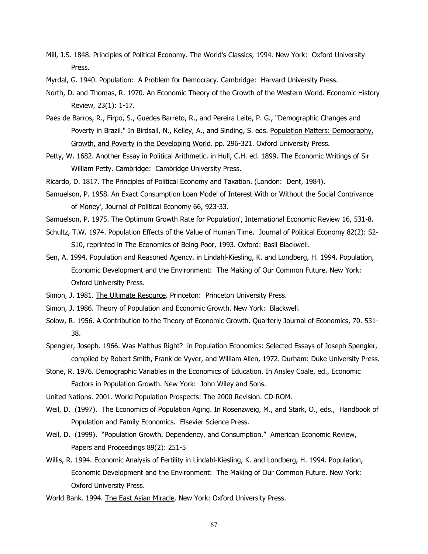Mill, J.S. 1848. Principles of Political Economy. The World's Classics, 1994. New York: Oxford University Press.

Myrdal, G. 1940. Population: A Problem for Democracy. Cambridge: Harvard University Press.

- North, D. and Thomas, R. 1970. An Economic Theory of the Growth of the Western World. Economic History Review, 23(1): 1-17.
- Paes de Barros, R., Firpo, S., Guedes Barreto, R., and Pereira Leite, P. G., "Demographic Changes and Poverty in Brazil." In Birdsall, N., Kelley, A., and Sinding, S. eds. Population Matters: Demography, Growth, and Poverty in the Developing World. pp. 296-321. Oxford University Press.
- Petty, W. 1682. Another Essay in Political Arithmetic. in Hull, C.H. ed. 1899. The Economic Writings of Sir William Petty. Cambridge: Cambridge University Press.
- Ricardo, D. 1817. The Principles of Political Economy and Taxation. (London: Dent, 1984).
- Samuelson, P. 1958. An Exact Consumption Loan Model of Interest With or Without the Social Contrivance of Money', Journal of Political Economy 66, 923-33.
- Samuelson, P. 1975. The Optimum Growth Rate for Population', International Economic Review 16, 531-8.
- Schultz, T.W. 1974. Population Effects of the Value of Human Time. Journal of Political Economy 82(2): S2- S10, reprinted in The Economics of Being Poor, 1993. Oxford: Basil Blackwell.
- Sen, A. 1994. Population and Reasoned Agency. in Lindahl-Kiesling, K. and Londberg, H. 1994. Population, Economic Development and the Environment: The Making of Our Common Future. New York: Oxford University Press.
- Simon, J. 1981. The Ultimate Resource. Princeton: Princeton University Press.
- Simon, J. 1986. Theory of Population and Economic Growth. New York: Blackwell.
- Solow, R. 1956. A Contribution to the Theory of Economic Growth. Quarterly Journal of Economics, 70. 531- 38.
- Spengler, Joseph. 1966. Was Malthus Right? in Population Economics: Selected Essays of Joseph Spengler, compiled by Robert Smith, Frank de Vyver, and William Allen, 1972. Durham: Duke University Press.
- Stone, R. 1976. Demographic Variables in the Economics of Education. In Ansley Coale, ed., Economic Factors in Population Growth. New York: John Wiley and Sons.
- United Nations. 2001. World Population Prospects: The 2000 Revision. CD-ROM.
- Weil, D. (1997). The Economics of Population Aging. In Rosenzweig, M., and Stark, O., eds., Handbook of Population and Family Economics. Elsevier Science Press.
- Weil, D. (1999). "Population Growth, Dependency, and Consumption." American Economic Review, Papers and Proceedings 89(2): 251-5
- Willis, R. 1994. Economic Analysis of Fertility in Lindahl-Kiesling, K. and Londberg, H. 1994. Population, Economic Development and the Environment: The Making of Our Common Future. New York: Oxford University Press.
- World Bank. 1994. The East Asian Miracle. New York: Oxford University Press.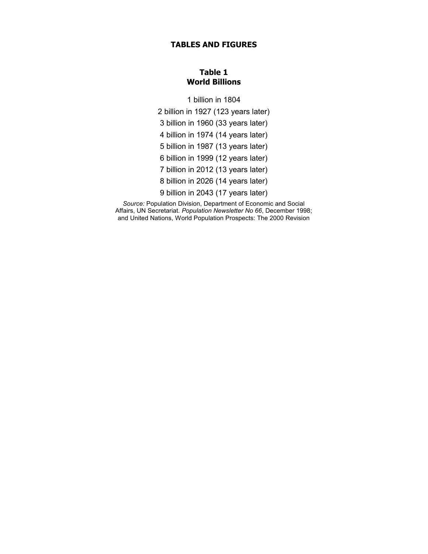#### **TABLES AND FIGURES**

#### **Table 1 World Billions**

1 billion in 1804

2 billion in 1927 (123 years later) 3 billion in 1960 (33 years later) 4 billion in 1974 (14 years later) 5 billion in 1987 (13 years later) 6 billion in 1999 (12 years later) 7 billion in 2012 (13 years later) 8 billion in 2026 (14 years later) 9 billion in 2043 (17 years later)

*Source:* Population Division, Department of Economic and Social Affairs, UN Secretariat. *Population Newsletter No 66*, December 1998; and United Nations, World Population Prospects: The 2000 Revision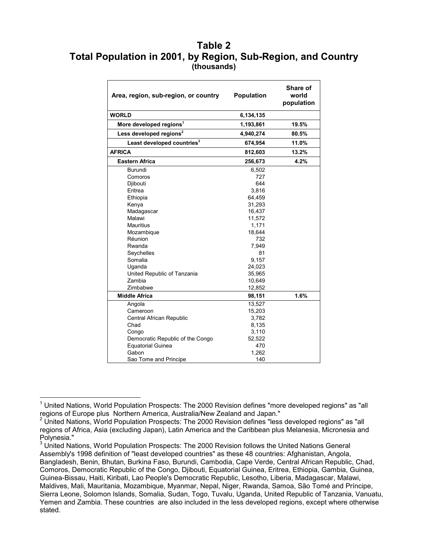# **Table 2 Total Population in 2001, by Region, Sub-Region, and Country (thousands)**

| Area, region, sub-region, or country   | <b>Population</b> | Share of<br>world<br>population |
|----------------------------------------|-------------------|---------------------------------|
| <b>WORLD</b>                           | 6,134,135         |                                 |
| More developed regions <sup>1</sup>    | 1,193,861         | 19.5%                           |
| Less developed regions <sup>2</sup>    | 4,940,274         | 80.5%                           |
| Least developed countries <sup>3</sup> | 674,954           | 11.0%                           |
| <b>AFRICA</b>                          | 812,603           | 13.2%                           |
| <b>Eastern Africa</b>                  | 256,673           | 4.2%                            |
| Burundi                                | 6,502             |                                 |
| Comoros                                | 727               |                                 |
| Djibouti                               | 644               |                                 |
| Eritrea                                | 3,816             |                                 |
| Ethiopia                               | 64,459            |                                 |
| Kenya                                  | 31,293            |                                 |
| Madagascar                             | 16,437            |                                 |
| Malawi                                 | 11,572            |                                 |
| <b>Mauritius</b>                       | 1,171             |                                 |
| Mozambique                             | 18,644            |                                 |
| Réunion                                | 732               |                                 |
| Rwanda                                 | 7,949             |                                 |
| Seychelles                             | 81                |                                 |
| Somalia                                | 9,157             |                                 |
| Uganda                                 | 24,023            |                                 |
| United Republic of Tanzania            | 35,965            |                                 |
| Zambia                                 | 10,649            |                                 |
| Zimbabwe                               | 12,852            |                                 |
| <b>Middle Africa</b>                   | 98,151            | 1.6%                            |
| Angola                                 | 13,527            |                                 |
| Cameroon                               | 15,203            |                                 |
| Central African Republic               | 3,782             |                                 |
| Chad                                   | 8,135             |                                 |
| Congo                                  | 3,110             |                                 |
| Democratic Republic of the Congo       | 52,522            |                                 |
| <b>Equatorial Guinea</b>               | 470               |                                 |
| Gabon                                  | 1.262             |                                 |
| Sao Tome and Principe                  | 140               |                                 |

-

<sup>&</sup>lt;sup>1</sup> United Nations, World Population Prospects: The 2000 Revision defines "more developed regions" as "all regions of Europe plus Northern America, Australia/New Zealand and Japan."

 $2$  United Nations, World Population Prospects: The 2000 Revision defines "less developed regions" as "all regions of Africa, Asia (excluding Japan), Latin America and the Caribbean plus Melanesia, Micronesia and Polynesia."

 $3$  United Nations, World Population Prospects: The 2000 Revision follows the United Nations General Assembly's 1998 definition of "least developed countries" as these 48 countries: Afghanistan, Angola, Bangladesh, Benin, Bhutan, Burkina Faso, Burundi, Cambodia, Cape Verde, Central African Republic, Chad, Comoros, Democratic Republic of the Congo, Djibouti, Equatorial Guinea, Eritrea, Ethiopia, Gambia, Guinea, Guinea-Bissau, Haiti, Kiribati, Lao People's Democratic Republic, Lesotho, Liberia, Madagascar, Malawi, Maldives, Mali, Mauritania, Mozambique, Myanmar, Nepal, Niger, Rwanda, Samoa, São Tomé and Príncipe, Sierra Leone, Solomon Islands, Somalia, Sudan, Togo, Tuvalu, Uganda, United Republic of Tanzania, Vanuatu, Yemen and Zambia. These countries are also included in the less developed regions, except where otherwise stated.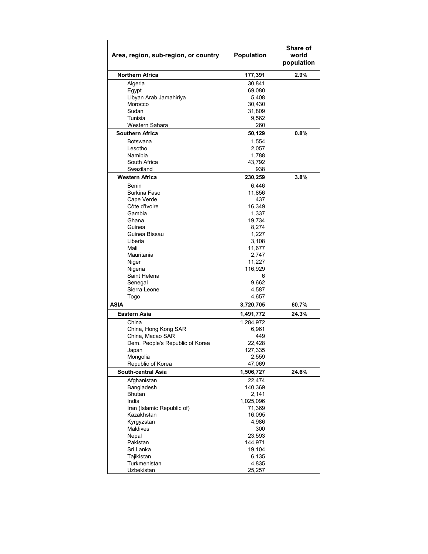| Area, region, sub-region, or country | <b>Population</b> | <b>Share of</b><br>world<br>population |
|--------------------------------------|-------------------|----------------------------------------|
| <b>Northern Africa</b>               | 177,391           | 2.9%                                   |
| Algeria                              | 30,841            |                                        |
| Egypt                                | 69,080            |                                        |
| Libyan Arab Jamahiriya               | 5,408             |                                        |
| Morocco                              | 30,430            |                                        |
| Sudan                                | 31,809            |                                        |
| Tunisia                              | 9,562             |                                        |
| Western Sahara                       | 260               |                                        |
| <b>Southern Africa</b>               | 50,129            | $0.8\%$                                |
| <b>Botswana</b>                      | 1,554             |                                        |
| Lesotho                              | 2,057             |                                        |
| Namibia                              | 1,788             |                                        |
| South Africa                         | 43,792            |                                        |
| Swaziland                            | 938               |                                        |
| <b>Western Africa</b>                | 230,259           | 3.8%                                   |
| Benin                                | 6,446             |                                        |
| Burkina Faso                         | 11,856            |                                        |
| Cape Verde                           | 437               |                                        |
| Côte d'Ivoire                        | 16,349            |                                        |
| Gambia                               | 1,337             |                                        |
| Ghana                                | 19,734            |                                        |
| Guinea                               | 8,274             |                                        |
| Guinea Bissau                        | 1,227             |                                        |
| Liberia                              | 3,108             |                                        |
| Mali                                 | 11,677            |                                        |
| Mauritania                           | 2,747             |                                        |
| Niger                                | 11,227            |                                        |
| Nigeria                              | 116,929           |                                        |
| Saint Helena                         | 6<br>9,662        |                                        |
| Senegal<br>Sierra Leone              | 4,587             |                                        |
| Togo                                 | 4,657             |                                        |
| <b>ASIA</b>                          | 3,720,705         | 60.7%                                  |
| Eastern Asia                         | 1,491,772         | 24.3%                                  |
| China                                | 1,284,972         |                                        |
| China, Hong Kong SAR                 | 6,961             |                                        |
| China, Macao SAR                     | 449               |                                        |
| Dem. People's Republic of Korea      | 22,428            |                                        |
| Japan                                | 127,335           |                                        |
| Mongolia                             | 2,559             |                                        |
| Republic of Korea                    | 47,069            |                                        |
| South-central Asia                   | 1,506,727         | 24.6%                                  |
| Afghanistan                          | 22,474            |                                        |
| Bangladesh                           | 140,369           |                                        |
| <b>Bhutan</b>                        | 2,141             |                                        |
| India                                | 1,025,096         |                                        |
| Iran (Islamic Republic of)           | 71,369            |                                        |
| Kazakhstan                           | 16,095            |                                        |
| Kyrgyzstan                           | 4,986             |                                        |
| Maldives                             | 300               |                                        |
| Nepal                                | 23,593            |                                        |
| Pakistan                             | 144,971           |                                        |
| Sri Lanka                            | 19,104            |                                        |
| Tajikistan                           | 6,135             |                                        |
| Turkmenistan                         | 4,835             |                                        |
| Uzbekistan                           | 25,257            |                                        |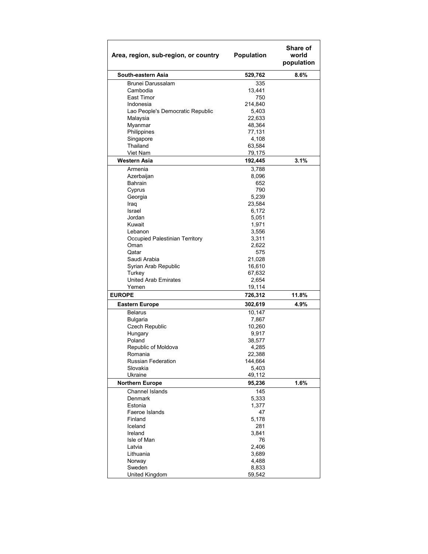| Area, region, sub-region, or country   | <b>Population</b> | Share of<br>world<br>population |
|----------------------------------------|-------------------|---------------------------------|
| South-eastern Asia                     | 529,762           | 8.6%                            |
| Brunei Darussalam                      | 335               |                                 |
| Cambodia                               | 13.441            |                                 |
| East Timor                             | 750               |                                 |
| Indonesia                              | 214,840           |                                 |
| Lao People's Democratic Republic       | 5,403             |                                 |
| Malaysia                               | 22,633            |                                 |
| Myanmar                                | 48,364            |                                 |
| Philippines                            | 77,131            |                                 |
| Singapore                              | 4,108             |                                 |
| Thailand                               | 63,584            |                                 |
| Viet Nam                               | 79,175            |                                 |
| Western Asia                           | 192,445           | 3.1%                            |
| Armenia                                | 3,788             |                                 |
| Azerbaijan                             | 8,096             |                                 |
| <b>Bahrain</b>                         | 652               |                                 |
| Cyprus                                 | 790               |                                 |
| Georgia                                | 5,239             |                                 |
| Iraq                                   | 23,584            |                                 |
| Israel<br>Jordan                       | 6,172             |                                 |
| Kuwait                                 | 5,051<br>1,971    |                                 |
| Lebanon                                | 3,556             |                                 |
|                                        | 3,311             |                                 |
| Occupied Palestinian Territory<br>Oman |                   |                                 |
| Qatar                                  | 2,622<br>575      |                                 |
| Saudi Arabia                           | 21,028            |                                 |
| Syrian Arab Republic                   | 16,610            |                                 |
| Turkey                                 | 67,632            |                                 |
| <b>United Arab Emirates</b>            | 2,654             |                                 |
| Yemen                                  | 19,114            |                                 |
| <b>EUROPE</b>                          | 726,312           | 11.8%                           |
| <b>Eastern Europe</b>                  | 302,619           | 4.9%                            |
| Belarus                                | 10,147            |                                 |
| Bulgaria                               | 7,867             |                                 |
| Czech Republic                         | 10,260            |                                 |
| Hungary                                | 9,917             |                                 |
| Poland                                 | 38,577            |                                 |
| Republic of Moldova                    | 4,285             |                                 |
| Romania                                | 22,388            |                                 |
| Russian Federation                     | 144,664           |                                 |
| Slovakia                               | 5,403             |                                 |
| Ukraine                                | 49,112            |                                 |
| <b>Northern Europe</b>                 | 95,236            | 1.6%                            |
| <b>Channel Islands</b>                 | 145               |                                 |
| <b>Denmark</b>                         | 5,333             |                                 |
| Estonia                                | 1,377             |                                 |
| Faeroe Islands                         | 47                |                                 |
| Finland                                | 5,178             |                                 |
| Iceland                                | 281               |                                 |
| Ireland                                | 3,841             |                                 |
| Isle of Man                            | 76                |                                 |
| Latvia                                 | 2,406             |                                 |
| Lithuania                              | 3,689             |                                 |
| Norway                                 | 4,488             |                                 |
| Sweden                                 | 8,833             |                                 |
| United Kingdom                         | 59,542            |                                 |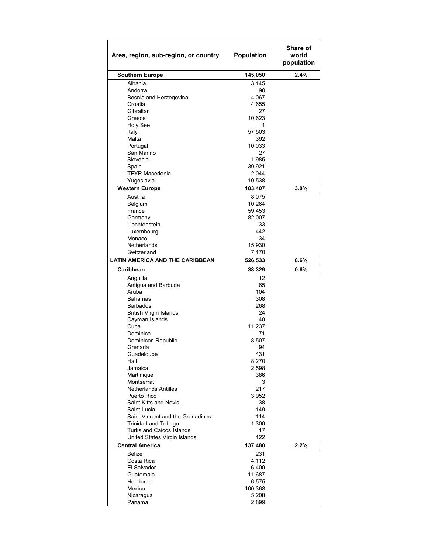| Area, region, sub-region, or country            | <b>Population</b> | <b>Share of</b><br>world<br>population |  |
|-------------------------------------------------|-------------------|----------------------------------------|--|
| <b>Southern Europe</b>                          | 145,050           | 2.4%                                   |  |
| Albania                                         | 3,145             |                                        |  |
| Andorra                                         | 90                |                                        |  |
| Bosnia and Herzegovina                          | 4,067             |                                        |  |
| Croatia                                         | 4,655             |                                        |  |
| Gibraltar                                       | 27                |                                        |  |
| Greece                                          | 10,623<br>1       |                                        |  |
| Holy See<br>Italy                               | 57,503            |                                        |  |
| Malta                                           | 392               |                                        |  |
| Portugal                                        | 10,033            |                                        |  |
| San Marino                                      | 27                |                                        |  |
| Slovenia                                        | 1,985             |                                        |  |
| Spain                                           | 39,921            |                                        |  |
| <b>TFYR Macedonia</b>                           | 2,044             |                                        |  |
| Yugoslavia                                      | 10,538            |                                        |  |
| <b>Western Europe</b>                           | 183,407           | $3.0\%$                                |  |
| Austria                                         | 8,075             |                                        |  |
| Belgium                                         | 10,264            |                                        |  |
| France                                          | 59,453            |                                        |  |
| Germany                                         | 82,007            |                                        |  |
| Liechtenstein                                   | 33                |                                        |  |
| Luxembourg                                      | 442               |                                        |  |
| Monaco                                          | 34                |                                        |  |
| Netherlands                                     | 15,930            |                                        |  |
| Switzerland                                     | 7,170             |                                        |  |
| <b>LATIN AMERICA AND THE CARIBBEAN</b>          | 526,533           | 8.6%                                   |  |
| Caribbean                                       | 38,329            | $0.6\%$                                |  |
| Anguilla                                        | 12                |                                        |  |
| Antigua and Barbuda                             | 65                |                                        |  |
| Aruba                                           | 104               |                                        |  |
| Bahamas                                         | 308               |                                        |  |
| <b>Barbados</b>                                 | 268<br>24         |                                        |  |
| <b>British Virgin Islands</b><br>Cayman Islands | 40                |                                        |  |
| Cuba                                            | 11,237            |                                        |  |
| Dominica                                        | 71                |                                        |  |
| Dominican Republic                              | 8,507             |                                        |  |
| Grenada                                         | 94                |                                        |  |
| Guadeloupe                                      | 431               |                                        |  |
| Haiti                                           | 8,270             |                                        |  |
| Jamaica                                         | 2,598             |                                        |  |
| Martinique                                      | 386               |                                        |  |
| Montserrat                                      | 3                 |                                        |  |
| <b>Netherlands Antilles</b>                     | 217               |                                        |  |
| Puerto Rico                                     | 3,952             |                                        |  |
| Saint Kitts and Nevis                           | 38                |                                        |  |
| Saint Lucia<br>Saint Vincent and the Grenadines | 149<br>114        |                                        |  |
| <b>Trinidad and Tobago</b>                      | 1,300             |                                        |  |
| <b>Turks and Caicos Islands</b>                 | 17                |                                        |  |
| United States Virgin Islands                    | 122               |                                        |  |
| <b>Central America</b>                          | 137,480           | 2.2%                                   |  |
| Belize                                          | 231               |                                        |  |
| Costa Rica                                      | 4,112             |                                        |  |
| El Salvador                                     | 6,400             |                                        |  |
| Guatemala                                       | 11,687            |                                        |  |
| Honduras                                        | 6,575             |                                        |  |
| Mexico                                          | 100,368           |                                        |  |
| Nicaragua                                       | 5,208             |                                        |  |
| Panama                                          | 2,899             |                                        |  |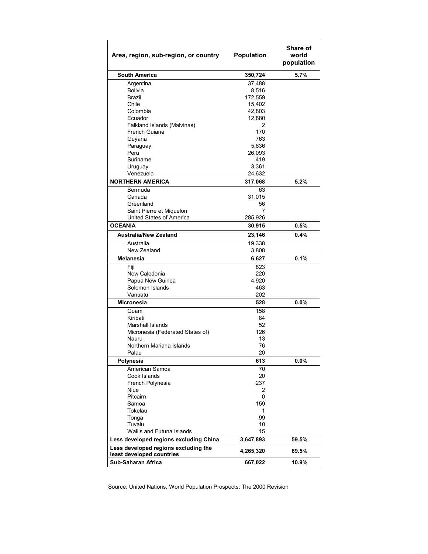| Area, region, sub-region, or country                              | Population |         |
|-------------------------------------------------------------------|------------|---------|
| <b>South America</b>                                              | 350,724    | 5.7%    |
| Argentina                                                         | 37,488     |         |
| Bolivia                                                           | 8,516      |         |
| Brazil                                                            | 172,559    |         |
| Chile                                                             | 15,402     |         |
| Colombia                                                          | 42,803     |         |
| Ecuador                                                           | 12,880     |         |
| Falkland Islands (Malvinas)<br>French Guiana                      | 2<br>170   |         |
| Guyana                                                            | 763        |         |
| Paraguay                                                          | 5,636      |         |
| Peru                                                              | 26,093     |         |
| Suriname                                                          | 419        |         |
| Uruguay                                                           | 3,361      |         |
| Venezuela                                                         | 24,632     |         |
| <b>NORTHERN AMERICA</b>                                           | 317,068    | 5.2%    |
| Bermuda                                                           | 63         |         |
| Canada                                                            | 31,015     |         |
| Greenland                                                         | 56         |         |
| Saint Pierre et Miquelon                                          | 7          |         |
| United States of America                                          | 285,926    |         |
| <b>OCEANIA</b>                                                    | 30,915     | 0.5%    |
| <b>Australia/New Zealand</b>                                      | 23,146     | $0.4\%$ |
| Australia                                                         | 19,338     |         |
| New Zealand                                                       | 3,808      |         |
| <b>Melanesia</b>                                                  | 6,627      | 0.1%    |
| Fiji                                                              | 823        |         |
| New Caledonia                                                     | 220        |         |
| Papua New Guinea                                                  | 4,920      |         |
| Solomon Islands                                                   | 463        |         |
| Vanuatu                                                           | 202        |         |
| Micronesia                                                        | 528        | $0.0\%$ |
| Guam                                                              | 158        |         |
| Kiribati                                                          | 84         |         |
| Marshall Islands                                                  | 52         |         |
| Micronesia (Federated States of)<br>Nauru                         | 126<br>13  |         |
| Northern Mariana Islands                                          | 76         |         |
| Palau                                                             | 20         |         |
| Polynesia                                                         | 613        | 0.0%    |
| American Samoa                                                    | 70         |         |
| Cook Islands                                                      | 20         |         |
| French Polynesia                                                  | 237        |         |
| Niue                                                              | 2          |         |
| Pitcairn                                                          | 0          |         |
| Samoa                                                             | 159        |         |
| Tokelau                                                           | 1          |         |
| Tonga                                                             | 99         |         |
| Tuvalu                                                            | 10         |         |
| Wallis and Futuna Islands                                         | 15         |         |
| Less developed regions excluding China                            | 3,647,893  | 59.5%   |
| Less developed regions excluding the<br>least developed countries | 4,265,320  | 69.5%   |
| Sub-Saharan Africa                                                | 667,022    | 10.9%   |

Source: United Nations, World Population Prospects: The 2000 Revision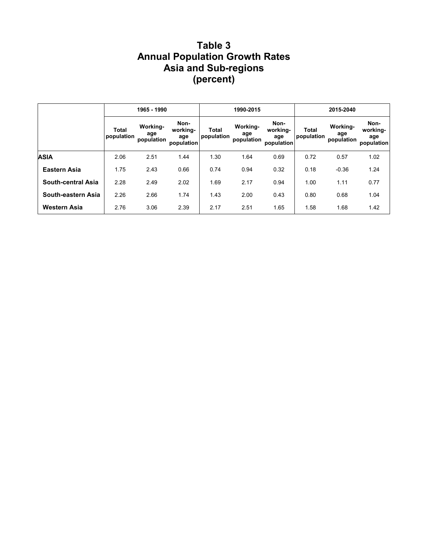## **Table 3 Annual Population Growth Rates Asia and Sub-regions (percent)**

|                           | 1965 - 1990         |                               |                                       | 1990-2015           |                               |                                       | 2015-2040                  |                               |                                       |
|---------------------------|---------------------|-------------------------------|---------------------------------------|---------------------|-------------------------------|---------------------------------------|----------------------------|-------------------------------|---------------------------------------|
|                           | Total<br>population | Working-<br>age<br>population | Non-<br>working-<br>age<br>population | Total<br>population | Working-<br>age<br>population | Non-<br>working-<br>age<br>population | <b>Total</b><br>population | Working-<br>age<br>population | Non-<br>working-<br>age<br>population |
| <b>ASIA</b>               | 2.06                | 2.51                          | 1.44                                  | 1.30                | 1.64                          | 0.69                                  | 0.72                       | 0.57                          | 1.02                                  |
| Eastern Asia              | 1.75                | 2.43                          | 0.66                                  | 0.74                | 0.94                          | 0.32                                  | 0.18                       | $-0.36$                       | 1.24                                  |
| <b>South-central Asia</b> | 2.28                | 2.49                          | 2.02                                  | 1.69                | 2.17                          | 0.94                                  | 1.00                       | 1.11                          | 0.77                                  |
| South-eastern Asia        | 2.26                | 2.66                          | 1.74                                  | 1.43                | 2.00                          | 0.43                                  | 0.80                       | 0.68                          | 1.04                                  |
| <b>Western Asia</b>       | 2.76                | 3.06                          | 2.39                                  | 2.17                | 2.51                          | 1.65                                  | 1.58                       | 1.68                          | 1.42                                  |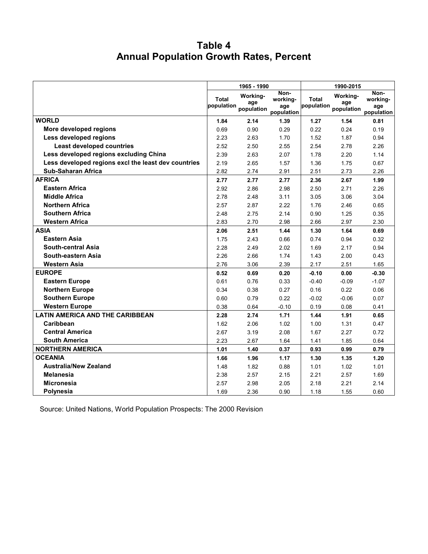## **Table 4 Annual Population Growth Rates, Percent**

|                                                     |                     | 1965 - 1990                   |                                       |                            | 1990-2015                     |                                       |
|-----------------------------------------------------|---------------------|-------------------------------|---------------------------------------|----------------------------|-------------------------------|---------------------------------------|
|                                                     | Total<br>population | Working-<br>age<br>population | Non-<br>working-<br>age<br>population | <b>Total</b><br>population | Working-<br>age<br>population | Non-<br>working-<br>age<br>population |
| <b>WORLD</b>                                        | 1.84                | 2.14                          | 1.39                                  | 1.27                       | 1.54                          | 0.81                                  |
| More developed regions                              | 0.69                | 0.90                          | 0.29                                  | 0.22                       | 0.24                          | 0.19                                  |
| Less developed regions                              | 2.23                | 2.63                          | 1.70                                  | 1.52                       | 1.87                          | 0.94                                  |
| <b>Least developed countries</b>                    | 2.52                | 2.50                          | 2.55                                  | 2.54                       | 2.78                          | 2.26                                  |
| Less developed regions excluding China              | 2.39                | 2.63                          | 2.07                                  | 1.78                       | 2.20                          | 1.14                                  |
| Less developed regions excl the least dev countries | 2.19                | 2.65                          | 1.57                                  | 1.36                       | 1.75                          | 0.67                                  |
| <b>Sub-Saharan Africa</b>                           | 2.82                | 2.74                          | 2.91                                  | 2.51                       | 2.73                          | 2.26                                  |
| <b>AFRICA</b>                                       | 2.77                | 2.77                          | 2.77                                  | 2.36                       | 2.67                          | 1.99                                  |
| <b>Eastern Africa</b>                               | 2.92                | 2.86                          | 2.98                                  | 2.50                       | 2.71                          | 2.26                                  |
| <b>Middle Africa</b>                                | 2.78                | 2.48                          | 3.11                                  | 3.05                       | 3.06                          | 3.04                                  |
| <b>Northern Africa</b>                              | 2.57                | 2.87                          | 2.22                                  | 1.76                       | 2.46                          | 0.65                                  |
| <b>Southern Africa</b>                              | 2.48                | 2.75                          | 2.14                                  | 0.90                       | 1.25                          | 0.35                                  |
| <b>Western Africa</b>                               | 2.83                | 2.70                          | 2.98                                  | 2.66                       | 2.97                          | 2.30                                  |
| <b>ASIA</b>                                         | 2.06                | 2.51                          | 1.44                                  | 1.30                       | 1.64                          | 0.69                                  |
| <b>Eastern Asia</b>                                 | 1.75                | 2.43                          | 0.66                                  | 0.74                       | 0.94                          | 0.32                                  |
| <b>South-central Asia</b>                           | 2.28                | 2.49                          | 2.02                                  | 1.69                       | 2.17                          | 0.94                                  |
| South-eastern Asia                                  | 2.26                | 2.66                          | 1.74                                  | 1.43                       | 2.00                          | 0.43                                  |
| <b>Western Asia</b>                                 | 2.76                | 3.06                          | 2.39                                  | 2.17                       | 2.51                          | 1.65                                  |
| <b>EUROPE</b>                                       | 0.52                | 0.69                          | 0.20                                  | -0.10                      | 0.00                          | $-0.30$                               |
| <b>Eastern Europe</b>                               | 0.61                | 0.76                          | 0.33                                  | $-0.40$                    | $-0.09$                       | $-1.07$                               |
| <b>Northern Europe</b>                              | 0.34                | 0.38                          | 0.27                                  | 0.16                       | 0.22                          | 0.06                                  |
| <b>Southern Europe</b>                              | 0.60                | 0.79                          | 0.22                                  | $-0.02$                    | $-0.06$                       | 0.07                                  |
| <b>Western Europe</b>                               | 0.38                | 0.64                          | $-0.10$                               | 0.19                       | 0.08                          | 0.41                                  |
| <b>LATIN AMERICA AND THE CARIBBEAN</b>              | 2.28                | 2.74                          | 1.71                                  | 1.44                       | 1.91                          | 0.65                                  |
| Caribbean                                           | 1.62                | 2.06                          | 1.02                                  | 1.00                       | 1.31                          | 0.47                                  |
| <b>Central America</b>                              | 2.67                | 3.19                          | 2.08                                  | 1.67                       | 2.27                          | 0.72                                  |
| <b>South America</b>                                | 2.23                | 2.67                          | 1.64                                  | 1.41                       | 1.85                          | 0.64                                  |
| <b>NORTHERN AMERICA</b>                             | 1.01                | 1.40                          | 0.37                                  | 0.93                       | 0.99                          | 0.79                                  |
| <b>OCEANIA</b>                                      | 1.66                | 1.96                          | 1.17                                  | 1.30                       | 1.35                          | 1.20                                  |
| <b>Australia/New Zealand</b>                        | 1.48                | 1.82                          | 0.88                                  | 1.01                       | 1.02                          | 1.01                                  |
| <b>Melanesia</b>                                    | 2.38                | 2.57                          | 2.15                                  | 2.21                       | 2.57                          | 1.69                                  |
| <b>Micronesia</b>                                   | 2.57                | 2.98                          | 2.05                                  | 2.18                       | 2.21                          | 2.14                                  |
| Polynesia                                           | 1.69                | 2.36                          | 0.90                                  | 1.18                       | 1.55                          | 0.60                                  |

Source: United Nations, World Population Prospects: The 2000 Revision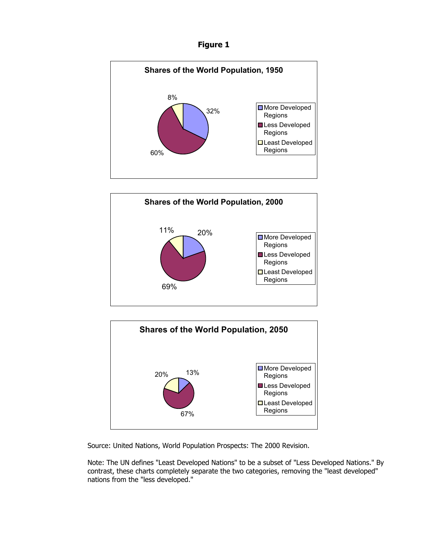**Figure 1** 







Source: United Nations, World Population Prospects: The 2000 Revision.

Note: The UN defines "Least Developed Nations" to be a subset of "Less Developed Nations." By contrast, these charts completely separate the two categories, removing the "least developed" nations from the "less developed."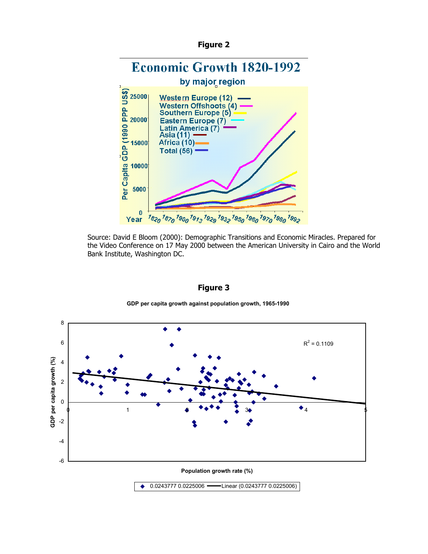



Source: David E Bloom (2000): Demographic Transitions and Economic Miracles. Prepared for the Video Conference on 17 May 2000 between the American University in Cairo and the World Bank Institute, Washington DC.



**GDP per capita growth against population growth, 1965-1990**

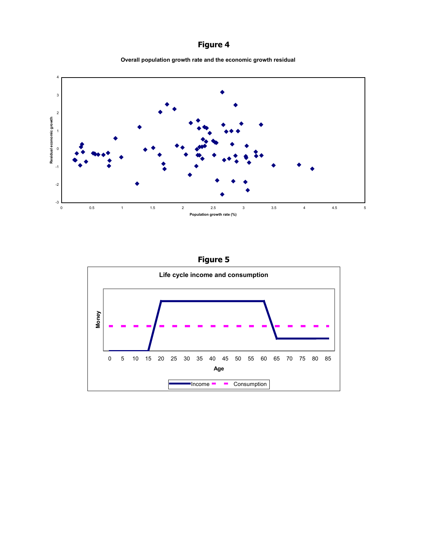**Overall population growth rate and the economic growth residual**



### **Figure 5**

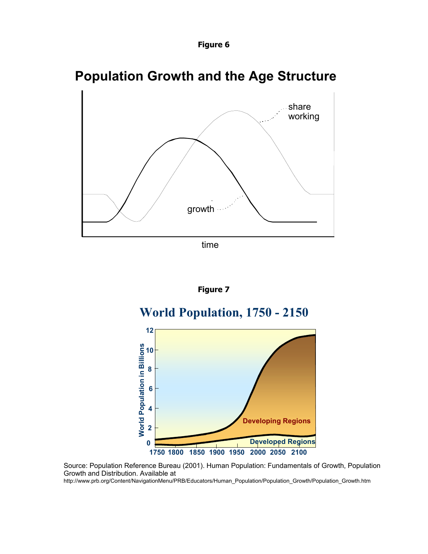

# **Population Growth and the Age Structure**

time

### **Figure 7**

# **World Population, 1750 - 2150**



Source: Population Reference Bureau (2001). Human Population: Fundamentals of Growth, Population Growth and Distribution. Available at

http://www.prb.org/Content/NavigationMenu/PRB/Educators/Human\_Population/Population\_Growth/Population\_Growth.htm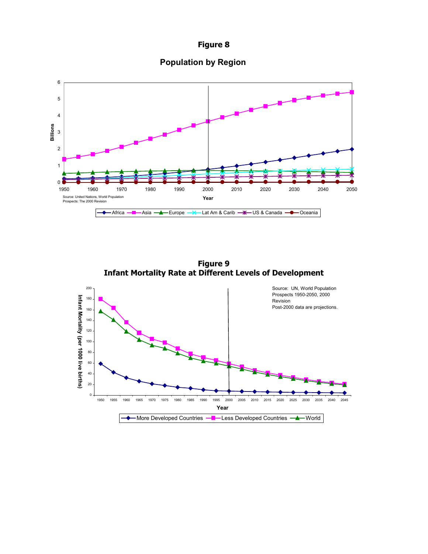



**Population by Region**

**Figure 9 Infant Mortality Rate at Different Levels of Development** 

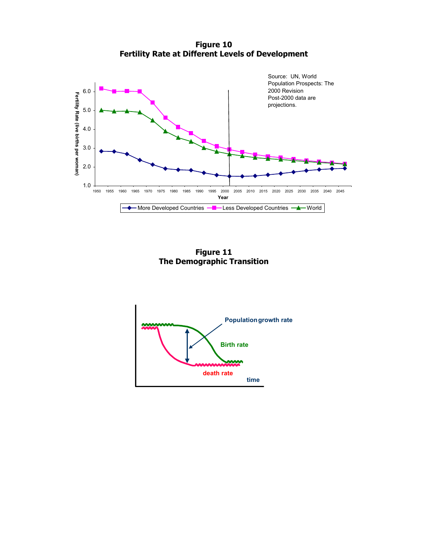**Figure 10 Fertility Rate at Different Levels of Development** 



**Figure 11 The Demographic Transition** 

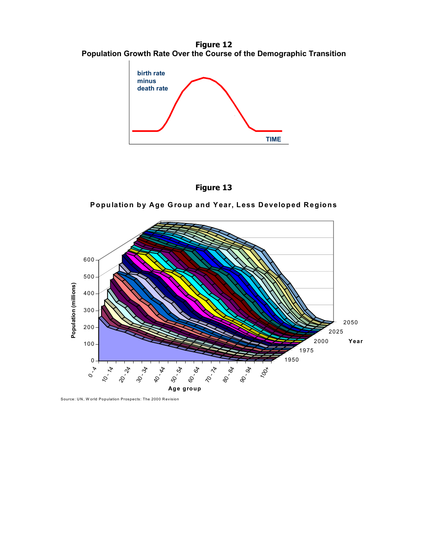**Figure 12 Population Growth Rate Over the Course of the Demographic Transition** 





**Population by Age Group and Year, Less Developed Regions**



Source: UN, W orld Population Prospects: The 2000 Revision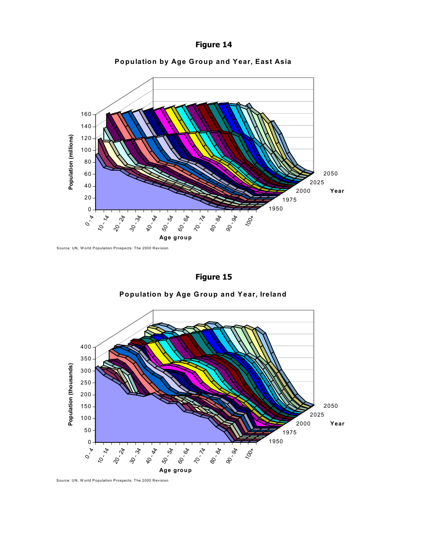



**Population by Age Group and Year, East Asia**

Source: UN, W orld Population Prospects: The 2000 Revision



**Population by Age Group and Year, Ireland**



Source: UN, W orld Population Prospects: The 2000 Revision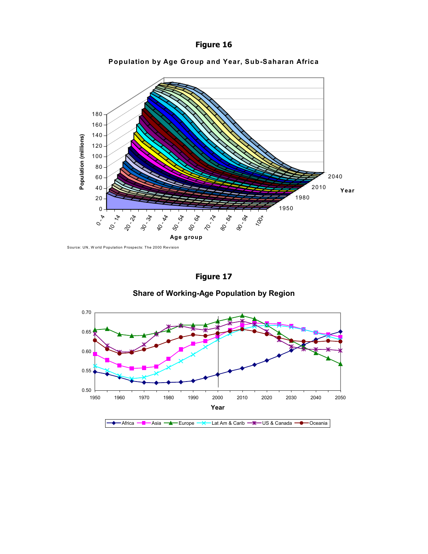



**Population by Age Group and Year, Sub-Saharan Africa**

Source: UN, W orld Population Prospects: The 2000 Revision



#### **Share of Working-Age Population by Region**

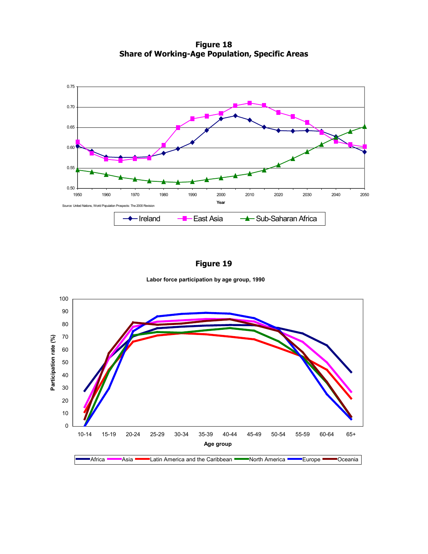**Figure 18 Share of Working-Age Population, Specific Areas** 



**Labor force participation by age group, 1990**